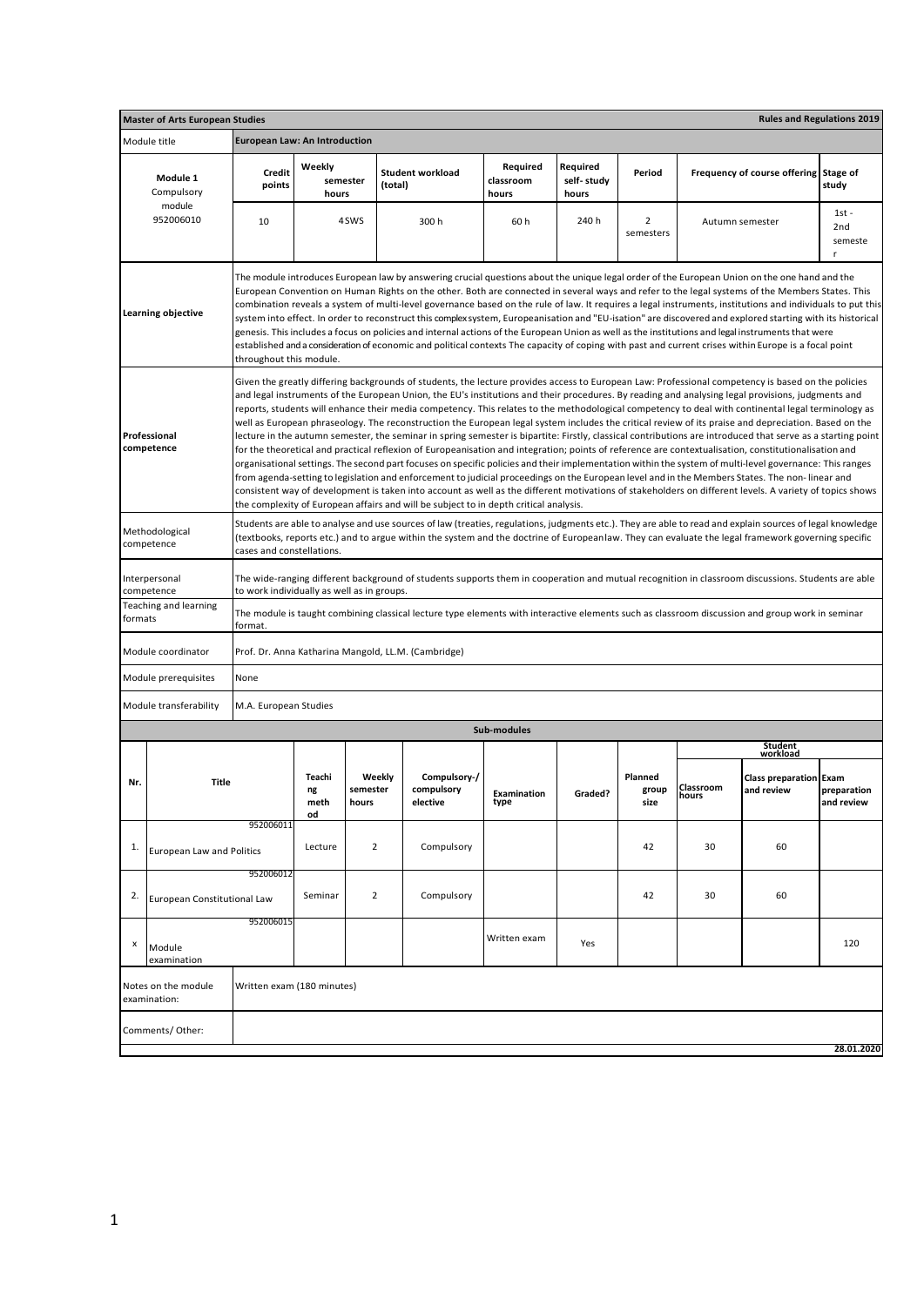| Module title                        |                         |                                                                                                                                     |                                                                               |                                                                                                 |                                                                                                                                         |                                 |                                                                                       |                    |                                        |                                                                                                                                                                                                                                                                                                                                                                                                                                                                                                                                                                                                                                                                                                                                                                                                                                                                                                                                                                                                                                                                                                                                                                                                                                                                                                                                                                                                                                                                                                                                                                                                                                                                                                                                                                                                                                                                                                                                                                                                                                                                                                                                                                                                                                                                                                                                                                                                                                                                                                                                                                                                                                                                                                                                                                                                                                                                                                                                                                                                                                                                                                             |  |  |  |
|-------------------------------------|-------------------------|-------------------------------------------------------------------------------------------------------------------------------------|-------------------------------------------------------------------------------|-------------------------------------------------------------------------------------------------|-----------------------------------------------------------------------------------------------------------------------------------------|---------------------------------|---------------------------------------------------------------------------------------|--------------------|----------------------------------------|-------------------------------------------------------------------------------------------------------------------------------------------------------------------------------------------------------------------------------------------------------------------------------------------------------------------------------------------------------------------------------------------------------------------------------------------------------------------------------------------------------------------------------------------------------------------------------------------------------------------------------------------------------------------------------------------------------------------------------------------------------------------------------------------------------------------------------------------------------------------------------------------------------------------------------------------------------------------------------------------------------------------------------------------------------------------------------------------------------------------------------------------------------------------------------------------------------------------------------------------------------------------------------------------------------------------------------------------------------------------------------------------------------------------------------------------------------------------------------------------------------------------------------------------------------------------------------------------------------------------------------------------------------------------------------------------------------------------------------------------------------------------------------------------------------------------------------------------------------------------------------------------------------------------------------------------------------------------------------------------------------------------------------------------------------------------------------------------------------------------------------------------------------------------------------------------------------------------------------------------------------------------------------------------------------------------------------------------------------------------------------------------------------------------------------------------------------------------------------------------------------------------------------------------------------------------------------------------------------------------------------------------------------------------------------------------------------------------------------------------------------------------------------------------------------------------------------------------------------------------------------------------------------------------------------------------------------------------------------------------------------------------------------------------------------------------------------------------------------------|--|--|--|
| Module 1<br>Compulsory              | <b>Credit</b><br>points | Weekly                                                                                                                              |                                                                               |                                                                                                 | Required<br>classroom<br>hours                                                                                                          | Required<br>self-study<br>hours | Period                                                                                |                    |                                        | Stage of<br>study                                                                                                                                                                                                                                                                                                                                                                                                                                                                                                                                                                                                                                                                                                                                                                                                                                                                                                                                                                                                                                                                                                                                                                                                                                                                                                                                                                                                                                                                                                                                                                                                                                                                                                                                                                                                                                                                                                                                                                                                                                                                                                                                                                                                                                                                                                                                                                                                                                                                                                                                                                                                                                                                                                                                                                                                                                                                                                                                                                                                                                                                                           |  |  |  |
| 952006010                           | 10                      |                                                                                                                                     |                                                                               | 300h                                                                                            | 60h                                                                                                                                     | 240 h                           | 2<br>semesters                                                                        |                    |                                        | $1st -$<br>2nd<br>semeste<br>r                                                                                                                                                                                                                                                                                                                                                                                                                                                                                                                                                                                                                                                                                                                                                                                                                                                                                                                                                                                                                                                                                                                                                                                                                                                                                                                                                                                                                                                                                                                                                                                                                                                                                                                                                                                                                                                                                                                                                                                                                                                                                                                                                                                                                                                                                                                                                                                                                                                                                                                                                                                                                                                                                                                                                                                                                                                                                                                                                                                                                                                                              |  |  |  |
| Learning objective                  |                         |                                                                                                                                     |                                                                               |                                                                                                 |                                                                                                                                         |                                 |                                                                                       |                    |                                        |                                                                                                                                                                                                                                                                                                                                                                                                                                                                                                                                                                                                                                                                                                                                                                                                                                                                                                                                                                                                                                                                                                                                                                                                                                                                                                                                                                                                                                                                                                                                                                                                                                                                                                                                                                                                                                                                                                                                                                                                                                                                                                                                                                                                                                                                                                                                                                                                                                                                                                                                                                                                                                                                                                                                                                                                                                                                                                                                                                                                                                                                                                             |  |  |  |
| Professional<br>competence          |                         |                                                                                                                                     |                                                                               |                                                                                                 |                                                                                                                                         |                                 |                                                                                       |                    |                                        |                                                                                                                                                                                                                                                                                                                                                                                                                                                                                                                                                                                                                                                                                                                                                                                                                                                                                                                                                                                                                                                                                                                                                                                                                                                                                                                                                                                                                                                                                                                                                                                                                                                                                                                                                                                                                                                                                                                                                                                                                                                                                                                                                                                                                                                                                                                                                                                                                                                                                                                                                                                                                                                                                                                                                                                                                                                                                                                                                                                                                                                                                                             |  |  |  |
| Methodological<br>competence        |                         |                                                                                                                                     |                                                                               |                                                                                                 |                                                                                                                                         |                                 |                                                                                       |                    |                                        |                                                                                                                                                                                                                                                                                                                                                                                                                                                                                                                                                                                                                                                                                                                                                                                                                                                                                                                                                                                                                                                                                                                                                                                                                                                                                                                                                                                                                                                                                                                                                                                                                                                                                                                                                                                                                                                                                                                                                                                                                                                                                                                                                                                                                                                                                                                                                                                                                                                                                                                                                                                                                                                                                                                                                                                                                                                                                                                                                                                                                                                                                                             |  |  |  |
| Interpersonal<br>competence         |                         |                                                                                                                                     |                                                                               |                                                                                                 |                                                                                                                                         |                                 |                                                                                       |                    |                                        |                                                                                                                                                                                                                                                                                                                                                                                                                                                                                                                                                                                                                                                                                                                                                                                                                                                                                                                                                                                                                                                                                                                                                                                                                                                                                                                                                                                                                                                                                                                                                                                                                                                                                                                                                                                                                                                                                                                                                                                                                                                                                                                                                                                                                                                                                                                                                                                                                                                                                                                                                                                                                                                                                                                                                                                                                                                                                                                                                                                                                                                                                                             |  |  |  |
| Teaching and learning<br>formats    | format.                 |                                                                                                                                     |                                                                               |                                                                                                 |                                                                                                                                         |                                 |                                                                                       |                    |                                        |                                                                                                                                                                                                                                                                                                                                                                                                                                                                                                                                                                                                                                                                                                                                                                                                                                                                                                                                                                                                                                                                                                                                                                                                                                                                                                                                                                                                                                                                                                                                                                                                                                                                                                                                                                                                                                                                                                                                                                                                                                                                                                                                                                                                                                                                                                                                                                                                                                                                                                                                                                                                                                                                                                                                                                                                                                                                                                                                                                                                                                                                                                             |  |  |  |
| Module coordinator                  |                         |                                                                                                                                     |                                                                               |                                                                                                 |                                                                                                                                         |                                 |                                                                                       |                    |                                        |                                                                                                                                                                                                                                                                                                                                                                                                                                                                                                                                                                                                                                                                                                                                                                                                                                                                                                                                                                                                                                                                                                                                                                                                                                                                                                                                                                                                                                                                                                                                                                                                                                                                                                                                                                                                                                                                                                                                                                                                                                                                                                                                                                                                                                                                                                                                                                                                                                                                                                                                                                                                                                                                                                                                                                                                                                                                                                                                                                                                                                                                                                             |  |  |  |
| Module prerequisites                | None                    |                                                                                                                                     |                                                                               |                                                                                                 |                                                                                                                                         |                                 |                                                                                       |                    |                                        |                                                                                                                                                                                                                                                                                                                                                                                                                                                                                                                                                                                                                                                                                                                                                                                                                                                                                                                                                                                                                                                                                                                                                                                                                                                                                                                                                                                                                                                                                                                                                                                                                                                                                                                                                                                                                                                                                                                                                                                                                                                                                                                                                                                                                                                                                                                                                                                                                                                                                                                                                                                                                                                                                                                                                                                                                                                                                                                                                                                                                                                                                                             |  |  |  |
| Module transferability              |                         |                                                                                                                                     |                                                                               |                                                                                                 |                                                                                                                                         |                                 |                                                                                       |                    |                                        |                                                                                                                                                                                                                                                                                                                                                                                                                                                                                                                                                                                                                                                                                                                                                                                                                                                                                                                                                                                                                                                                                                                                                                                                                                                                                                                                                                                                                                                                                                                                                                                                                                                                                                                                                                                                                                                                                                                                                                                                                                                                                                                                                                                                                                                                                                                                                                                                                                                                                                                                                                                                                                                                                                                                                                                                                                                                                                                                                                                                                                                                                                             |  |  |  |
|                                     |                         |                                                                                                                                     |                                                                               |                                                                                                 |                                                                                                                                         |                                 |                                                                                       |                    |                                        |                                                                                                                                                                                                                                                                                                                                                                                                                                                                                                                                                                                                                                                                                                                                                                                                                                                                                                                                                                                                                                                                                                                                                                                                                                                                                                                                                                                                                                                                                                                                                                                                                                                                                                                                                                                                                                                                                                                                                                                                                                                                                                                                                                                                                                                                                                                                                                                                                                                                                                                                                                                                                                                                                                                                                                                                                                                                                                                                                                                                                                                                                                             |  |  |  |
| Title                               |                         | Teachi<br>ng<br>meth<br>od                                                                                                          | Weekly<br>semester<br>hours                                                   | Compulsory-/<br>compulsory<br>elective                                                          | Examination<br>type                                                                                                                     | Graded?                         | Planned<br>group<br>size                                                              | Classroom<br>hours | <b>Class preparation</b><br>and review | Exam<br>preparation<br>and review                                                                                                                                                                                                                                                                                                                                                                                                                                                                                                                                                                                                                                                                                                                                                                                                                                                                                                                                                                                                                                                                                                                                                                                                                                                                                                                                                                                                                                                                                                                                                                                                                                                                                                                                                                                                                                                                                                                                                                                                                                                                                                                                                                                                                                                                                                                                                                                                                                                                                                                                                                                                                                                                                                                                                                                                                                                                                                                                                                                                                                                                           |  |  |  |
|                                     |                         | Lecture                                                                                                                             | $\overline{2}$                                                                | Compulsory                                                                                      |                                                                                                                                         |                                 | 42                                                                                    | 30<br>60           |                                        |                                                                                                                                                                                                                                                                                                                                                                                                                                                                                                                                                                                                                                                                                                                                                                                                                                                                                                                                                                                                                                                                                                                                                                                                                                                                                                                                                                                                                                                                                                                                                                                                                                                                                                                                                                                                                                                                                                                                                                                                                                                                                                                                                                                                                                                                                                                                                                                                                                                                                                                                                                                                                                                                                                                                                                                                                                                                                                                                                                                                                                                                                                             |  |  |  |
|                                     |                         | Seminar                                                                                                                             | $\overline{2}$                                                                | Compulsory                                                                                      |                                                                                                                                         |                                 | 42                                                                                    | 30                 | 60                                     |                                                                                                                                                                                                                                                                                                                                                                                                                                                                                                                                                                                                                                                                                                                                                                                                                                                                                                                                                                                                                                                                                                                                                                                                                                                                                                                                                                                                                                                                                                                                                                                                                                                                                                                                                                                                                                                                                                                                                                                                                                                                                                                                                                                                                                                                                                                                                                                                                                                                                                                                                                                                                                                                                                                                                                                                                                                                                                                                                                                                                                                                                                             |  |  |  |
| Module<br>examination               | 952006015               |                                                                                                                                     |                                                                               |                                                                                                 | Written exam                                                                                                                            | Yes                             |                                                                                       |                    |                                        | 120                                                                                                                                                                                                                                                                                                                                                                                                                                                                                                                                                                                                                                                                                                                                                                                                                                                                                                                                                                                                                                                                                                                                                                                                                                                                                                                                                                                                                                                                                                                                                                                                                                                                                                                                                                                                                                                                                                                                                                                                                                                                                                                                                                                                                                                                                                                                                                                                                                                                                                                                                                                                                                                                                                                                                                                                                                                                                                                                                                                                                                                                                                         |  |  |  |
| Notes on the module<br>examination: |                         |                                                                                                                                     |                                                                               |                                                                                                 |                                                                                                                                         |                                 |                                                                                       |                    |                                        |                                                                                                                                                                                                                                                                                                                                                                                                                                                                                                                                                                                                                                                                                                                                                                                                                                                                                                                                                                                                                                                                                                                                                                                                                                                                                                                                                                                                                                                                                                                                                                                                                                                                                                                                                                                                                                                                                                                                                                                                                                                                                                                                                                                                                                                                                                                                                                                                                                                                                                                                                                                                                                                                                                                                                                                                                                                                                                                                                                                                                                                                                                             |  |  |  |
| Comments/Other:                     |                         |                                                                                                                                     |                                                                               |                                                                                                 |                                                                                                                                         |                                 |                                                                                       |                    |                                        | 28.01.2020                                                                                                                                                                                                                                                                                                                                                                                                                                                                                                                                                                                                                                                                                                                                                                                                                                                                                                                                                                                                                                                                                                                                                                                                                                                                                                                                                                                                                                                                                                                                                                                                                                                                                                                                                                                                                                                                                                                                                                                                                                                                                                                                                                                                                                                                                                                                                                                                                                                                                                                                                                                                                                                                                                                                                                                                                                                                                                                                                                                                                                                                                                  |  |  |  |
|                                     | module                  | <b>Master of Arts European Studies</b><br>952006011<br><b>European Law and Politics</b><br>952006012<br>European Constitutional Law | throughout this module.<br>cases and constellations.<br>M.A. European Studies | <b>European Law: An Introduction</b><br>semester<br>hours<br>4SWS<br>Written exam (180 minutes) | <b>Student workload</b><br>(total)<br>to work individually as well as in groups.<br>Prof. Dr. Anna Katharina Mangold, LL.M. (Cambridge) | Sub-modules                     | the complexity of European affairs and will be subject to in depth critical analysis. |                    |                                        | <b>Rules and Regulations 2019</b><br>Frequency of course offering<br>Autumn semester<br>The module introduces European law by answering crucial questions about the unique legal order of the European Union on the one hand and the<br>European Convention on Human Rights on the other. Both are connected in several ways and refer to the legal systems of the Members States. This<br>combination reveals a system of multi-level governance based on the rule of law. It requires a legal instruments, institutions and individuals to put this<br>system into effect. In order to reconstruct this complex system, Europeanisation and "EU-isation" are discovered and explored starting with its historical<br>genesis. This includes a focus on policies and internal actions of the European Union as well as the institutions and legal instruments that were<br>established and a consideration of economic and political contexts The capacity of coping with past and current crises within Europe is a focal point<br>Given the greatly differing backgrounds of students, the lecture provides access to European Law: Professional competency is based on the policies<br>and legal instruments of the European Union, the EU's institutions and their procedures. By reading and analysing legal provisions, judgments and<br>reports, students will enhance their media competency. This relates to the methodological competency to deal with continental legal terminology as<br>well as European phraseology. The reconstruction the European legal system includes the critical review of its praise and depreciation. Based on the<br>lecture in the autumn semester, the seminar in spring semester is bipartite: Firstly, classical contributions are introduced that serve as a starting point<br>for the theoretical and practical reflexion of Europeanisation and integration; points of reference are contextualisation, constitutionalisation and<br>organisational settings. The second part focuses on specific policies and their implementation within the system of multi-level governance: This ranges<br>from agenda-setting to legislation and enforcement to judicial proceedings on the European level and in the Members States. The non-linear and<br>consistent way of development is taken into account as well as the different motivations of stakeholders on different levels. A variety of topics shows<br>Students are able to analyse and use sources of law (treaties, regulations, judgments etc.). They are able to read and explain sources of legal knowledge<br>(textbooks, reports etc.) and to argue within the system and the doctrine of Europeanlaw. They can evaluate the legal framework governing specific<br>The wide-ranging different background of students supports them in cooperation and mutual recognition in classroom discussions. Students are able<br>The module is taught combining classical lecture type elements with interactive elements such as classroom discussion and group work in seminar<br>Student<br>workload |  |  |  |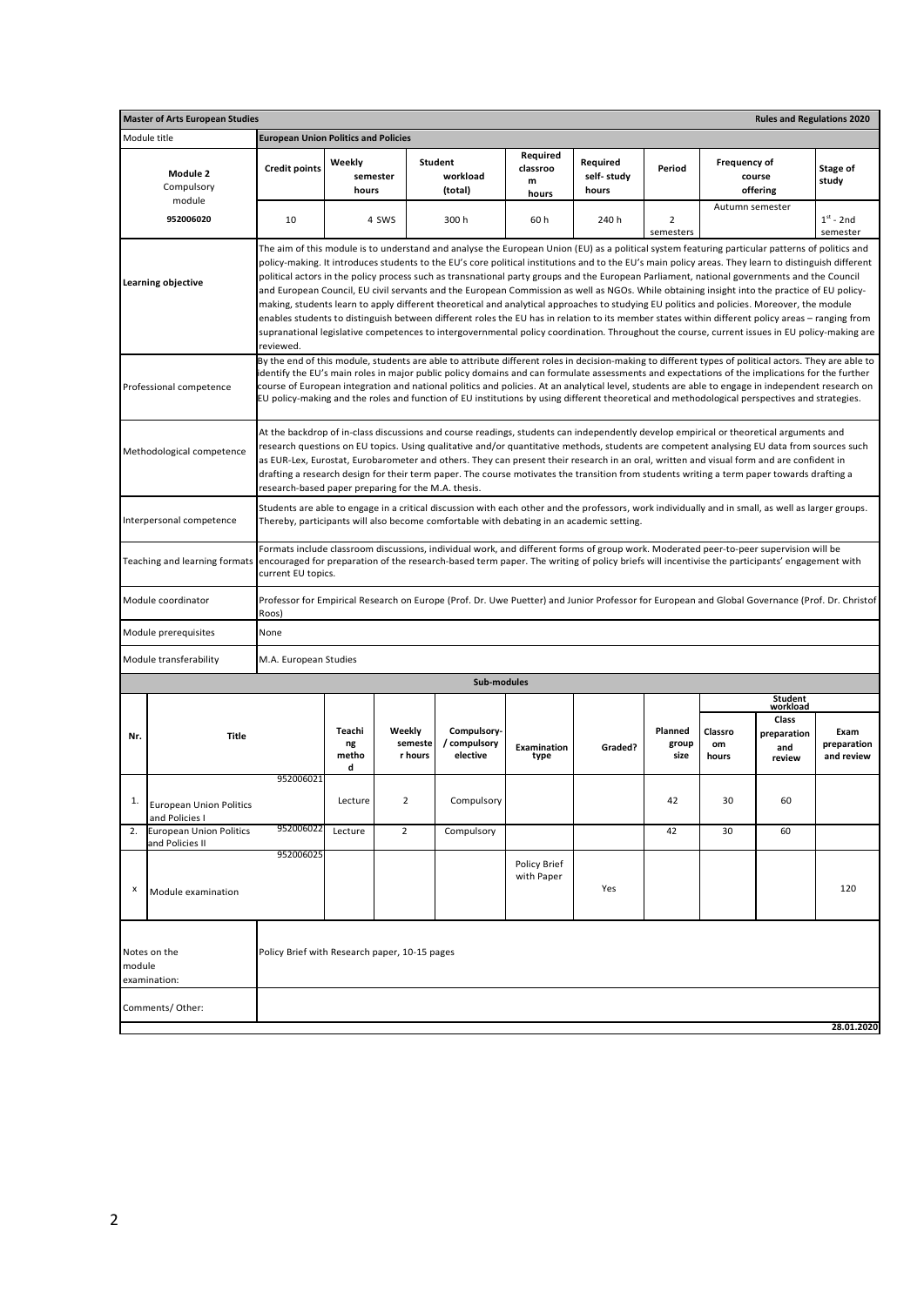|        | <b>Master of Arts European Studies</b>            |                                                     |                             |                              |                                                                                                                                                                                                                                                                                                                                                                                                                                                                                                                                                                                                                                                                                                                                                                                                                                                                                                                                                                                                                                                           |                                    |                                 |                          |                        | <b>Rules and Regulations 2020</b>     |                                   |
|--------|---------------------------------------------------|-----------------------------------------------------|-----------------------------|------------------------------|-----------------------------------------------------------------------------------------------------------------------------------------------------------------------------------------------------------------------------------------------------------------------------------------------------------------------------------------------------------------------------------------------------------------------------------------------------------------------------------------------------------------------------------------------------------------------------------------------------------------------------------------------------------------------------------------------------------------------------------------------------------------------------------------------------------------------------------------------------------------------------------------------------------------------------------------------------------------------------------------------------------------------------------------------------------|------------------------------------|---------------------------------|--------------------------|------------------------|---------------------------------------|-----------------------------------|
|        | Module title                                      | <b>European Union Politics and Policies</b>         |                             |                              |                                                                                                                                                                                                                                                                                                                                                                                                                                                                                                                                                                                                                                                                                                                                                                                                                                                                                                                                                                                                                                                           |                                    |                                 |                          |                        |                                       |                                   |
|        | Module 2<br>Compulsory                            | <b>Credit points</b>                                | Weekly<br>semester<br>hours |                              | Student<br>workload<br>(total)                                                                                                                                                                                                                                                                                                                                                                                                                                                                                                                                                                                                                                                                                                                                                                                                                                                                                                                                                                                                                            | Required<br>classroo<br>m<br>hours | Required<br>self-study<br>hours | Period                   | Frequency of           | course<br>offering                    | Stage of<br>study                 |
|        | module<br>952006020                               | 10                                                  |                             | 4 SWS                        | 300 h                                                                                                                                                                                                                                                                                                                                                                                                                                                                                                                                                                                                                                                                                                                                                                                                                                                                                                                                                                                                                                                     | 60 h                               | 240 h                           | 2<br>semesters           | Autumn semester        |                                       | $1st - 2nd$<br>semester           |
|        | Learning objective                                | reviewed.                                           |                             |                              | The aim of this module is to understand and analyse the European Union (EU) as a political system featuring particular patterns of politics and<br>policy-making. It introduces students to the EU's core political institutions and to the EU's main policy areas. They learn to distinguish different<br>political actors in the policy process such as transnational party groups and the European Parliament, national governments and the Council<br>and European Council, EU civil servants and the European Commission as well as NGOs. While obtaining insight into the practice of EU policy-<br>making, students learn to apply different theoretical and analytical approaches to studying EU politics and policies. Moreover, the module<br>enables students to distinguish between different roles the EU has in relation to its member states within different policy areas – ranging from<br>supranational legislative competences to intergovernmental policy coordination. Throughout the course, current issues in EU policy-making are |                                    |                                 |                          |                        |                                       |                                   |
|        | Professional competence                           |                                                     |                             |                              | By the end of this module, students are able to attribute different roles in decision-making to different types of political actors. They are able to<br>identify the EU's main roles in major public policy domains and can formulate assessments and expectations of the implications for the further<br>course of European integration and national politics and policies. At an analytical level, students are able to engage in independent research on<br>EU policy-making and the roles and function of EU institutions by using different theoretical and methodological perspectives and strategies.                                                                                                                                                                                                                                                                                                                                                                                                                                             |                                    |                                 |                          |                        |                                       |                                   |
|        | Methodological competence                         | research-based paper preparing for the M.A. thesis. |                             |                              | At the backdrop of in-class discussions and course readings, students can independently develop empirical or theoretical arguments and<br>research questions on EU topics. Using qualitative and/or quantitative methods, students are competent analysing EU data from sources such<br>as EUR-Lex, Eurostat, Eurobarometer and others. They can present their research in an oral, written and visual form and are confident in<br>drafting a research design for their term paper. The course motivates the transition from students writing a term paper towards drafting a                                                                                                                                                                                                                                                                                                                                                                                                                                                                            |                                    |                                 |                          |                        |                                       |                                   |
|        | Interpersonal competence                          |                                                     |                             |                              | Students are able to engage in a critical discussion with each other and the professors, work individually and in small, as well as larger groups.<br>Thereby, participants will also become comfortable with debating in an academic setting.                                                                                                                                                                                                                                                                                                                                                                                                                                                                                                                                                                                                                                                                                                                                                                                                            |                                    |                                 |                          |                        |                                       |                                   |
|        | Teaching and learning formats                     | current EU topics.                                  |                             |                              | Formats include classroom discussions, individual work, and different forms of group work. Moderated peer-to-peer supervision will be<br>encouraged for preparation of the research-based term paper. The writing of policy briefs will incentivise the participants' engagement with                                                                                                                                                                                                                                                                                                                                                                                                                                                                                                                                                                                                                                                                                                                                                                     |                                    |                                 |                          |                        |                                       |                                   |
|        | Module coordinator                                | Roos)                                               |                             |                              | Professor for Empirical Research on Europe (Prof. Dr. Uwe Puetter) and Junior Professor for European and Global Governance (Prof. Dr. Christof                                                                                                                                                                                                                                                                                                                                                                                                                                                                                                                                                                                                                                                                                                                                                                                                                                                                                                            |                                    |                                 |                          |                        |                                       |                                   |
|        | Module prerequisites                              | None                                                |                             |                              |                                                                                                                                                                                                                                                                                                                                                                                                                                                                                                                                                                                                                                                                                                                                                                                                                                                                                                                                                                                                                                                           |                                    |                                 |                          |                        |                                       |                                   |
|        | Module transferability                            | M.A. European Studies                               |                             |                              |                                                                                                                                                                                                                                                                                                                                                                                                                                                                                                                                                                                                                                                                                                                                                                                                                                                                                                                                                                                                                                                           |                                    |                                 |                          |                        |                                       |                                   |
|        |                                                   |                                                     |                             |                              | Sub-modules                                                                                                                                                                                                                                                                                                                                                                                                                                                                                                                                                                                                                                                                                                                                                                                                                                                                                                                                                                                                                                               |                                    |                                 |                          |                        |                                       |                                   |
|        |                                                   |                                                     |                             |                              |                                                                                                                                                                                                                                                                                                                                                                                                                                                                                                                                                                                                                                                                                                                                                                                                                                                                                                                                                                                                                                                           |                                    |                                 |                          |                        | Student<br>workload                   |                                   |
| Nr.    | <b>Title</b>                                      |                                                     | Teachi<br>ng<br>metho<br>d  | Weekly<br>semeste<br>r hours | Compulsory-<br>/ compulsory<br>elective                                                                                                                                                                                                                                                                                                                                                                                                                                                                                                                                                                                                                                                                                                                                                                                                                                                                                                                                                                                                                   | Examination<br>type                | Graded?                         | Planned<br>group<br>size | Classro<br>om<br>hours | Class<br>preparation<br>and<br>review | Exam<br>preparation<br>and review |
|        | <b>European Union Politics</b><br>and Policies I  | 952006021                                           | Lecture                     | 2                            | Compulsory                                                                                                                                                                                                                                                                                                                                                                                                                                                                                                                                                                                                                                                                                                                                                                                                                                                                                                                                                                                                                                                |                                    |                                 | 42                       | 30                     | 60                                    |                                   |
| 2.     | <b>European Union Politics</b><br>and Policies II | 952006022                                           | Lecture                     | $\mathbf 2$                  | Compulsory                                                                                                                                                                                                                                                                                                                                                                                                                                                                                                                                                                                                                                                                                                                                                                                                                                                                                                                                                                                                                                                |                                    |                                 | 42                       | 30                     | 60                                    |                                   |
| x      | Module examination                                | 952006025                                           |                             |                              |                                                                                                                                                                                                                                                                                                                                                                                                                                                                                                                                                                                                                                                                                                                                                                                                                                                                                                                                                                                                                                                           | Policy Brief<br>with Paper         | Yes                             |                          |                        |                                       | 120                               |
| module | Notes on the<br>examination:                      | Policy Brief with Research paper, 10-15 pages       |                             |                              |                                                                                                                                                                                                                                                                                                                                                                                                                                                                                                                                                                                                                                                                                                                                                                                                                                                                                                                                                                                                                                                           |                                    |                                 |                          |                        |                                       |                                   |
|        | Comments/Other:                                   |                                                     |                             |                              |                                                                                                                                                                                                                                                                                                                                                                                                                                                                                                                                                                                                                                                                                                                                                                                                                                                                                                                                                                                                                                                           |                                    |                                 |                          |                        |                                       | 28.01.2020                        |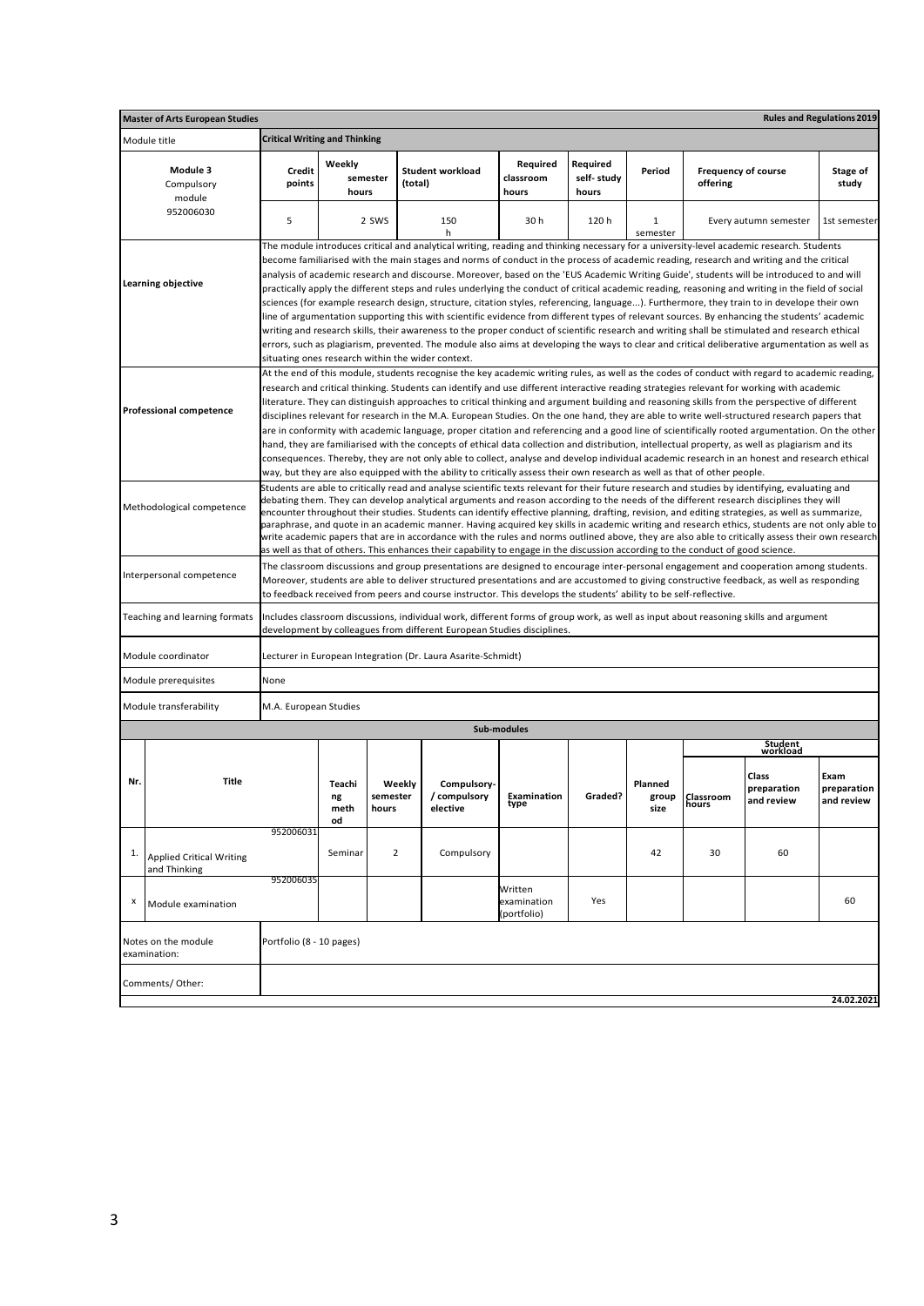|     | <b>Rules and Regulations 2019</b><br><b>Master of Arts European Studies</b> |                                                                                                                                                                                                                                                                     |                                                                                                                                                                                                                                                                                                                                                                                                                                                                                                                                                                                                                                                                                                                                                                                                                                                                                       |                |                                                                                                                                                                                                                                                                                                                                                                                                                                                                                                                                                                                                                                                                                                                                                                                                                                                                                                                                                                                                                                                                                                                                                                                                                                               |                                       |                                 |               |                                        |                       |                   |  |  |
|-----|-----------------------------------------------------------------------------|---------------------------------------------------------------------------------------------------------------------------------------------------------------------------------------------------------------------------------------------------------------------|---------------------------------------------------------------------------------------------------------------------------------------------------------------------------------------------------------------------------------------------------------------------------------------------------------------------------------------------------------------------------------------------------------------------------------------------------------------------------------------------------------------------------------------------------------------------------------------------------------------------------------------------------------------------------------------------------------------------------------------------------------------------------------------------------------------------------------------------------------------------------------------|----------------|-----------------------------------------------------------------------------------------------------------------------------------------------------------------------------------------------------------------------------------------------------------------------------------------------------------------------------------------------------------------------------------------------------------------------------------------------------------------------------------------------------------------------------------------------------------------------------------------------------------------------------------------------------------------------------------------------------------------------------------------------------------------------------------------------------------------------------------------------------------------------------------------------------------------------------------------------------------------------------------------------------------------------------------------------------------------------------------------------------------------------------------------------------------------------------------------------------------------------------------------------|---------------------------------------|---------------------------------|---------------|----------------------------------------|-----------------------|-------------------|--|--|
|     | Module title                                                                | <b>Critical Writing and Thinking</b>                                                                                                                                                                                                                                |                                                                                                                                                                                                                                                                                                                                                                                                                                                                                                                                                                                                                                                                                                                                                                                                                                                                                       |                |                                                                                                                                                                                                                                                                                                                                                                                                                                                                                                                                                                                                                                                                                                                                                                                                                                                                                                                                                                                                                                                                                                                                                                                                                                               |                                       |                                 |               |                                        |                       |                   |  |  |
|     | Module 3<br>Compulsory<br>module                                            | Credit<br>points                                                                                                                                                                                                                                                    | Weekly<br>semester<br>hours                                                                                                                                                                                                                                                                                                                                                                                                                                                                                                                                                                                                                                                                                                                                                                                                                                                           |                | <b>Student workload</b><br>(total)                                                                                                                                                                                                                                                                                                                                                                                                                                                                                                                                                                                                                                                                                                                                                                                                                                                                                                                                                                                                                                                                                                                                                                                                            | Required<br>classroom<br>hours        | Required<br>self-study<br>hours | Period        | <b>Frequency of course</b><br>offering |                       | Stage of<br>study |  |  |
|     | 952006030                                                                   | 5                                                                                                                                                                                                                                                                   |                                                                                                                                                                                                                                                                                                                                                                                                                                                                                                                                                                                                                                                                                                                                                                                                                                                                                       | 2 SWS          | 150<br>h                                                                                                                                                                                                                                                                                                                                                                                                                                                                                                                                                                                                                                                                                                                                                                                                                                                                                                                                                                                                                                                                                                                                                                                                                                      | 30h                                   | 120h                            | 1<br>semester |                                        | Every autumn semester | 1st semester      |  |  |
|     | Learning objective                                                          |                                                                                                                                                                                                                                                                     |                                                                                                                                                                                                                                                                                                                                                                                                                                                                                                                                                                                                                                                                                                                                                                                                                                                                                       |                | The module introduces critical and analytical writing, reading and thinking necessary for a university-level academic research. Students<br>become familiarised with the main stages and norms of conduct in the process of academic reading, research and writing and the critical<br>analysis of academic research and discourse. Moreover, based on the 'EUS Academic Writing Guide', students will be introduced to and will<br>practically apply the different steps and rules underlying the conduct of critical academic reading, reasoning and writing in the field of social<br>sciences (for example research design, structure, citation styles, referencing, language). Furthermore, they train to in develope their own<br>line of argumentation supporting this with scientific evidence from different types of relevant sources. By enhancing the students' academic<br>writing and research skills, their awareness to the proper conduct of scientific research and writing shall be stimulated and research ethical<br>errors, such as plagiarism, prevented. The module also aims at developing the ways to clear and critical deliberative argumentation as well as<br>situating ones research within the wider context. |                                       |                                 |               |                                        |                       |                   |  |  |
|     | <b>Professional competence</b>                                              |                                                                                                                                                                                                                                                                     |                                                                                                                                                                                                                                                                                                                                                                                                                                                                                                                                                                                                                                                                                                                                                                                                                                                                                       |                | At the end of this module, students recognise the key academic writing rules, as well as the codes of conduct with regard to academic reading,<br>research and critical thinking. Students can identify and use different interactive reading strategies relevant for working with academic<br>literature. They can distinguish approaches to critical thinking and argument building and reasoning skills from the perspective of different<br>disciplines relevant for research in the M.A. European Studies. On the one hand, they are able to write well-structured research papers that<br>are in conformity with academic language, proper citation and referencing and a good line of scientifically rooted argumentation. On the other<br>hand, they are familiarised with the concepts of ethical data collection and distribution, intellectual property, as well as plagiarism and its<br>consequences. Thereby, they are not only able to collect, analyse and develop individual academic research in an honest and research ethical<br>way, but they are also equipped with the ability to critically assess their own research as well as that of other people.                                                                |                                       |                                 |               |                                        |                       |                   |  |  |
|     | Methodological competence                                                   |                                                                                                                                                                                                                                                                     | Students are able to critically read and analyse scientific texts relevant for their future research and studies by identifying, evaluating and<br>debating them. They can develop analytical arguments and reason according to the needs of the different research disciplines they will<br>encounter throughout their studies. Students can identify effective planning, drafting, revision, and editing strategies, as well as summarize,<br>paraphrase, and quote in an academic manner. Having acquired key skills in academic writing and research ethics, students are not only able to<br>write academic papers that are in accordance with the rules and norms outlined above, they are also able to critically assess their own research<br>as well as that of others. This enhances their capability to engage in the discussion according to the conduct of good science. |                |                                                                                                                                                                                                                                                                                                                                                                                                                                                                                                                                                                                                                                                                                                                                                                                                                                                                                                                                                                                                                                                                                                                                                                                                                                               |                                       |                                 |               |                                        |                       |                   |  |  |
|     | Interpersonal competence                                                    |                                                                                                                                                                                                                                                                     |                                                                                                                                                                                                                                                                                                                                                                                                                                                                                                                                                                                                                                                                                                                                                                                                                                                                                       |                | The classroom discussions and group presentations are designed to encourage inter-personal engagement and cooperation among students.<br>Moreover, students are able to deliver structured presentations and are accustomed to giving constructive feedback, as well as responding<br>to feedback received from peers and course instructor. This develops the students' ability to be self-reflective.                                                                                                                                                                                                                                                                                                                                                                                                                                                                                                                                                                                                                                                                                                                                                                                                                                       |                                       |                                 |               |                                        |                       |                   |  |  |
|     | Teaching and learning formats                                               |                                                                                                                                                                                                                                                                     |                                                                                                                                                                                                                                                                                                                                                                                                                                                                                                                                                                                                                                                                                                                                                                                                                                                                                       |                | Includes classroom discussions, individual work, different forms of group work, as well as input about reasoning skills and argument<br>development by colleagues from different European Studies disciplines.                                                                                                                                                                                                                                                                                                                                                                                                                                                                                                                                                                                                                                                                                                                                                                                                                                                                                                                                                                                                                                |                                       |                                 |               |                                        |                       |                   |  |  |
|     | Module coordinator                                                          |                                                                                                                                                                                                                                                                     |                                                                                                                                                                                                                                                                                                                                                                                                                                                                                                                                                                                                                                                                                                                                                                                                                                                                                       |                | Lecturer in European Integration (Dr. Laura Asarite-Schmidt)                                                                                                                                                                                                                                                                                                                                                                                                                                                                                                                                                                                                                                                                                                                                                                                                                                                                                                                                                                                                                                                                                                                                                                                  |                                       |                                 |               |                                        |                       |                   |  |  |
|     | Module prerequisites                                                        | None                                                                                                                                                                                                                                                                |                                                                                                                                                                                                                                                                                                                                                                                                                                                                                                                                                                                                                                                                                                                                                                                                                                                                                       |                |                                                                                                                                                                                                                                                                                                                                                                                                                                                                                                                                                                                                                                                                                                                                                                                                                                                                                                                                                                                                                                                                                                                                                                                                                                               |                                       |                                 |               |                                        |                       |                   |  |  |
|     | Module transferability                                                      | M.A. European Studies                                                                                                                                                                                                                                               |                                                                                                                                                                                                                                                                                                                                                                                                                                                                                                                                                                                                                                                                                                                                                                                                                                                                                       |                |                                                                                                                                                                                                                                                                                                                                                                                                                                                                                                                                                                                                                                                                                                                                                                                                                                                                                                                                                                                                                                                                                                                                                                                                                                               |                                       |                                 |               |                                        |                       |                   |  |  |
|     |                                                                             |                                                                                                                                                                                                                                                                     |                                                                                                                                                                                                                                                                                                                                                                                                                                                                                                                                                                                                                                                                                                                                                                                                                                                                                       |                |                                                                                                                                                                                                                                                                                                                                                                                                                                                                                                                                                                                                                                                                                                                                                                                                                                                                                                                                                                                                                                                                                                                                                                                                                                               | Sub-modules                           |                                 |               |                                        |                       |                   |  |  |
|     |                                                                             |                                                                                                                                                                                                                                                                     |                                                                                                                                                                                                                                                                                                                                                                                                                                                                                                                                                                                                                                                                                                                                                                                                                                                                                       |                |                                                                                                                                                                                                                                                                                                                                                                                                                                                                                                                                                                                                                                                                                                                                                                                                                                                                                                                                                                                                                                                                                                                                                                                                                                               |                                       |                                 |               |                                        | Student<br>workload   |                   |  |  |
| Nr. | Title                                                                       | Class<br>Exam<br>Teachi<br>Weekly<br>Compulsory-<br>Planned<br>preparation<br>preparation<br>/ compulsory<br>Examination<br>Graded?<br>semester<br>Classroom<br>ng<br>group<br>and review<br>and review<br>ιуμе<br>nours<br>meth<br>hours<br>elective<br>size<br>od |                                                                                                                                                                                                                                                                                                                                                                                                                                                                                                                                                                                                                                                                                                                                                                                                                                                                                       |                |                                                                                                                                                                                                                                                                                                                                                                                                                                                                                                                                                                                                                                                                                                                                                                                                                                                                                                                                                                                                                                                                                                                                                                                                                                               |                                       |                                 |               |                                        |                       |                   |  |  |
| 1.  | <b>Applied Critical Writing</b><br>and Thinking                             | 952006031                                                                                                                                                                                                                                                           | Seminar                                                                                                                                                                                                                                                                                                                                                                                                                                                                                                                                                                                                                                                                                                                                                                                                                                                                               | $\overline{2}$ | Compulsory                                                                                                                                                                                                                                                                                                                                                                                                                                                                                                                                                                                                                                                                                                                                                                                                                                                                                                                                                                                                                                                                                                                                                                                                                                    |                                       |                                 | 42            | 30                                     | 60                    |                   |  |  |
| x   | Module examination                                                          | 952006035                                                                                                                                                                                                                                                           |                                                                                                                                                                                                                                                                                                                                                                                                                                                                                                                                                                                                                                                                                                                                                                                                                                                                                       |                |                                                                                                                                                                                                                                                                                                                                                                                                                                                                                                                                                                                                                                                                                                                                                                                                                                                                                                                                                                                                                                                                                                                                                                                                                                               | Written<br>examination<br>(portfolio) | Yes                             |               |                                        |                       | 60                |  |  |
|     | Notes on the module<br>examination:                                         | Portfolio (8 - 10 pages)                                                                                                                                                                                                                                            |                                                                                                                                                                                                                                                                                                                                                                                                                                                                                                                                                                                                                                                                                                                                                                                                                                                                                       |                |                                                                                                                                                                                                                                                                                                                                                                                                                                                                                                                                                                                                                                                                                                                                                                                                                                                                                                                                                                                                                                                                                                                                                                                                                                               |                                       |                                 |               |                                        |                       |                   |  |  |
|     | Comments/Other:                                                             |                                                                                                                                                                                                                                                                     |                                                                                                                                                                                                                                                                                                                                                                                                                                                                                                                                                                                                                                                                                                                                                                                                                                                                                       |                |                                                                                                                                                                                                                                                                                                                                                                                                                                                                                                                                                                                                                                                                                                                                                                                                                                                                                                                                                                                                                                                                                                                                                                                                                                               |                                       |                                 |               |                                        |                       | 24.02.2021        |  |  |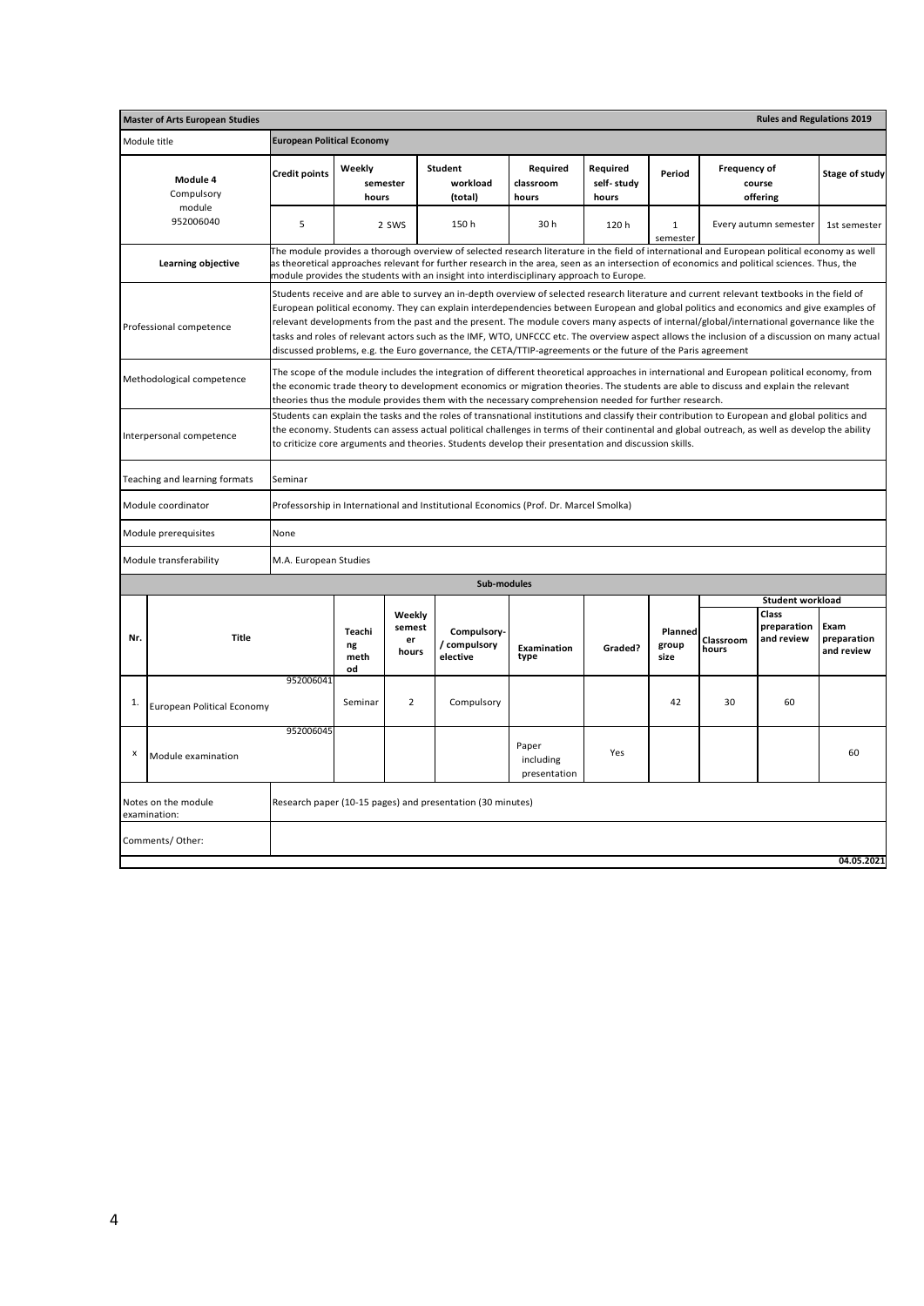|              | <b>Master of Arts European Studies</b> |                                   |                             |                       |                                                                                                                                                                                                                                                                                                                                                                                                                                                                                                                                                                                                                                                                                                  |                                    |                                 |                          |                     | <b>Rules and Regulations 2019</b>       |                                   |
|--------------|----------------------------------------|-----------------------------------|-----------------------------|-----------------------|--------------------------------------------------------------------------------------------------------------------------------------------------------------------------------------------------------------------------------------------------------------------------------------------------------------------------------------------------------------------------------------------------------------------------------------------------------------------------------------------------------------------------------------------------------------------------------------------------------------------------------------------------------------------------------------------------|------------------------------------|---------------------------------|--------------------------|---------------------|-----------------------------------------|-----------------------------------|
| Module title |                                        | <b>European Political Economy</b> |                             |                       |                                                                                                                                                                                                                                                                                                                                                                                                                                                                                                                                                                                                                                                                                                  |                                    |                                 |                          |                     |                                         |                                   |
|              | Module 4<br>Compulsory                 | <b>Credit points</b>              | Weekly<br>semester<br>hours |                       | <b>Student</b><br>workload<br>(total)                                                                                                                                                                                                                                                                                                                                                                                                                                                                                                                                                                                                                                                            | Required<br>classroom<br>hours     | Required<br>self-study<br>hours | Period                   | <b>Frequency of</b> | course<br>offering                      | Stage of study                    |
|              | module<br>952006040                    | 5                                 |                             | 2 SWS                 | 150h                                                                                                                                                                                                                                                                                                                                                                                                                                                                                                                                                                                                                                                                                             | 30h                                | 120h                            | $\mathbf{1}$<br>semester |                     | Every autumn semester                   | 1st semester                      |
|              | Learning objective                     |                                   |                             |                       | The module provides a thorough overview of selected research literature in the field of international and European political economy as well<br>as theoretical approaches relevant for further research in the area, seen as an intersection of economics and political sciences. Thus, the<br>module provides the students with an insight into interdisciplinary approach to Europe.                                                                                                                                                                                                                                                                                                           |                                    |                                 |                          |                     |                                         |                                   |
|              | Professional competence                |                                   |                             |                       | Students receive and are able to survey an in-depth overview of selected research literature and current relevant textbooks in the field of<br>European political economy. They can explain interdependencies between European and global politics and economics and give examples of<br>relevant developments from the past and the present. The module covers many aspects of internal/global/international governance like the<br>tasks and roles of relevant actors such as the IMF, WTO, UNFCCC etc. The overview aspect allows the inclusion of a discussion on many actual<br>discussed problems, e.g. the Euro governance, the CETA/TTIP-agreements or the future of the Paris agreement |                                    |                                 |                          |                     |                                         |                                   |
|              | Methodological competence              |                                   |                             |                       | The scope of the module includes the integration of different theoretical approaches in international and European political economy, from<br>the economic trade theory to development economics or migration theories. The students are able to discuss and explain the relevant<br>theories thus the module provides them with the necessary comprehension needed for further research.                                                                                                                                                                                                                                                                                                        |                                    |                                 |                          |                     |                                         |                                   |
|              | Interpersonal competence               |                                   |                             |                       | Students can explain the tasks and the roles of transnational institutions and classify their contribution to European and global politics and<br>the economy. Students can assess actual political challenges in terms of their continental and global outreach, as well as develop the ability<br>to criticize core arguments and theories. Students develop their presentation and discussion skills.                                                                                                                                                                                                                                                                                         |                                    |                                 |                          |                     |                                         |                                   |
|              | Teaching and learning formats          | Seminar                           |                             |                       |                                                                                                                                                                                                                                                                                                                                                                                                                                                                                                                                                                                                                                                                                                  |                                    |                                 |                          |                     |                                         |                                   |
|              | Module coordinator                     |                                   |                             |                       | Professorship in International and Institutional Economics (Prof. Dr. Marcel Smolka)                                                                                                                                                                                                                                                                                                                                                                                                                                                                                                                                                                                                             |                                    |                                 |                          |                     |                                         |                                   |
|              | Module prerequisites                   | None                              |                             |                       |                                                                                                                                                                                                                                                                                                                                                                                                                                                                                                                                                                                                                                                                                                  |                                    |                                 |                          |                     |                                         |                                   |
|              | Module transferability                 | M.A. European Studies             |                             |                       |                                                                                                                                                                                                                                                                                                                                                                                                                                                                                                                                                                                                                                                                                                  |                                    |                                 |                          |                     |                                         |                                   |
|              |                                        |                                   |                             |                       | Sub-modules                                                                                                                                                                                                                                                                                                                                                                                                                                                                                                                                                                                                                                                                                      |                                    |                                 |                          |                     |                                         |                                   |
|              |                                        |                                   |                             | Weekly                |                                                                                                                                                                                                                                                                                                                                                                                                                                                                                                                                                                                                                                                                                                  |                                    |                                 |                          |                     | <b>Student workload</b><br><b>Class</b> |                                   |
| Nr.          | <b>Title</b>                           |                                   | Teachi<br>ng<br>meth<br>od  | semest<br>er<br>hours | <b>Compulsory</b><br>/ compulsory<br>elective                                                                                                                                                                                                                                                                                                                                                                                                                                                                                                                                                                                                                                                    | Examination<br>type                | Graded?                         | Planned<br>group<br>size | Classroom<br>hours  | preparation<br>and review               | Exam<br>preparation<br>and review |
| 1.           | <b>European Political Economy</b>      | 952006041                         | Seminar                     | $\overline{2}$        | Compulsory                                                                                                                                                                                                                                                                                                                                                                                                                                                                                                                                                                                                                                                                                       |                                    |                                 | 42                       | 30                  | 60                                      |                                   |
| x            | Module examination                     | 952006045                         |                             |                       |                                                                                                                                                                                                                                                                                                                                                                                                                                                                                                                                                                                                                                                                                                  | Paper<br>including<br>presentation | Yes                             |                          |                     |                                         | 60                                |
| examination: | Notes on the module                    |                                   |                             |                       | Research paper (10-15 pages) and presentation (30 minutes)                                                                                                                                                                                                                                                                                                                                                                                                                                                                                                                                                                                                                                       |                                    |                                 |                          |                     |                                         |                                   |
|              | Comments/ Other:                       |                                   |                             |                       |                                                                                                                                                                                                                                                                                                                                                                                                                                                                                                                                                                                                                                                                                                  |                                    |                                 |                          |                     |                                         | 04.05.2021                        |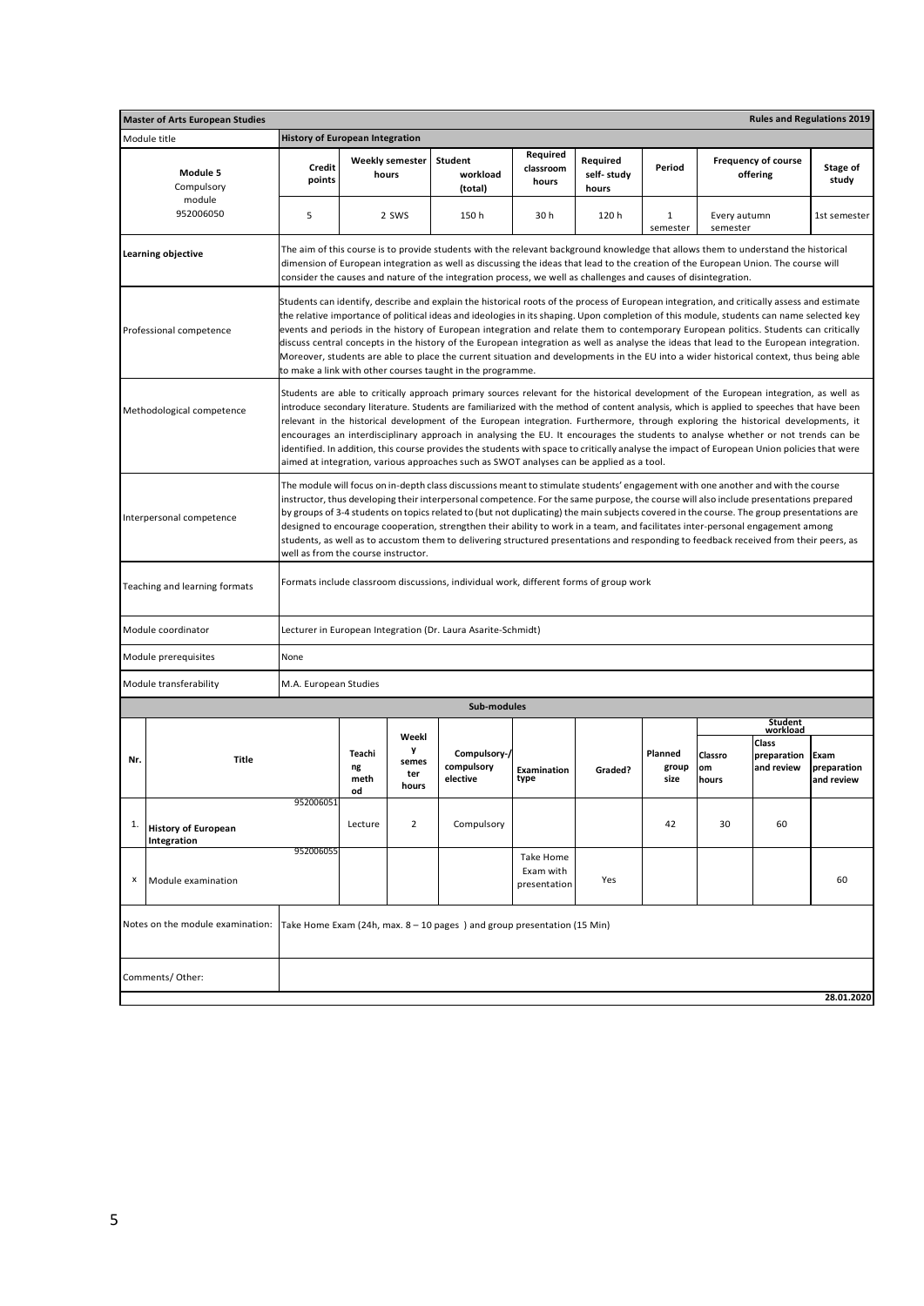|     | <b>Master of Arts European Studies</b>                                                                                                                                                                                                                                                                                                                                                                                                                                                                                                                                                                                                                                                                                                                               |                                        |                            |                            |                                                                                                                                                                                                                                                                                                                                                                                                                                                                                                                                                                                                                                                                                                                                                                                                             |                                        |                                 |                          |                          |                                        | <b>Rules and Regulations 2019</b> |
|-----|----------------------------------------------------------------------------------------------------------------------------------------------------------------------------------------------------------------------------------------------------------------------------------------------------------------------------------------------------------------------------------------------------------------------------------------------------------------------------------------------------------------------------------------------------------------------------------------------------------------------------------------------------------------------------------------------------------------------------------------------------------------------|----------------------------------------|----------------------------|----------------------------|-------------------------------------------------------------------------------------------------------------------------------------------------------------------------------------------------------------------------------------------------------------------------------------------------------------------------------------------------------------------------------------------------------------------------------------------------------------------------------------------------------------------------------------------------------------------------------------------------------------------------------------------------------------------------------------------------------------------------------------------------------------------------------------------------------------|----------------------------------------|---------------------------------|--------------------------|--------------------------|----------------------------------------|-----------------------------------|
|     | Module title                                                                                                                                                                                                                                                                                                                                                                                                                                                                                                                                                                                                                                                                                                                                                         | <b>History of European Integration</b> |                            |                            |                                                                                                                                                                                                                                                                                                                                                                                                                                                                                                                                                                                                                                                                                                                                                                                                             |                                        |                                 |                          |                          |                                        |                                   |
|     | Module 5<br>Compulsory                                                                                                                                                                                                                                                                                                                                                                                                                                                                                                                                                                                                                                                                                                                                               | Credit<br>points                       | hours                      | <b>Weekly semester</b>     | Student<br>workload<br>(total)                                                                                                                                                                                                                                                                                                                                                                                                                                                                                                                                                                                                                                                                                                                                                                              | Required<br>classroom<br>hours         | Required<br>self-study<br>hours | Period                   |                          | <b>Frequency of course</b><br>offering | Stage of<br>study                 |
|     | module<br>952006050                                                                                                                                                                                                                                                                                                                                                                                                                                                                                                                                                                                                                                                                                                                                                  | 5                                      |                            | 2 SWS                      | 150h                                                                                                                                                                                                                                                                                                                                                                                                                                                                                                                                                                                                                                                                                                                                                                                                        | 30h                                    | 120 h                           | 1<br>semester            | Every autumn<br>semester |                                        | 1st semester                      |
|     | Learning objective                                                                                                                                                                                                                                                                                                                                                                                                                                                                                                                                                                                                                                                                                                                                                   |                                        |                            |                            | The aim of this course is to provide students with the relevant background knowledge that allows them to understand the historical<br>dimension of European integration as well as discussing the ideas that lead to the creation of the European Union. The course will<br>consider the causes and nature of the integration process, we well as challenges and causes of disintegration.                                                                                                                                                                                                                                                                                                                                                                                                                  |                                        |                                 |                          |                          |                                        |                                   |
|     | Professional competence                                                                                                                                                                                                                                                                                                                                                                                                                                                                                                                                                                                                                                                                                                                                              |                                        |                            |                            | Students can identify, describe and explain the historical roots of the process of European integration, and critically assess and estimate<br>the relative importance of political ideas and ideologies in its shaping. Upon completion of this module, students can name selected key<br>events and periods in the history of European integration and relate them to contemporary European politics. Students can critically<br>discuss central concepts in the history of the European integration as well as analyse the ideas that lead to the European integration.<br>Moreover, students are able to place the current situation and developments in the EU into a wider historical context, thus being able<br>to make a link with other courses taught in the programme.                          |                                        |                                 |                          |                          |                                        |                                   |
|     | Methodological competence                                                                                                                                                                                                                                                                                                                                                                                                                                                                                                                                                                                                                                                                                                                                            |                                        |                            |                            | Students are able to critically approach primary sources relevant for the historical development of the European integration, as well as<br>introduce secondary literature. Students are familiarized with the method of content analysis, which is applied to speeches that have been<br>relevant in the historical development of the European integration. Furthermore, through exploring the historical developments, it<br>encourages an interdisciplinary approach in analysing the EU. It encourages the students to analyse whether or not trends can be<br>identified. In addition, this course provides the students with space to critically analyse the impact of European Union policies that were<br>aimed at integration, various approaches such as SWOT analyses can be applied as a tool. |                                        |                                 |                          |                          |                                        |                                   |
|     | The module will focus on in-depth class discussions meant to stimulate students' engagement with one another and with the course<br>instructor, thus developing their interpersonal competence. For the same purpose, the course will also include presentations prepared<br>by groups of 3-4 students on topics related to (but not duplicating) the main subjects covered in the course. The group presentations are<br>Interpersonal competence<br>designed to encourage cooperation, strengthen their ability to work in a team, and facilitates inter-personal engagement among<br>students, as well as to accustom them to delivering structured presentations and responding to feedback received from their peers, as<br>well as from the course instructor. |                                        |                            |                            |                                                                                                                                                                                                                                                                                                                                                                                                                                                                                                                                                                                                                                                                                                                                                                                                             |                                        |                                 |                          |                          |                                        |                                   |
|     | Teaching and learning formats                                                                                                                                                                                                                                                                                                                                                                                                                                                                                                                                                                                                                                                                                                                                        |                                        |                            |                            | Formats include classroom discussions, individual work, different forms of group work                                                                                                                                                                                                                                                                                                                                                                                                                                                                                                                                                                                                                                                                                                                       |                                        |                                 |                          |                          |                                        |                                   |
|     | Module coordinator                                                                                                                                                                                                                                                                                                                                                                                                                                                                                                                                                                                                                                                                                                                                                   |                                        |                            |                            | Lecturer in European Integration (Dr. Laura Asarite-Schmidt)                                                                                                                                                                                                                                                                                                                                                                                                                                                                                                                                                                                                                                                                                                                                                |                                        |                                 |                          |                          |                                        |                                   |
|     | Module prerequisites                                                                                                                                                                                                                                                                                                                                                                                                                                                                                                                                                                                                                                                                                                                                                 | None                                   |                            |                            |                                                                                                                                                                                                                                                                                                                                                                                                                                                                                                                                                                                                                                                                                                                                                                                                             |                                        |                                 |                          |                          |                                        |                                   |
|     | Module transferability                                                                                                                                                                                                                                                                                                                                                                                                                                                                                                                                                                                                                                                                                                                                               | M.A. European Studies                  |                            |                            |                                                                                                                                                                                                                                                                                                                                                                                                                                                                                                                                                                                                                                                                                                                                                                                                             |                                        |                                 |                          |                          |                                        |                                   |
|     |                                                                                                                                                                                                                                                                                                                                                                                                                                                                                                                                                                                                                                                                                                                                                                      |                                        |                            |                            | Sub-modules                                                                                                                                                                                                                                                                                                                                                                                                                                                                                                                                                                                                                                                                                                                                                                                                 |                                        |                                 |                          |                          |                                        |                                   |
|     |                                                                                                                                                                                                                                                                                                                                                                                                                                                                                                                                                                                                                                                                                                                                                                      |                                        |                            | Weekl                      |                                                                                                                                                                                                                                                                                                                                                                                                                                                                                                                                                                                                                                                                                                                                                                                                             |                                        |                                 |                          |                          | Student<br>workload                    |                                   |
| Nr. | <b>Title</b>                                                                                                                                                                                                                                                                                                                                                                                                                                                                                                                                                                                                                                                                                                                                                         |                                        | Teachi<br>ng<br>meth<br>od | y<br>semes<br>ter<br>hours | Compulsory-/<br>compulsory<br>elective                                                                                                                                                                                                                                                                                                                                                                                                                                                                                                                                                                                                                                                                                                                                                                      | Examination<br>type                    | Graded?                         | Planned<br>group<br>size | Classro<br>om<br>hours   | Class<br>preparation<br>and review     | Exam<br>preparation<br>and review |
| 1.  | <b>History of European</b><br>Integration                                                                                                                                                                                                                                                                                                                                                                                                                                                                                                                                                                                                                                                                                                                            | 952006051                              | Lecture                    | $\overline{2}$             | Compulsory                                                                                                                                                                                                                                                                                                                                                                                                                                                                                                                                                                                                                                                                                                                                                                                                  |                                        |                                 | 42                       | 30                       | 60                                     |                                   |
| х   | Module examination                                                                                                                                                                                                                                                                                                                                                                                                                                                                                                                                                                                                                                                                                                                                                   | 952006055                              |                            |                            |                                                                                                                                                                                                                                                                                                                                                                                                                                                                                                                                                                                                                                                                                                                                                                                                             | Take Home<br>Exam with<br>presentation | Yes                             |                          |                          |                                        | 60                                |
|     | Notes on the module examination:                                                                                                                                                                                                                                                                                                                                                                                                                                                                                                                                                                                                                                                                                                                                     |                                        |                            |                            | Take Home Exam (24h, max. 8 - 10 pages) and group presentation (15 Min)                                                                                                                                                                                                                                                                                                                                                                                                                                                                                                                                                                                                                                                                                                                                     |                                        |                                 |                          |                          |                                        |                                   |
|     | Comments/Other:                                                                                                                                                                                                                                                                                                                                                                                                                                                                                                                                                                                                                                                                                                                                                      |                                        |                            |                            |                                                                                                                                                                                                                                                                                                                                                                                                                                                                                                                                                                                                                                                                                                                                                                                                             |                                        |                                 |                          |                          |                                        |                                   |
|     |                                                                                                                                                                                                                                                                                                                                                                                                                                                                                                                                                                                                                                                                                                                                                                      |                                        |                            |                            |                                                                                                                                                                                                                                                                                                                                                                                                                                                                                                                                                                                                                                                                                                                                                                                                             |                                        |                                 |                          |                          |                                        | 28.01.2020                        |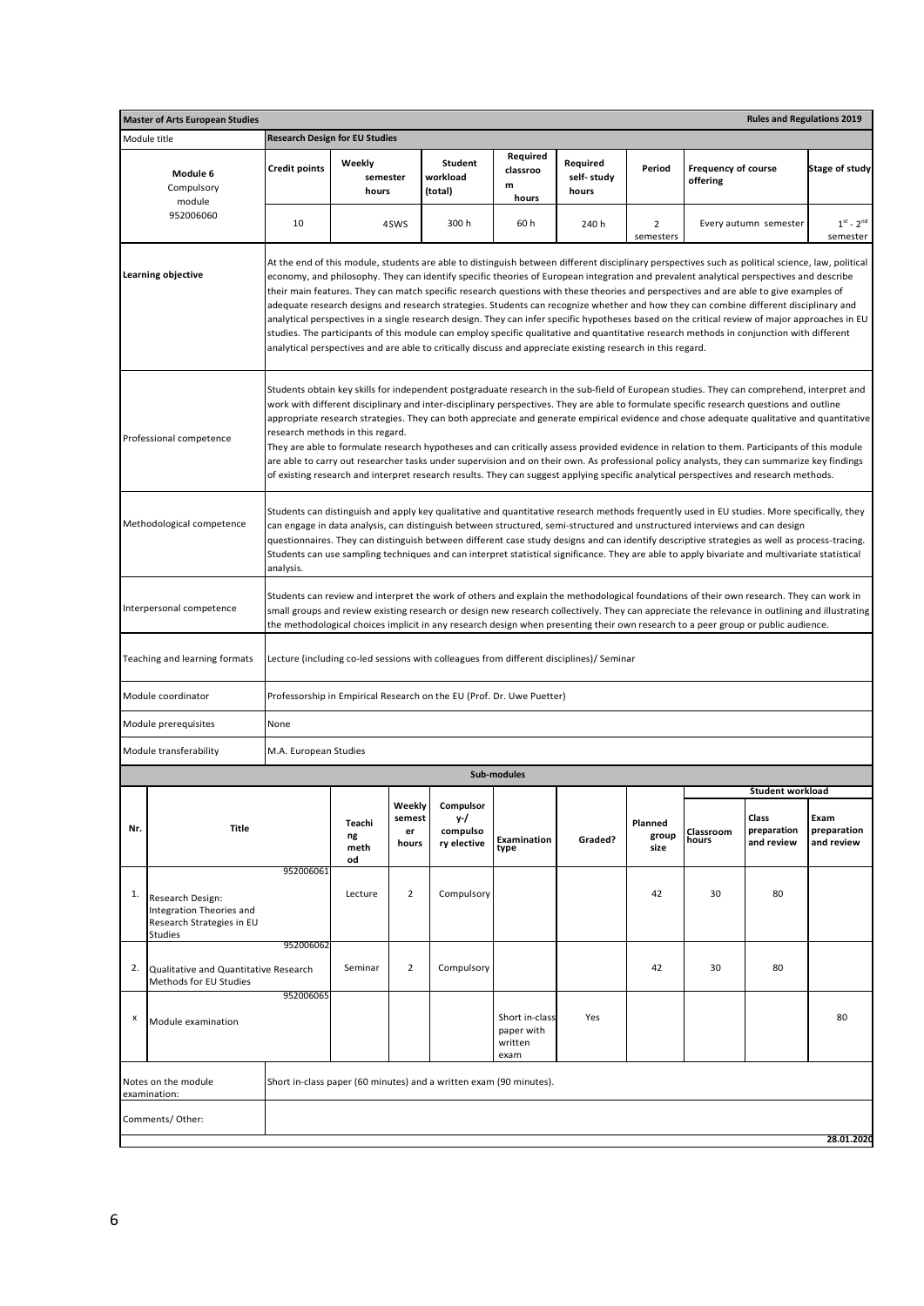|     | <b>Master of Arts European Studies</b>                                                      |                                       |                             |                                 |                                                                       |                                                 |                                                                                                                                                                                                                                                                                                                                                                                                                                                                                                                                                                                                                                                                                                                                                                                                                                                                                                                                                                                             |                             |                                        | <b>Rules and Regulations 2019</b>                      |                                   |
|-----|---------------------------------------------------------------------------------------------|---------------------------------------|-----------------------------|---------------------------------|-----------------------------------------------------------------------|-------------------------------------------------|---------------------------------------------------------------------------------------------------------------------------------------------------------------------------------------------------------------------------------------------------------------------------------------------------------------------------------------------------------------------------------------------------------------------------------------------------------------------------------------------------------------------------------------------------------------------------------------------------------------------------------------------------------------------------------------------------------------------------------------------------------------------------------------------------------------------------------------------------------------------------------------------------------------------------------------------------------------------------------------------|-----------------------------|----------------------------------------|--------------------------------------------------------|-----------------------------------|
|     | Module title                                                                                | <b>Research Design for EU Studies</b> |                             |                                 |                                                                       |                                                 |                                                                                                                                                                                                                                                                                                                                                                                                                                                                                                                                                                                                                                                                                                                                                                                                                                                                                                                                                                                             |                             |                                        |                                                        |                                   |
|     | Module 6<br>Compulsory<br>module                                                            | <b>Credit points</b>                  | Weekly<br>semester<br>hours |                                 | Student<br>workload<br>(total)                                        | Required<br>classroo<br>m<br>hours              | Required<br>self-study<br>hours                                                                                                                                                                                                                                                                                                                                                                                                                                                                                                                                                                                                                                                                                                                                                                                                                                                                                                                                                             | Period                      | <b>Frequency of course</b><br>offering |                                                        | <b>Stage of study</b>             |
|     | 952006060                                                                                   | 10                                    |                             | 4SWS                            | 300 h                                                                 | 60 h                                            | 240 h                                                                                                                                                                                                                                                                                                                                                                                                                                                                                                                                                                                                                                                                                                                                                                                                                                                                                                                                                                                       | $\overline{2}$<br>semesters |                                        | Every autumn semester                                  | $1st - 2nd$<br>semester           |
|     | Learning objective                                                                          |                                       |                             |                                 |                                                                       |                                                 | At the end of this module, students are able to distinguish between different disciplinary perspectives such as political science, law, political<br>economy, and philosophy. They can identify specific theories of European integration and prevalent analytical perspectives and describe<br>their main features. They can match specific research questions with these theories and perspectives and are able to give examples of<br>adequate research designs and research strategies. Students can recognize whether and how they can combine different disciplinary and<br>analytical perspectives in a single research design. They can infer specific hypotheses based on the critical review of major approaches in EU<br>studies. The participants of this module can employ specific qualitative and quantitative research methods in conjunction with different<br>analytical perspectives and are able to critically discuss and appreciate existing research in this regard. |                             |                                        |                                                        |                                   |
|     | Professional competence                                                                     | research methods in this regard.      |                             |                                 |                                                                       |                                                 | Students obtain key skills for independent postgraduate research in the sub-field of European studies. They can comprehend, interpret and<br>work with different disciplinary and inter-disciplinary perspectives. They are able to formulate specific research questions and outline<br>appropriate research strategies. They can both appreciate and generate empirical evidence and chose adequate qualitative and quantitative<br>They are able to formulate research hypotheses and can critically assess provided evidence in relation to them. Participants of this module<br>are able to carry out researcher tasks under supervision and on their own. As professional policy analysts, they can summarize key findings<br>of existing research and interpret research results. They can suggest applying specific analytical perspectives and research methods.                                                                                                                   |                             |                                        |                                                        |                                   |
|     | Methodological competence                                                                   | analysis.                             |                             |                                 |                                                                       |                                                 | Students can distinguish and apply key qualitative and quantitative research methods frequently used in EU studies. More specifically, they<br>can engage in data analysis, can distinguish between structured, semi-structured and unstructured interviews and can design<br>questionnaires. They can distinguish between different case study designs and can identify descriptive strategies as well as process-tracing.<br>Students can use sampling techniques and can interpret statistical significance. They are able to apply bivariate and multivariate statistical                                                                                                                                                                                                                                                                                                                                                                                                               |                             |                                        |                                                        |                                   |
|     | Interpersonal competence                                                                    |                                       |                             |                                 |                                                                       |                                                 | Students can review and interpret the work of others and explain the methodological foundations of their own research. They can work in<br>small groups and review existing research or design new research collectively. They can appreciate the relevance in outlining and illustrating<br>the methodological choices implicit in any research design when presenting their own research to a peer group or public audience.                                                                                                                                                                                                                                                                                                                                                                                                                                                                                                                                                              |                             |                                        |                                                        |                                   |
|     | Teaching and learning formats                                                               |                                       |                             |                                 |                                                                       |                                                 | Lecture (including co-led sessions with colleagues from different disciplines)/ Seminar                                                                                                                                                                                                                                                                                                                                                                                                                                                                                                                                                                                                                                                                                                                                                                                                                                                                                                     |                             |                                        |                                                        |                                   |
|     | Module coordinator                                                                          |                                       |                             |                                 | Professorship in Empirical Research on the EU (Prof. Dr. Uwe Puetter) |                                                 |                                                                                                                                                                                                                                                                                                                                                                                                                                                                                                                                                                                                                                                                                                                                                                                                                                                                                                                                                                                             |                             |                                        |                                                        |                                   |
|     | Module prerequisites                                                                        | None                                  |                             |                                 |                                                                       |                                                 |                                                                                                                                                                                                                                                                                                                                                                                                                                                                                                                                                                                                                                                                                                                                                                                                                                                                                                                                                                                             |                             |                                        |                                                        |                                   |
|     | Module transferability                                                                      | M.A. European Studies                 |                             |                                 |                                                                       |                                                 |                                                                                                                                                                                                                                                                                                                                                                                                                                                                                                                                                                                                                                                                                                                                                                                                                                                                                                                                                                                             |                             |                                        |                                                        |                                   |
|     |                                                                                             |                                       |                             |                                 |                                                                       | Sub-modules                                     |                                                                                                                                                                                                                                                                                                                                                                                                                                                                                                                                                                                                                                                                                                                                                                                                                                                                                                                                                                                             |                             |                                        |                                                        |                                   |
| Nr. | Title                                                                                       |                                       | Teachi<br>ng<br>meth<br>od  | Weekly<br>semest<br>er<br>hours | Compulsor<br>у-/<br>compulso<br>ry elective                           | Examination<br>type                             | Graded?                                                                                                                                                                                                                                                                                                                                                                                                                                                                                                                                                                                                                                                                                                                                                                                                                                                                                                                                                                                     | Planned<br>group<br>size    | Classroom<br>hours                     | Student workload<br>Class<br>preparation<br>and review | Exam<br>preparation<br>and review |
| 1.  | Research Design:<br>Integration Theories and<br>Research Strategies in EU<br><b>Studies</b> | 952006061                             | Lecture                     | $\overline{2}$                  | Compulsory                                                            |                                                 |                                                                                                                                                                                                                                                                                                                                                                                                                                                                                                                                                                                                                                                                                                                                                                                                                                                                                                                                                                                             | 42                          | 30                                     | 80                                                     |                                   |
| 2.  | Qualitative and Quantitative Research<br>Methods for EU Studies                             | 952006062                             | Seminar                     | $\overline{2}$                  | Compulsory                                                            |                                                 |                                                                                                                                                                                                                                                                                                                                                                                                                                                                                                                                                                                                                                                                                                                                                                                                                                                                                                                                                                                             | 42                          | 30                                     | 80                                                     |                                   |
| x   | Module examination                                                                          | 952006065                             |                             |                                 |                                                                       | Short in-class<br>paper with<br>written<br>exam | Yes                                                                                                                                                                                                                                                                                                                                                                                                                                                                                                                                                                                                                                                                                                                                                                                                                                                                                                                                                                                         |                             |                                        |                                                        | 80                                |
|     | Notes on the module<br>examination:                                                         |                                       |                             |                                 | Short in-class paper (60 minutes) and a written exam (90 minutes).    |                                                 |                                                                                                                                                                                                                                                                                                                                                                                                                                                                                                                                                                                                                                                                                                                                                                                                                                                                                                                                                                                             |                             |                                        |                                                        |                                   |
|     | Comments/Other:<br>28.01.2020                                                               |                                       |                             |                                 |                                                                       |                                                 |                                                                                                                                                                                                                                                                                                                                                                                                                                                                                                                                                                                                                                                                                                                                                                                                                                                                                                                                                                                             |                             |                                        |                                                        |                                   |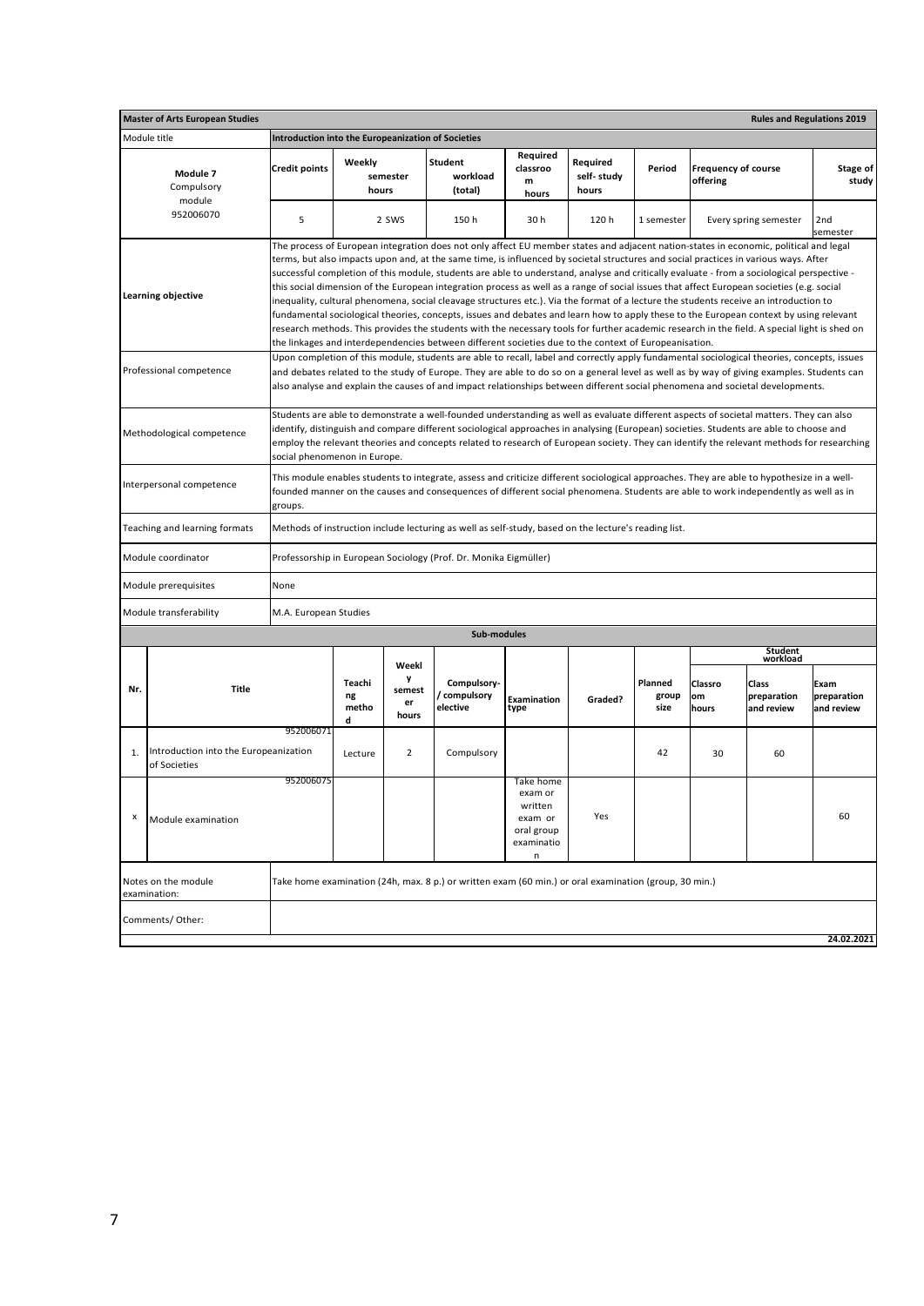|                                                                                                                                                                                                                                                                                                                         | <b>Rules and Regulations 2019</b><br><b>Master of Arts European Studies</b> |                                                    |                            |                            |                                                                                                                                                                                                                                                                                                                                                                                                                                                                                                                                                                                                                                                                                                                                                                                                                                                                                                                                                                                                                                                                                                                      |                                                                             |                                 |                          |                                        |                                    |                                   |  |
|-------------------------------------------------------------------------------------------------------------------------------------------------------------------------------------------------------------------------------------------------------------------------------------------------------------------------|-----------------------------------------------------------------------------|----------------------------------------------------|----------------------------|----------------------------|----------------------------------------------------------------------------------------------------------------------------------------------------------------------------------------------------------------------------------------------------------------------------------------------------------------------------------------------------------------------------------------------------------------------------------------------------------------------------------------------------------------------------------------------------------------------------------------------------------------------------------------------------------------------------------------------------------------------------------------------------------------------------------------------------------------------------------------------------------------------------------------------------------------------------------------------------------------------------------------------------------------------------------------------------------------------------------------------------------------------|-----------------------------------------------------------------------------|---------------------------------|--------------------------|----------------------------------------|------------------------------------|-----------------------------------|--|
|                                                                                                                                                                                                                                                                                                                         | Module title                                                                | Introduction into the Europeanization of Societies |                            |                            |                                                                                                                                                                                                                                                                                                                                                                                                                                                                                                                                                                                                                                                                                                                                                                                                                                                                                                                                                                                                                                                                                                                      |                                                                             |                                 |                          |                                        |                                    |                                   |  |
|                                                                                                                                                                                                                                                                                                                         | Module 7<br>Compulsory                                                      | <b>Credit points</b>                               | Weekly<br>hours            | semester                   | <b>Student</b><br>workload<br>(total)                                                                                                                                                                                                                                                                                                                                                                                                                                                                                                                                                                                                                                                                                                                                                                                                                                                                                                                                                                                                                                                                                | Required<br>classroo<br>m<br>hours                                          | Required<br>self-study<br>hours | Period                   | <b>Frequency of course</b><br>offering |                                    | Stage of<br>study                 |  |
|                                                                                                                                                                                                                                                                                                                         | module<br>952006070                                                         | 5                                                  |                            | 2 SWS                      | 150 h                                                                                                                                                                                                                                                                                                                                                                                                                                                                                                                                                                                                                                                                                                                                                                                                                                                                                                                                                                                                                                                                                                                | 30h                                                                         | 120 h                           | 1 semester               |                                        | Every spring semester              | 2nd<br>semester                   |  |
|                                                                                                                                                                                                                                                                                                                         | Learning objective                                                          |                                                    |                            |                            | The process of European integration does not only affect EU member states and adjacent nation-states in economic, political and legal<br>terms, but also impacts upon and, at the same time, is influenced by societal structures and social practices in various ways. After<br>successful completion of this module, students are able to understand, analyse and critically evaluate - from a sociological perspective -<br>this social dimension of the European integration process as well as a range of social issues that affect European societies (e.g. social<br>inequality, cultural phenomena, social cleavage structures etc.). Via the format of a lecture the students receive an introduction to<br>fundamental sociological theories, concepts, issues and debates and learn how to apply these to the European context by using relevant<br>research methods. This provides the students with the necessary tools for further academic research in the field. A special light is shed on<br>the linkages and interdependencies between different societies due to the context of Europeanisation. |                                                                             |                                 |                          |                                        |                                    |                                   |  |
|                                                                                                                                                                                                                                                                                                                         | Professional competence                                                     |                                                    |                            |                            | Upon completion of this module, students are able to recall, label and correctly apply fundamental sociological theories, concepts, issues<br>and debates related to the study of Europe. They are able to do so on a general level as well as by way of giving examples. Students can<br>also analyse and explain the causes of and impact relationships between different social phenomena and societal developments.                                                                                                                                                                                                                                                                                                                                                                                                                                                                                                                                                                                                                                                                                              |                                                                             |                                 |                          |                                        |                                    |                                   |  |
|                                                                                                                                                                                                                                                                                                                         | Methodological competence                                                   | social phenomenon in Europe.                       |                            |                            | Students are able to demonstrate a well-founded understanding as well as evaluate different aspects of societal matters. They can also<br>identify, distinguish and compare different sociological approaches in analysing (European) societies. Students are able to choose and<br>employ the relevant theories and concepts related to research of European society. They can identify the relevant methods for researching                                                                                                                                                                                                                                                                                                                                                                                                                                                                                                                                                                                                                                                                                        |                                                                             |                                 |                          |                                        |                                    |                                   |  |
| This module enables students to integrate, assess and criticize different sociological approaches. They are able to hypothesize in a well-<br>Interpersonal competence<br>founded manner on the causes and consequences of different social phenomena. Students are able to work independently as well as in<br>groups. |                                                                             |                                                    |                            |                            |                                                                                                                                                                                                                                                                                                                                                                                                                                                                                                                                                                                                                                                                                                                                                                                                                                                                                                                                                                                                                                                                                                                      |                                                                             |                                 |                          |                                        |                                    |                                   |  |
|                                                                                                                                                                                                                                                                                                                         | Teaching and learning formats                                               |                                                    |                            |                            | Methods of instruction include lecturing as well as self-study, based on the lecture's reading list.                                                                                                                                                                                                                                                                                                                                                                                                                                                                                                                                                                                                                                                                                                                                                                                                                                                                                                                                                                                                                 |                                                                             |                                 |                          |                                        |                                    |                                   |  |
|                                                                                                                                                                                                                                                                                                                         | Module coordinator                                                          |                                                    |                            |                            | Professorship in European Sociology (Prof. Dr. Monika Eigmüller)                                                                                                                                                                                                                                                                                                                                                                                                                                                                                                                                                                                                                                                                                                                                                                                                                                                                                                                                                                                                                                                     |                                                                             |                                 |                          |                                        |                                    |                                   |  |
|                                                                                                                                                                                                                                                                                                                         | Module prerequisites                                                        | None                                               |                            |                            |                                                                                                                                                                                                                                                                                                                                                                                                                                                                                                                                                                                                                                                                                                                                                                                                                                                                                                                                                                                                                                                                                                                      |                                                                             |                                 |                          |                                        |                                    |                                   |  |
|                                                                                                                                                                                                                                                                                                                         | Module transferability                                                      | M.A. European Studies                              |                            |                            |                                                                                                                                                                                                                                                                                                                                                                                                                                                                                                                                                                                                                                                                                                                                                                                                                                                                                                                                                                                                                                                                                                                      |                                                                             |                                 |                          |                                        |                                    |                                   |  |
|                                                                                                                                                                                                                                                                                                                         |                                                                             |                                                    |                            |                            | Sub-modules                                                                                                                                                                                                                                                                                                                                                                                                                                                                                                                                                                                                                                                                                                                                                                                                                                                                                                                                                                                                                                                                                                          |                                                                             |                                 |                          |                                        |                                    |                                   |  |
|                                                                                                                                                                                                                                                                                                                         |                                                                             |                                                    |                            | Weekl                      |                                                                                                                                                                                                                                                                                                                                                                                                                                                                                                                                                                                                                                                                                                                                                                                                                                                                                                                                                                                                                                                                                                                      |                                                                             |                                 |                          |                                        | Student<br>workload                |                                   |  |
| Nr.                                                                                                                                                                                                                                                                                                                     | Title                                                                       |                                                    | Teachi<br>ng<br>metho<br>d | y<br>semest<br>er<br>hours | Compulsory-<br>/ compulsory<br>elective                                                                                                                                                                                                                                                                                                                                                                                                                                                                                                                                                                                                                                                                                                                                                                                                                                                                                                                                                                                                                                                                              | Examination<br>type                                                         | Graded?                         | Planned<br>group<br>size | Classro<br>om<br>hours                 | Class<br>preparation<br>and review | Exam<br>preparation<br>and review |  |
| 1.                                                                                                                                                                                                                                                                                                                      | Introduction into the Europeanization<br>of Societies                       | 952006071                                          | Lecture                    | $\overline{2}$             | Compulsory                                                                                                                                                                                                                                                                                                                                                                                                                                                                                                                                                                                                                                                                                                                                                                                                                                                                                                                                                                                                                                                                                                           |                                                                             |                                 | 42                       | 30                                     | 60                                 |                                   |  |
| х                                                                                                                                                                                                                                                                                                                       | Module examination                                                          | 952006075                                          |                            |                            |                                                                                                                                                                                                                                                                                                                                                                                                                                                                                                                                                                                                                                                                                                                                                                                                                                                                                                                                                                                                                                                                                                                      | Take home<br>exam or<br>written<br>exam or<br>oral group<br>examinatio<br>n | Yes                             |                          |                                        |                                    | 60                                |  |
|                                                                                                                                                                                                                                                                                                                         | Notes on the module<br>examination:                                         |                                                    |                            |                            | Take home examination (24h, max. 8 p.) or written exam (60 min.) or oral examination (group, 30 min.)                                                                                                                                                                                                                                                                                                                                                                                                                                                                                                                                                                                                                                                                                                                                                                                                                                                                                                                                                                                                                |                                                                             |                                 |                          |                                        |                                    |                                   |  |
|                                                                                                                                                                                                                                                                                                                         | Comments/Other:<br>24.02.2021                                               |                                                    |                            |                            |                                                                                                                                                                                                                                                                                                                                                                                                                                                                                                                                                                                                                                                                                                                                                                                                                                                                                                                                                                                                                                                                                                                      |                                                                             |                                 |                          |                                        |                                    |                                   |  |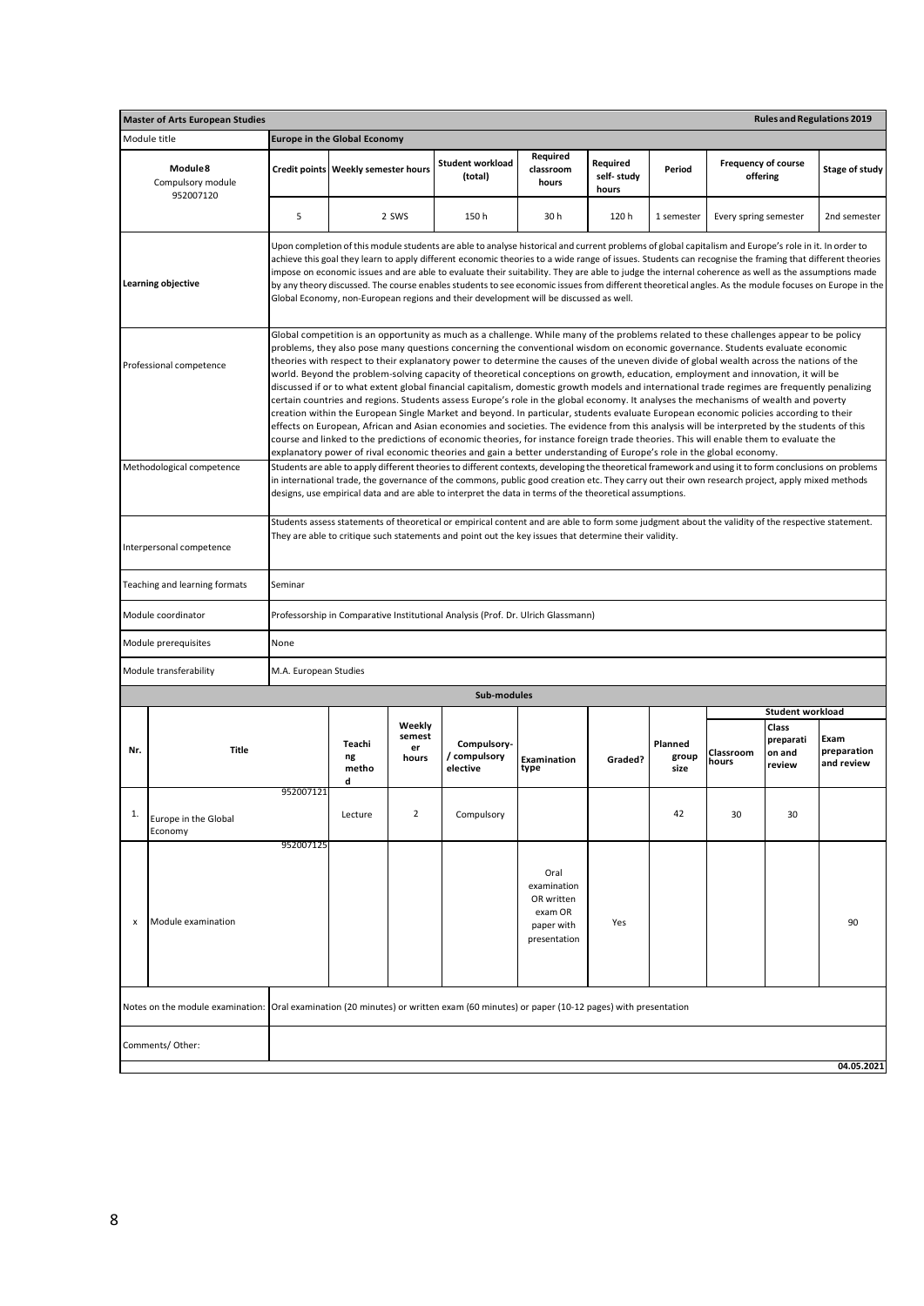|                                                                                                                                                                                                                                                                                        | <b>Master of Arts European Studies</b>                                                                                               |                        |                                     |                                 |                                                                                                                                                                                                                                                                                                                                                                                                                                                                                                                                                                                                                                                                                                                                                                                                                                                                                                                                                                                                                                                                                                                                                                                                                                                                                                                                                                                                            |                                |                                 |                          |                                        | <b>Rules and Regulations 2019</b>      |                                   |
|----------------------------------------------------------------------------------------------------------------------------------------------------------------------------------------------------------------------------------------------------------------------------------------|--------------------------------------------------------------------------------------------------------------------------------------|------------------------|-------------------------------------|---------------------------------|------------------------------------------------------------------------------------------------------------------------------------------------------------------------------------------------------------------------------------------------------------------------------------------------------------------------------------------------------------------------------------------------------------------------------------------------------------------------------------------------------------------------------------------------------------------------------------------------------------------------------------------------------------------------------------------------------------------------------------------------------------------------------------------------------------------------------------------------------------------------------------------------------------------------------------------------------------------------------------------------------------------------------------------------------------------------------------------------------------------------------------------------------------------------------------------------------------------------------------------------------------------------------------------------------------------------------------------------------------------------------------------------------------|--------------------------------|---------------------------------|--------------------------|----------------------------------------|----------------------------------------|-----------------------------------|
|                                                                                                                                                                                                                                                                                        | Module title                                                                                                                         |                        | <b>Europe in the Global Economy</b> |                                 |                                                                                                                                                                                                                                                                                                                                                                                                                                                                                                                                                                                                                                                                                                                                                                                                                                                                                                                                                                                                                                                                                                                                                                                                                                                                                                                                                                                                            |                                |                                 |                          |                                        |                                        |                                   |
|                                                                                                                                                                                                                                                                                        | Module 8<br>Compulsory module<br>952007120                                                                                           |                        | Credit points Weekly semester hours |                                 | <b>Student workload</b><br>(total)                                                                                                                                                                                                                                                                                                                                                                                                                                                                                                                                                                                                                                                                                                                                                                                                                                                                                                                                                                                                                                                                                                                                                                                                                                                                                                                                                                         | Required<br>classroom<br>hours | Required<br>self-study<br>hours | Period                   | <b>Frequency of course</b><br>offering |                                        | Stage of study                    |
|                                                                                                                                                                                                                                                                                        |                                                                                                                                      | 5                      |                                     | 2 SWS                           | 150h                                                                                                                                                                                                                                                                                                                                                                                                                                                                                                                                                                                                                                                                                                                                                                                                                                                                                                                                                                                                                                                                                                                                                                                                                                                                                                                                                                                                       | 30h                            | 120h                            | 1 semester               | Every spring semester                  |                                        | 2nd semester                      |
|                                                                                                                                                                                                                                                                                        | <b>Learning objective</b>                                                                                                            |                        |                                     |                                 | Upon completion of this module students are able to analyse historical and current problems of global capitalism and Europe's role in it. In order to<br>achieve this goal they learn to apply different economic theories to a wide range of issues. Students can recognise the framing that different theories<br>impose on economic issues and are able to evaluate their suitability. They are able to judge the internal coherence as well as the assumptions made<br>by any theory discussed. The course enables students to see economic issues from different theoretical angles. As the module focuses on Europe in the<br>Global Economy, non-European regions and their development will be discussed as well.                                                                                                                                                                                                                                                                                                                                                                                                                                                                                                                                                                                                                                                                                  |                                |                                 |                          |                                        |                                        |                                   |
|                                                                                                                                                                                                                                                                                        | Professional competence                                                                                                              |                        |                                     |                                 | Global competition is an opportunity as much as a challenge. While many of the problems related to these challenges appear to be policy<br>problems, they also pose many questions concerning the conventional wisdom on economic governance. Students evaluate economic<br>theories with respect to their explanatory power to determine the causes of the uneven divide of global wealth across the nations of the<br>world. Beyond the problem-solving capacity of theoretical conceptions on growth, education, employment and innovation, it will be<br>discussed if or to what extent global financial capitalism, domestic growth models and international trade regimes are frequently penalizing<br>certain countries and regions. Students assess Europe's role in the global economy. It analyses the mechanisms of wealth and poverty<br>creation within the European Single Market and beyond. In particular, students evaluate European economic policies according to their<br>effects on European, African and Asian economies and societies. The evidence from this analysis will be interpreted by the students of this<br>course and linked to the predictions of economic theories, for instance foreign trade theories. This will enable them to evaluate the<br>explanatory power of rival economic theories and gain a better understanding of Europe's role in the global economy. |                                |                                 |                          |                                        |                                        |                                   |
|                                                                                                                                                                                                                                                                                        | Methodological competence                                                                                                            |                        |                                     |                                 | Students are able to apply different theories to different contexts, developing the theoretical framework and using it to form conclusions on problems<br>in international trade, the governance of the commons, public good creation etc. They carry out their own research project, apply mixed methods<br>designs, use empirical data and are able to interpret the data in terms of the theoretical assumptions.                                                                                                                                                                                                                                                                                                                                                                                                                                                                                                                                                                                                                                                                                                                                                                                                                                                                                                                                                                                       |                                |                                 |                          |                                        |                                        |                                   |
| Students assess statements of theoretical or empirical content and are able to form some judgment about the validity of the respective statement.<br>They are able to critique such statements and point out the key issues that determine their validity.<br>Interpersonal competence |                                                                                                                                      |                        |                                     |                                 |                                                                                                                                                                                                                                                                                                                                                                                                                                                                                                                                                                                                                                                                                                                                                                                                                                                                                                                                                                                                                                                                                                                                                                                                                                                                                                                                                                                                            |                                |                                 |                          |                                        |                                        |                                   |
|                                                                                                                                                                                                                                                                                        | Teaching and learning formats                                                                                                        | Seminar                |                                     |                                 |                                                                                                                                                                                                                                                                                                                                                                                                                                                                                                                                                                                                                                                                                                                                                                                                                                                                                                                                                                                                                                                                                                                                                                                                                                                                                                                                                                                                            |                                |                                 |                          |                                        |                                        |                                   |
|                                                                                                                                                                                                                                                                                        | Module coordinator                                                                                                                   |                        |                                     |                                 | Professorship in Comparative Institutional Analysis (Prof. Dr. Ulrich Glassmann)                                                                                                                                                                                                                                                                                                                                                                                                                                                                                                                                                                                                                                                                                                                                                                                                                                                                                                                                                                                                                                                                                                                                                                                                                                                                                                                           |                                |                                 |                          |                                        |                                        |                                   |
|                                                                                                                                                                                                                                                                                        | Module prerequisites                                                                                                                 | None                   |                                     |                                 |                                                                                                                                                                                                                                                                                                                                                                                                                                                                                                                                                                                                                                                                                                                                                                                                                                                                                                                                                                                                                                                                                                                                                                                                                                                                                                                                                                                                            |                                |                                 |                          |                                        |                                        |                                   |
|                                                                                                                                                                                                                                                                                        | Module transferability                                                                                                               | M.A. European Studies  |                                     |                                 |                                                                                                                                                                                                                                                                                                                                                                                                                                                                                                                                                                                                                                                                                                                                                                                                                                                                                                                                                                                                                                                                                                                                                                                                                                                                                                                                                                                                            |                                |                                 |                          |                                        |                                        |                                   |
|                                                                                                                                                                                                                                                                                        |                                                                                                                                      |                        |                                     |                                 | Sub-modules                                                                                                                                                                                                                                                                                                                                                                                                                                                                                                                                                                                                                                                                                                                                                                                                                                                                                                                                                                                                                                                                                                                                                                                                                                                                                                                                                                                                |                                |                                 |                          |                                        | <b>Student workload</b>                |                                   |
| Nr.                                                                                                                                                                                                                                                                                    | <b>Title</b>                                                                                                                         |                        | Teachi<br>ng<br>metho<br>d          | Weekly<br>semest<br>er<br>hours | Compulsory-<br>/ compulsory<br>elective                                                                                                                                                                                                                                                                                                                                                                                                                                                                                                                                                                                                                                                                                                                                                                                                                                                                                                                                                                                                                                                                                                                                                                                                                                                                                                                                                                    | Examination<br>type            | Graded?                         | Planned<br>group<br>size | Classroom<br>hours                     | Class<br>preparati<br>on and<br>review | Exam<br>preparation<br>and review |
| 1.                                                                                                                                                                                                                                                                                     | Europe in the Global<br>Economy                                                                                                      | 952007121<br>952007125 | Lecture                             | $\overline{2}$                  | Compulsory                                                                                                                                                                                                                                                                                                                                                                                                                                                                                                                                                                                                                                                                                                                                                                                                                                                                                                                                                                                                                                                                                                                                                                                                                                                                                                                                                                                                 |                                |                                 | 42                       | 30                                     | 30                                     |                                   |
| Oral<br>examination<br>OR written<br>exam OR<br>Module examination<br>Yes<br>x<br>paper with<br>presentation                                                                                                                                                                           |                                                                                                                                      |                        |                                     |                                 |                                                                                                                                                                                                                                                                                                                                                                                                                                                                                                                                                                                                                                                                                                                                                                                                                                                                                                                                                                                                                                                                                                                                                                                                                                                                                                                                                                                                            |                                |                                 |                          |                                        |                                        | 90                                |
|                                                                                                                                                                                                                                                                                        | Notes on the module examination: Oral examination (20 minutes) or written exam (60 minutes) or paper (10-12 pages) with presentation |                        |                                     |                                 |                                                                                                                                                                                                                                                                                                                                                                                                                                                                                                                                                                                                                                                                                                                                                                                                                                                                                                                                                                                                                                                                                                                                                                                                                                                                                                                                                                                                            |                                |                                 |                          |                                        |                                        |                                   |
|                                                                                                                                                                                                                                                                                        | Comments/ Other:<br>04.05.2021                                                                                                       |                        |                                     |                                 |                                                                                                                                                                                                                                                                                                                                                                                                                                                                                                                                                                                                                                                                                                                                                                                                                                                                                                                                                                                                                                                                                                                                                                                                                                                                                                                                                                                                            |                                |                                 |                          |                                        |                                        |                                   |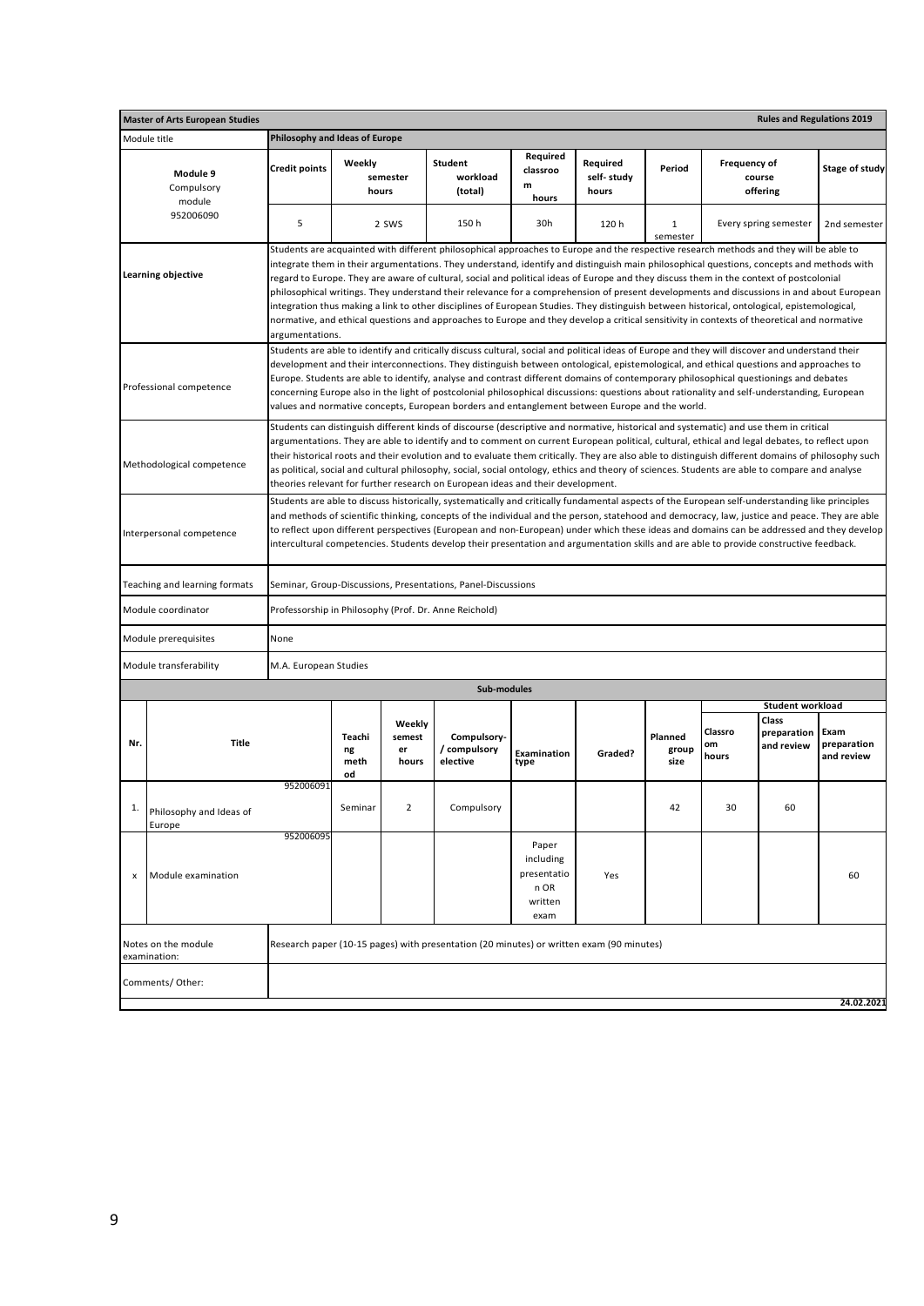| <b>Master of Arts European Studies</b>                                                                                                                                                                                                                                                                                                                                                                                                                                                                                                                                                                              |                                |                            |                                 |                                                                                                                                                                                                                                                                                                                                                                                                                                                                                                                                                                                                                                                                                                                                                                                                                                                                          |                                                              |                                 |                          |                        | <b>Rules and Regulations 2019</b>  |                                   |
|---------------------------------------------------------------------------------------------------------------------------------------------------------------------------------------------------------------------------------------------------------------------------------------------------------------------------------------------------------------------------------------------------------------------------------------------------------------------------------------------------------------------------------------------------------------------------------------------------------------------|--------------------------------|----------------------------|---------------------------------|--------------------------------------------------------------------------------------------------------------------------------------------------------------------------------------------------------------------------------------------------------------------------------------------------------------------------------------------------------------------------------------------------------------------------------------------------------------------------------------------------------------------------------------------------------------------------------------------------------------------------------------------------------------------------------------------------------------------------------------------------------------------------------------------------------------------------------------------------------------------------|--------------------------------------------------------------|---------------------------------|--------------------------|------------------------|------------------------------------|-----------------------------------|
| Module title                                                                                                                                                                                                                                                                                                                                                                                                                                                                                                                                                                                                        | Philosophy and Ideas of Europe |                            |                                 |                                                                                                                                                                                                                                                                                                                                                                                                                                                                                                                                                                                                                                                                                                                                                                                                                                                                          |                                                              |                                 |                          |                        |                                    |                                   |
| Module 9<br>Compulsory<br>module                                                                                                                                                                                                                                                                                                                                                                                                                                                                                                                                                                                    | <b>Credit points</b>           | Weekly<br>hours            | semester                        | Student<br>workload<br>(total)                                                                                                                                                                                                                                                                                                                                                                                                                                                                                                                                                                                                                                                                                                                                                                                                                                           | Required<br>classroo<br>m<br>hours                           | Required<br>self-study<br>hours | Period                   | Frequency of           | course<br>offering                 | Stage of study                    |
| 952006090                                                                                                                                                                                                                                                                                                                                                                                                                                                                                                                                                                                                           | 5                              |                            | 2 SWS                           | 150h                                                                                                                                                                                                                                                                                                                                                                                                                                                                                                                                                                                                                                                                                                                                                                                                                                                                     | 30h                                                          | 120h                            | $\mathbf{1}$<br>semester |                        | Every spring semester              | 2nd semester                      |
| Learning objective                                                                                                                                                                                                                                                                                                                                                                                                                                                                                                                                                                                                  | argumentations.                |                            |                                 | Students are acquainted with different philosophical approaches to Europe and the respective research methods and they will be able to<br>integrate them in their argumentations. They understand, identify and distinguish main philosophical questions, concepts and methods with<br>regard to Europe. They are aware of cultural, social and political ideas of Europe and they discuss them in the context of postcolonial<br>philosophical writings. They understand their relevance for a comprehension of present developments and discussions in and about European<br>integration thus making a link to other disciplines of European Studies. They distinguish between historical, ontological, epistemological,<br>normative, and ethical questions and approaches to Europe and they develop a critical sensitivity in contexts of theoretical and normative |                                                              |                                 |                          |                        |                                    |                                   |
| Professional competence                                                                                                                                                                                                                                                                                                                                                                                                                                                                                                                                                                                             |                                |                            |                                 | Students are able to identify and critically discuss cultural, social and political ideas of Europe and they will discover and understand their<br>development and their interconnections. They distinguish between ontological, epistemological, and ethical questions and approaches to<br>Europe. Students are able to identify, analyse and contrast different domains of contemporary philosophical questionings and debates<br>concerning Europe also in the light of postcolonial philosophical discussions: questions about rationality and self-understanding, European<br>values and normative concepts, European borders and entanglement between Europe and the world.                                                                                                                                                                                       |                                                              |                                 |                          |                        |                                    |                                   |
| Methodological competence                                                                                                                                                                                                                                                                                                                                                                                                                                                                                                                                                                                           |                                |                            |                                 | Students can distinguish different kinds of discourse (descriptive and normative, historical and systematic) and use them in critical<br>argumentations. They are able to identify and to comment on current European political, cultural, ethical and legal debates, to reflect upon<br>their historical roots and their evolution and to evaluate them critically. They are also able to distinguish different domains of philosophy such<br>as political, social and cultural philosophy, social, social ontology, ethics and theory of sciences. Students are able to compare and analyse<br>theories relevant for further research on European ideas and their development.                                                                                                                                                                                         |                                                              |                                 |                          |                        |                                    |                                   |
| Students are able to discuss historically, systematically and critically fundamental aspects of the European self-understanding like principles<br>and methods of scientific thinking, concepts of the individual and the person, statehood and democracy, law, justice and peace. They are able<br>to reflect upon different perspectives (European and non-European) under which these ideas and domains can be addressed and they develop<br>Interpersonal competence<br>intercultural competencies. Students develop their presentation and argumentation skills and are able to provide constructive feedback. |                                |                            |                                 |                                                                                                                                                                                                                                                                                                                                                                                                                                                                                                                                                                                                                                                                                                                                                                                                                                                                          |                                                              |                                 |                          |                        |                                    |                                   |
| Teaching and learning formats                                                                                                                                                                                                                                                                                                                                                                                                                                                                                                                                                                                       |                                |                            |                                 | Seminar, Group-Discussions, Presentations, Panel-Discussions                                                                                                                                                                                                                                                                                                                                                                                                                                                                                                                                                                                                                                                                                                                                                                                                             |                                                              |                                 |                          |                        |                                    |                                   |
| Module coordinator                                                                                                                                                                                                                                                                                                                                                                                                                                                                                                                                                                                                  |                                |                            |                                 | Professorship in Philosophy (Prof. Dr. Anne Reichold)                                                                                                                                                                                                                                                                                                                                                                                                                                                                                                                                                                                                                                                                                                                                                                                                                    |                                                              |                                 |                          |                        |                                    |                                   |
| Module prerequisites                                                                                                                                                                                                                                                                                                                                                                                                                                                                                                                                                                                                | None                           |                            |                                 |                                                                                                                                                                                                                                                                                                                                                                                                                                                                                                                                                                                                                                                                                                                                                                                                                                                                          |                                                              |                                 |                          |                        |                                    |                                   |
| Module transferability                                                                                                                                                                                                                                                                                                                                                                                                                                                                                                                                                                                              | M.A. European Studies          |                            |                                 |                                                                                                                                                                                                                                                                                                                                                                                                                                                                                                                                                                                                                                                                                                                                                                                                                                                                          |                                                              |                                 |                          |                        |                                    |                                   |
|                                                                                                                                                                                                                                                                                                                                                                                                                                                                                                                                                                                                                     |                                |                            |                                 | Sub-modules                                                                                                                                                                                                                                                                                                                                                                                                                                                                                                                                                                                                                                                                                                                                                                                                                                                              |                                                              |                                 |                          |                        | Student workload                   |                                   |
| <b>Title</b><br>Nr.                                                                                                                                                                                                                                                                                                                                                                                                                                                                                                                                                                                                 |                                | Teachi<br>ng<br>meth<br>od | Weekly<br>semest<br>er<br>hours | Compulsory-<br>/ compulsory<br>elective                                                                                                                                                                                                                                                                                                                                                                                                                                                                                                                                                                                                                                                                                                                                                                                                                                  | Examination<br>type                                          | Graded?                         | Planned<br>group<br>size | Classro<br>om<br>hours | Class<br>preparation<br>and review | Exam<br>preparation<br>and review |
| 1.<br>Philosophy and Ideas of<br>Europe                                                                                                                                                                                                                                                                                                                                                                                                                                                                                                                                                                             | 952006091                      | Seminar                    | 2                               | Compulsory                                                                                                                                                                                                                                                                                                                                                                                                                                                                                                                                                                                                                                                                                                                                                                                                                                                               |                                                              |                                 | 42                       | 30                     | 60                                 |                                   |
| Module examination<br>x                                                                                                                                                                                                                                                                                                                                                                                                                                                                                                                                                                                             | 952006095                      |                            |                                 |                                                                                                                                                                                                                                                                                                                                                                                                                                                                                                                                                                                                                                                                                                                                                                                                                                                                          | Paper<br>including<br>presentatio<br>n OR<br>written<br>exam | Yes                             |                          |                        |                                    | 60                                |
| Notes on the module<br>examination:                                                                                                                                                                                                                                                                                                                                                                                                                                                                                                                                                                                 |                                |                            |                                 | Research paper (10-15 pages) with presentation (20 minutes) or written exam (90 minutes)                                                                                                                                                                                                                                                                                                                                                                                                                                                                                                                                                                                                                                                                                                                                                                                 |                                                              |                                 |                          |                        |                                    |                                   |
| Comments/ Other:                                                                                                                                                                                                                                                                                                                                                                                                                                                                                                                                                                                                    |                                |                            |                                 |                                                                                                                                                                                                                                                                                                                                                                                                                                                                                                                                                                                                                                                                                                                                                                                                                                                                          |                                                              |                                 |                          |                        |                                    | 24.02.2021                        |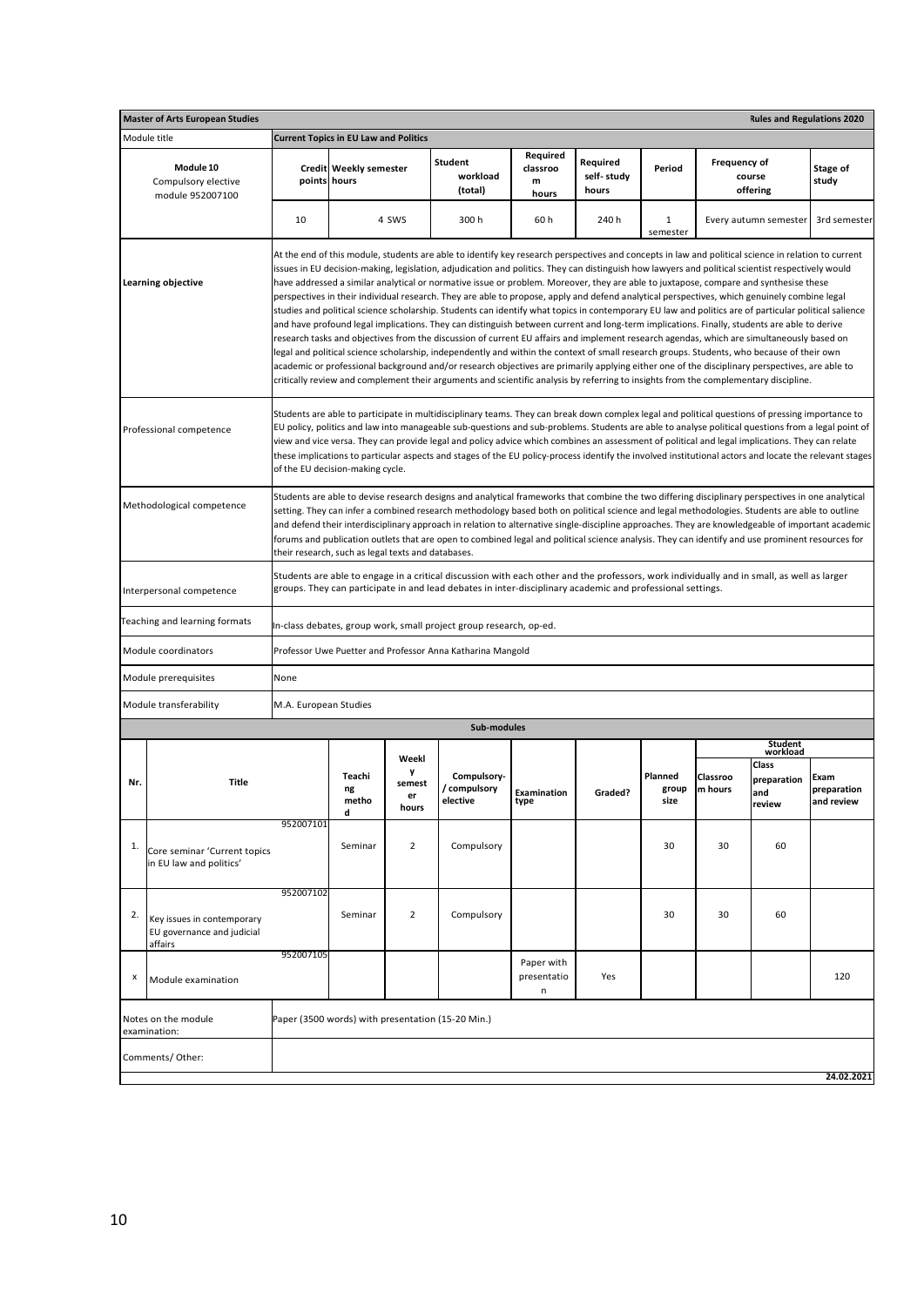|                                                                                                                                                                                                                                                                                                                                                                                                                                                                                                                                                                                                                                                                                                | <b>Master of Arts European Studies</b>                              |                       |                                               |                            |                                                                                                                                                                                                                                                                                                                                                                                                                                                                                                                                                                                                                                                                                                                                                                                                                                                                                                                                                                                                                                                                                                                                                                                                                                                                                                                                                                                                                                                                                                |                                    |                                 |                          |                     | <b>Rules and Regulations 2020</b>   |                                   |
|------------------------------------------------------------------------------------------------------------------------------------------------------------------------------------------------------------------------------------------------------------------------------------------------------------------------------------------------------------------------------------------------------------------------------------------------------------------------------------------------------------------------------------------------------------------------------------------------------------------------------------------------------------------------------------------------|---------------------------------------------------------------------|-----------------------|-----------------------------------------------|----------------------------|------------------------------------------------------------------------------------------------------------------------------------------------------------------------------------------------------------------------------------------------------------------------------------------------------------------------------------------------------------------------------------------------------------------------------------------------------------------------------------------------------------------------------------------------------------------------------------------------------------------------------------------------------------------------------------------------------------------------------------------------------------------------------------------------------------------------------------------------------------------------------------------------------------------------------------------------------------------------------------------------------------------------------------------------------------------------------------------------------------------------------------------------------------------------------------------------------------------------------------------------------------------------------------------------------------------------------------------------------------------------------------------------------------------------------------------------------------------------------------------------|------------------------------------|---------------------------------|--------------------------|---------------------|-------------------------------------|-----------------------------------|
|                                                                                                                                                                                                                                                                                                                                                                                                                                                                                                                                                                                                                                                                                                | Module title                                                        |                       | <b>Current Topics in EU Law and Politics</b>  |                            |                                                                                                                                                                                                                                                                                                                                                                                                                                                                                                                                                                                                                                                                                                                                                                                                                                                                                                                                                                                                                                                                                                                                                                                                                                                                                                                                                                                                                                                                                                |                                    |                                 |                          |                     |                                     |                                   |
|                                                                                                                                                                                                                                                                                                                                                                                                                                                                                                                                                                                                                                                                                                | Module 10<br>Compulsory elective<br>module 952007100                |                       | <b>Credit Weekly semester</b><br>points hours |                            | Student<br>workload<br>(total)                                                                                                                                                                                                                                                                                                                                                                                                                                                                                                                                                                                                                                                                                                                                                                                                                                                                                                                                                                                                                                                                                                                                                                                                                                                                                                                                                                                                                                                                 | Required<br>classroo<br>m<br>hours | Required<br>self-study<br>hours | Period                   | <b>Frequency of</b> | course<br>offering                  | Stage of<br>study                 |
|                                                                                                                                                                                                                                                                                                                                                                                                                                                                                                                                                                                                                                                                                                |                                                                     | 10                    |                                               | 4 SWS                      | 300 h                                                                                                                                                                                                                                                                                                                                                                                                                                                                                                                                                                                                                                                                                                                                                                                                                                                                                                                                                                                                                                                                                                                                                                                                                                                                                                                                                                                                                                                                                          | 60 h                               | 240 h                           | 1<br>semester            |                     | Every autumn semester               | 3rd semester                      |
|                                                                                                                                                                                                                                                                                                                                                                                                                                                                                                                                                                                                                                                                                                | Learning objective                                                  |                       |                                               |                            | At the end of this module, students are able to identify key research perspectives and concepts in law and political science in relation to current<br>issues in EU decision-making, legislation, adjudication and politics. They can distinguish how lawyers and political scientist respectively would<br>have addressed a similar analytical or normative issue or problem. Moreover, they are able to juxtapose, compare and synthesise these<br>perspectives in their individual research. They are able to propose, apply and defend analytical perspectives, which genuinely combine legal<br>studies and political science scholarship. Students can identify what topics in contemporary EU law and politics are of particular political salience<br>and have profound legal implications. They can distinguish between current and long-term implications. Finally, students are able to derive<br>research tasks and objectives from the discussion of current EU affairs and implement research agendas, which are simultaneously based on<br>legal and political science scholarship, independently and within the context of small research groups. Students, who because of their own<br>academic or professional background and/or research objectives are primarily applying either one of the disciplinary perspectives, are able to<br>critically review and complement their arguments and scientific analysis by referring to insights from the complementary discipline. |                                    |                                 |                          |                     |                                     |                                   |
|                                                                                                                                                                                                                                                                                                                                                                                                                                                                                                                                                                                                                                                                                                | Professional competence                                             |                       | of the EU decision-making cycle.              |                            | Students are able to participate in multidisciplinary teams. They can break down complex legal and political questions of pressing importance to<br>EU policy, politics and law into manageable sub-questions and sub-problems. Students are able to analyse political questions from a legal point of<br>view and vice versa. They can provide legal and policy advice which combines an assessment of political and legal implications. They can relate<br>these implications to particular aspects and stages of the EU policy-process identify the involved institutional actors and locate the relevant stages                                                                                                                                                                                                                                                                                                                                                                                                                                                                                                                                                                                                                                                                                                                                                                                                                                                                            |                                    |                                 |                          |                     |                                     |                                   |
| Students are able to devise research designs and analytical frameworks that combine the two differing disciplinary perspectives in one analytical<br>Methodological competence<br>setting. They can infer a combined research methodology based both on political science and legal methodologies. Students are able to outline<br>and defend their interdisciplinary approach in relation to alternative single-discipline approaches. They are knowledgeable of important academic<br>forums and publication outlets that are open to combined legal and political science analysis. They can identify and use prominent resources for<br>their research, such as legal texts and databases. |                                                                     |                       |                                               |                            |                                                                                                                                                                                                                                                                                                                                                                                                                                                                                                                                                                                                                                                                                                                                                                                                                                                                                                                                                                                                                                                                                                                                                                                                                                                                                                                                                                                                                                                                                                |                                    |                                 |                          |                     |                                     |                                   |
|                                                                                                                                                                                                                                                                                                                                                                                                                                                                                                                                                                                                                                                                                                | Interpersonal competence                                            |                       |                                               |                            | Students are able to engage in a critical discussion with each other and the professors, work individually and in small, as well as larger<br>groups. They can participate in and lead debates in inter-disciplinary academic and professional settings.                                                                                                                                                                                                                                                                                                                                                                                                                                                                                                                                                                                                                                                                                                                                                                                                                                                                                                                                                                                                                                                                                                                                                                                                                                       |                                    |                                 |                          |                     |                                     |                                   |
|                                                                                                                                                                                                                                                                                                                                                                                                                                                                                                                                                                                                                                                                                                | Teaching and learning formats                                       |                       |                                               |                            | In-class debates, group work, small project group research, op-ed.                                                                                                                                                                                                                                                                                                                                                                                                                                                                                                                                                                                                                                                                                                                                                                                                                                                                                                                                                                                                                                                                                                                                                                                                                                                                                                                                                                                                                             |                                    |                                 |                          |                     |                                     |                                   |
|                                                                                                                                                                                                                                                                                                                                                                                                                                                                                                                                                                                                                                                                                                | Module coordinators                                                 |                       |                                               |                            | Professor Uwe Puetter and Professor Anna Katharina Mangold                                                                                                                                                                                                                                                                                                                                                                                                                                                                                                                                                                                                                                                                                                                                                                                                                                                                                                                                                                                                                                                                                                                                                                                                                                                                                                                                                                                                                                     |                                    |                                 |                          |                     |                                     |                                   |
|                                                                                                                                                                                                                                                                                                                                                                                                                                                                                                                                                                                                                                                                                                | Module prerequisites                                                | None                  |                                               |                            |                                                                                                                                                                                                                                                                                                                                                                                                                                                                                                                                                                                                                                                                                                                                                                                                                                                                                                                                                                                                                                                                                                                                                                                                                                                                                                                                                                                                                                                                                                |                                    |                                 |                          |                     |                                     |                                   |
|                                                                                                                                                                                                                                                                                                                                                                                                                                                                                                                                                                                                                                                                                                | Module transferability                                              | M.A. European Studies |                                               |                            |                                                                                                                                                                                                                                                                                                                                                                                                                                                                                                                                                                                                                                                                                                                                                                                                                                                                                                                                                                                                                                                                                                                                                                                                                                                                                                                                                                                                                                                                                                |                                    |                                 |                          |                     |                                     |                                   |
|                                                                                                                                                                                                                                                                                                                                                                                                                                                                                                                                                                                                                                                                                                |                                                                     |                       |                                               |                            | Sub-modules                                                                                                                                                                                                                                                                                                                                                                                                                                                                                                                                                                                                                                                                                                                                                                                                                                                                                                                                                                                                                                                                                                                                                                                                                                                                                                                                                                                                                                                                                    |                                    |                                 |                          |                     |                                     |                                   |
|                                                                                                                                                                                                                                                                                                                                                                                                                                                                                                                                                                                                                                                                                                |                                                                     |                       |                                               | Weekl                      |                                                                                                                                                                                                                                                                                                                                                                                                                                                                                                                                                                                                                                                                                                                                                                                                                                                                                                                                                                                                                                                                                                                                                                                                                                                                                                                                                                                                                                                                                                |                                    |                                 |                          |                     | <b>Student</b><br>workload<br>Class |                                   |
| Nr.                                                                                                                                                                                                                                                                                                                                                                                                                                                                                                                                                                                                                                                                                            | Title                                                               |                       | Teachi<br>ng<br>metho<br>d                    | y<br>semest<br>er<br>hours | Compulsory-<br>/ compulsory<br>elective                                                                                                                                                                                                                                                                                                                                                                                                                                                                                                                                                                                                                                                                                                                                                                                                                                                                                                                                                                                                                                                                                                                                                                                                                                                                                                                                                                                                                                                        | Examination<br>type                | Graded?                         | Planned<br>group<br>size | Classroo<br>m hours | preparation<br>and<br>review        | Exam<br>preparation<br>and review |
| 1.                                                                                                                                                                                                                                                                                                                                                                                                                                                                                                                                                                                                                                                                                             | Core seminar 'Current topics<br>in EU law and politics'             | 952007101             | Seminar                                       | $\overline{2}$             | Compulsory                                                                                                                                                                                                                                                                                                                                                                                                                                                                                                                                                                                                                                                                                                                                                                                                                                                                                                                                                                                                                                                                                                                                                                                                                                                                                                                                                                                                                                                                                     |                                    |                                 | 30                       | 30                  | 60                                  |                                   |
| 2.                                                                                                                                                                                                                                                                                                                                                                                                                                                                                                                                                                                                                                                                                             | Key issues in contemporary<br>EU governance and judicial<br>affairs | 952007102             | Seminar                                       | $\overline{2}$             | Compulsory                                                                                                                                                                                                                                                                                                                                                                                                                                                                                                                                                                                                                                                                                                                                                                                                                                                                                                                                                                                                                                                                                                                                                                                                                                                                                                                                                                                                                                                                                     |                                    |                                 | 30                       | 30                  | 60                                  |                                   |
| x                                                                                                                                                                                                                                                                                                                                                                                                                                                                                                                                                                                                                                                                                              | Module examination                                                  | 952007105             |                                               |                            |                                                                                                                                                                                                                                                                                                                                                                                                                                                                                                                                                                                                                                                                                                                                                                                                                                                                                                                                                                                                                                                                                                                                                                                                                                                                                                                                                                                                                                                                                                | Paper with<br>presentatio<br>n     | Yes                             |                          |                     |                                     | 120                               |
|                                                                                                                                                                                                                                                                                                                                                                                                                                                                                                                                                                                                                                                                                                | Notes on the module<br>examination:                                 |                       |                                               |                            | Paper (3500 words) with presentation (15-20 Min.)                                                                                                                                                                                                                                                                                                                                                                                                                                                                                                                                                                                                                                                                                                                                                                                                                                                                                                                                                                                                                                                                                                                                                                                                                                                                                                                                                                                                                                              |                                    |                                 |                          |                     |                                     |                                   |
|                                                                                                                                                                                                                                                                                                                                                                                                                                                                                                                                                                                                                                                                                                | Comments/ Other:                                                    |                       |                                               |                            |                                                                                                                                                                                                                                                                                                                                                                                                                                                                                                                                                                                                                                                                                                                                                                                                                                                                                                                                                                                                                                                                                                                                                                                                                                                                                                                                                                                                                                                                                                |                                    |                                 |                          |                     |                                     | 24.02.2021                        |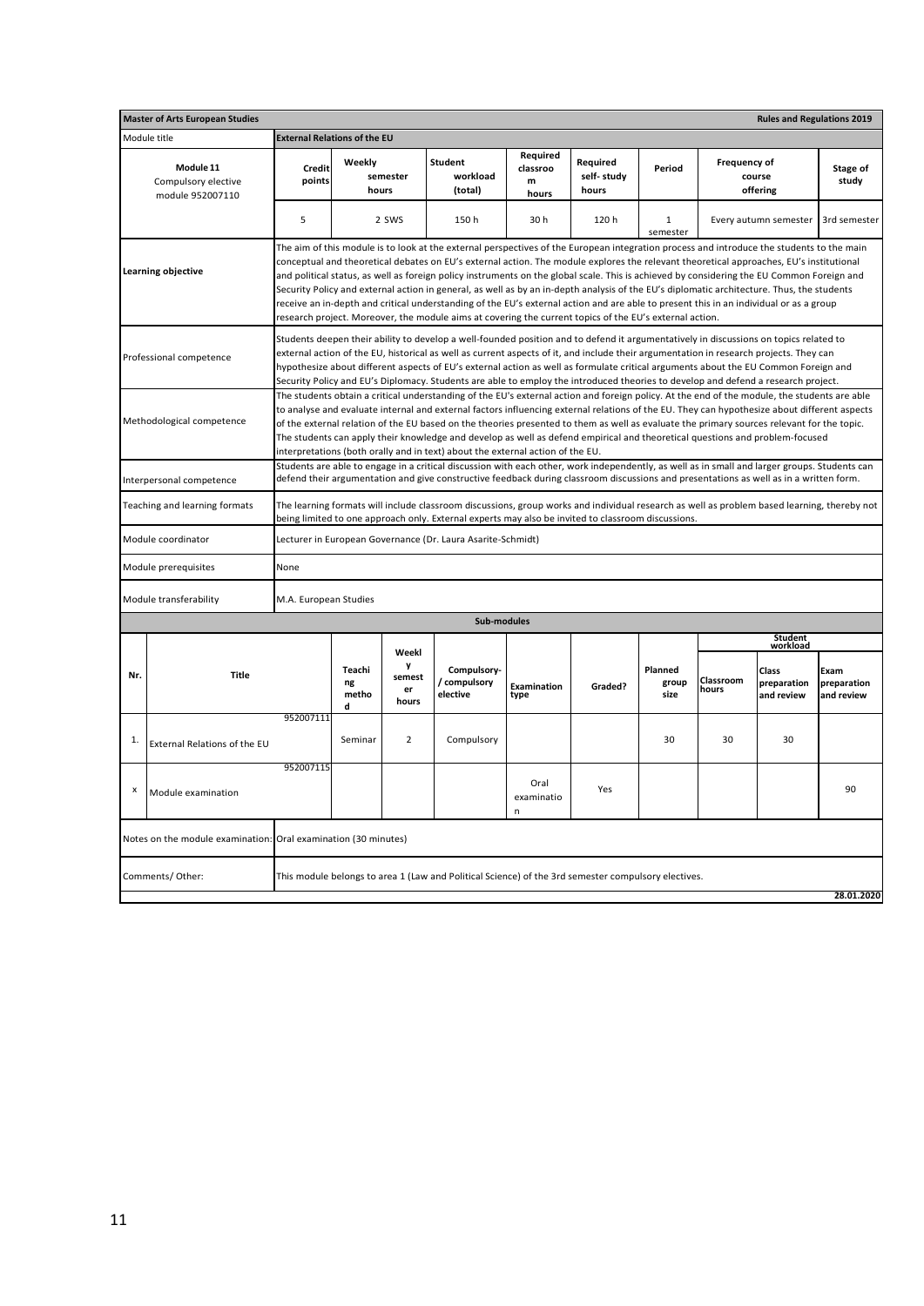|                                                                                                                                                                                                                                                                                                                                                                                                                                                                                                                                                                                                                                                                                                                                                                                                                                            | <b>Master of Arts European Studies</b>                         |                                     |                            |                            |                                                                                                                                                                                                                                                                                                                                                                                                                                                                                                                                                                                                                                                                                                                                                                                                                                       |                                    |                                 |                          |                     | <b>Rules and Regulations 2019</b>  |                                   |
|--------------------------------------------------------------------------------------------------------------------------------------------------------------------------------------------------------------------------------------------------------------------------------------------------------------------------------------------------------------------------------------------------------------------------------------------------------------------------------------------------------------------------------------------------------------------------------------------------------------------------------------------------------------------------------------------------------------------------------------------------------------------------------------------------------------------------------------------|----------------------------------------------------------------|-------------------------------------|----------------------------|----------------------------|---------------------------------------------------------------------------------------------------------------------------------------------------------------------------------------------------------------------------------------------------------------------------------------------------------------------------------------------------------------------------------------------------------------------------------------------------------------------------------------------------------------------------------------------------------------------------------------------------------------------------------------------------------------------------------------------------------------------------------------------------------------------------------------------------------------------------------------|------------------------------------|---------------------------------|--------------------------|---------------------|------------------------------------|-----------------------------------|
|                                                                                                                                                                                                                                                                                                                                                                                                                                                                                                                                                                                                                                                                                                                                                                                                                                            | Module title                                                   | <b>External Relations of the EU</b> |                            |                            |                                                                                                                                                                                                                                                                                                                                                                                                                                                                                                                                                                                                                                                                                                                                                                                                                                       |                                    |                                 |                          |                     |                                    |                                   |
|                                                                                                                                                                                                                                                                                                                                                                                                                                                                                                                                                                                                                                                                                                                                                                                                                                            | Module 11<br>Compulsory elective<br>module 952007110           | Credit<br>points                    | Weekly<br>hours            | semester                   | <b>Student</b><br>workload<br>(total)                                                                                                                                                                                                                                                                                                                                                                                                                                                                                                                                                                                                                                                                                                                                                                                                 | Required<br>classroo<br>m<br>hours | Required<br>self-study<br>hours | Period                   | <b>Frequency of</b> | course<br>offering                 | Stage of<br>study                 |
|                                                                                                                                                                                                                                                                                                                                                                                                                                                                                                                                                                                                                                                                                                                                                                                                                                            |                                                                | 5                                   |                            | 2 SWS                      | 150 h                                                                                                                                                                                                                                                                                                                                                                                                                                                                                                                                                                                                                                                                                                                                                                                                                                 | 30 h                               | 120 h                           | $\mathbf{1}$<br>semester |                     | Every autumn semester              | 3rd semester                      |
|                                                                                                                                                                                                                                                                                                                                                                                                                                                                                                                                                                                                                                                                                                                                                                                                                                            | Learning objective                                             |                                     |                            |                            | The aim of this module is to look at the external perspectives of the European integration process and introduce the students to the main<br>conceptual and theoretical debates on EU's external action. The module explores the relevant theoretical approaches, EU's institutional<br>and political status, as well as foreign policy instruments on the global scale. This is achieved by considering the EU Common Foreign and<br>Security Policy and external action in general, as well as by an in-depth analysis of the EU's diplomatic architecture. Thus, the students<br>receive an in-depth and critical understanding of the EU's external action and are able to present this in an individual or as a group<br>research project. Moreover, the module aims at covering the current topics of the EU's external action. |                                    |                                 |                          |                     |                                    |                                   |
|                                                                                                                                                                                                                                                                                                                                                                                                                                                                                                                                                                                                                                                                                                                                                                                                                                            | Professional competence                                        |                                     |                            |                            | Students deepen their ability to develop a well-founded position and to defend it argumentatively in discussions on topics related to<br>external action of the EU, historical as well as current aspects of it, and include their argumentation in research projects. They can<br>hypothesize about different aspects of EU's external action as well as formulate critical arguments about the EU Common Foreign and<br>Security Policy and EU's Diplomacy. Students are able to employ the introduced theories to develop and defend a research project.                                                                                                                                                                                                                                                                           |                                    |                                 |                          |                     |                                    |                                   |
| The students obtain a critical understanding of the EU's external action and foreign policy. At the end of the module, the students are able<br>to analyse and evaluate internal and external factors influencing external relations of the EU. They can hypothesize about different aspects<br>Methodological competence<br>of the external relation of the EU based on the theories presented to them as well as evaluate the primary sources relevant for the topic.<br>The students can apply their knowledge and develop as well as defend empirical and theoretical questions and problem-focused<br>interpretations (both orally and in text) about the external action of the EU.<br>Students are able to engage in a critical discussion with each other, work independently, as well as in small and larger groups. Students can |                                                                |                                     |                            |                            |                                                                                                                                                                                                                                                                                                                                                                                                                                                                                                                                                                                                                                                                                                                                                                                                                                       |                                    |                                 |                          |                     |                                    |                                   |
|                                                                                                                                                                                                                                                                                                                                                                                                                                                                                                                                                                                                                                                                                                                                                                                                                                            | Interpersonal competence                                       |                                     |                            |                            | defend their argumentation and give constructive feedback during classroom discussions and presentations as well as in a written form.                                                                                                                                                                                                                                                                                                                                                                                                                                                                                                                                                                                                                                                                                                |                                    |                                 |                          |                     |                                    |                                   |
|                                                                                                                                                                                                                                                                                                                                                                                                                                                                                                                                                                                                                                                                                                                                                                                                                                            | Teaching and learning formats                                  |                                     |                            |                            | The learning formats will include classroom discussions, group works and individual research as well as problem based learning, thereby not<br>being limited to one approach only. External experts may also be invited to classroom discussions.                                                                                                                                                                                                                                                                                                                                                                                                                                                                                                                                                                                     |                                    |                                 |                          |                     |                                    |                                   |
|                                                                                                                                                                                                                                                                                                                                                                                                                                                                                                                                                                                                                                                                                                                                                                                                                                            | Module coordinator                                             |                                     |                            |                            | Lecturer in European Governance (Dr. Laura Asarite-Schmidt)                                                                                                                                                                                                                                                                                                                                                                                                                                                                                                                                                                                                                                                                                                                                                                           |                                    |                                 |                          |                     |                                    |                                   |
|                                                                                                                                                                                                                                                                                                                                                                                                                                                                                                                                                                                                                                                                                                                                                                                                                                            | Module prerequisites                                           | None                                |                            |                            |                                                                                                                                                                                                                                                                                                                                                                                                                                                                                                                                                                                                                                                                                                                                                                                                                                       |                                    |                                 |                          |                     |                                    |                                   |
|                                                                                                                                                                                                                                                                                                                                                                                                                                                                                                                                                                                                                                                                                                                                                                                                                                            | Module transferability                                         | M.A. European Studies               |                            |                            |                                                                                                                                                                                                                                                                                                                                                                                                                                                                                                                                                                                                                                                                                                                                                                                                                                       |                                    |                                 |                          |                     |                                    |                                   |
|                                                                                                                                                                                                                                                                                                                                                                                                                                                                                                                                                                                                                                                                                                                                                                                                                                            |                                                                |                                     |                            |                            | Sub-modules                                                                                                                                                                                                                                                                                                                                                                                                                                                                                                                                                                                                                                                                                                                                                                                                                           |                                    |                                 |                          |                     |                                    |                                   |
|                                                                                                                                                                                                                                                                                                                                                                                                                                                                                                                                                                                                                                                                                                                                                                                                                                            |                                                                |                                     |                            | Weekl                      |                                                                                                                                                                                                                                                                                                                                                                                                                                                                                                                                                                                                                                                                                                                                                                                                                                       |                                    |                                 |                          |                     | Student<br>workload                |                                   |
| Nr.                                                                                                                                                                                                                                                                                                                                                                                                                                                                                                                                                                                                                                                                                                                                                                                                                                        | <b>Title</b>                                                   |                                     | Teachi<br>ng<br>metho<br>d | y<br>semest<br>er<br>hours | Compulsory-<br>compulsory<br>elective                                                                                                                                                                                                                                                                                                                                                                                                                                                                                                                                                                                                                                                                                                                                                                                                 | <b>Examination</b><br>type         | Graded?                         | Planned<br>group<br>size | Classroom<br>hours  | Class<br>preparation<br>and review | Exam<br>preparation<br>and review |
| 1.                                                                                                                                                                                                                                                                                                                                                                                                                                                                                                                                                                                                                                                                                                                                                                                                                                         | External Relations of the EU                                   | 952007111                           | Seminar                    | 2                          | Compulsory                                                                                                                                                                                                                                                                                                                                                                                                                                                                                                                                                                                                                                                                                                                                                                                                                            |                                    |                                 | 30                       | 30                  | 30                                 |                                   |
| $\pmb{\times}$                                                                                                                                                                                                                                                                                                                                                                                                                                                                                                                                                                                                                                                                                                                                                                                                                             | Module examination                                             | 952007115                           |                            |                            |                                                                                                                                                                                                                                                                                                                                                                                                                                                                                                                                                                                                                                                                                                                                                                                                                                       | Oral<br>examinatio<br>n            | Yes                             |                          |                     |                                    | 90                                |
|                                                                                                                                                                                                                                                                                                                                                                                                                                                                                                                                                                                                                                                                                                                                                                                                                                            | Notes on the module examination: Oral examination (30 minutes) |                                     |                            |                            |                                                                                                                                                                                                                                                                                                                                                                                                                                                                                                                                                                                                                                                                                                                                                                                                                                       |                                    |                                 |                          |                     |                                    |                                   |
|                                                                                                                                                                                                                                                                                                                                                                                                                                                                                                                                                                                                                                                                                                                                                                                                                                            | Comments/Other:                                                |                                     |                            |                            | This module belongs to area 1 (Law and Political Science) of the 3rd semester compulsory electives.                                                                                                                                                                                                                                                                                                                                                                                                                                                                                                                                                                                                                                                                                                                                   |                                    |                                 |                          |                     |                                    |                                   |
|                                                                                                                                                                                                                                                                                                                                                                                                                                                                                                                                                                                                                                                                                                                                                                                                                                            |                                                                |                                     |                            |                            |                                                                                                                                                                                                                                                                                                                                                                                                                                                                                                                                                                                                                                                                                                                                                                                                                                       |                                    |                                 |                          |                     |                                    | 28.01.2020                        |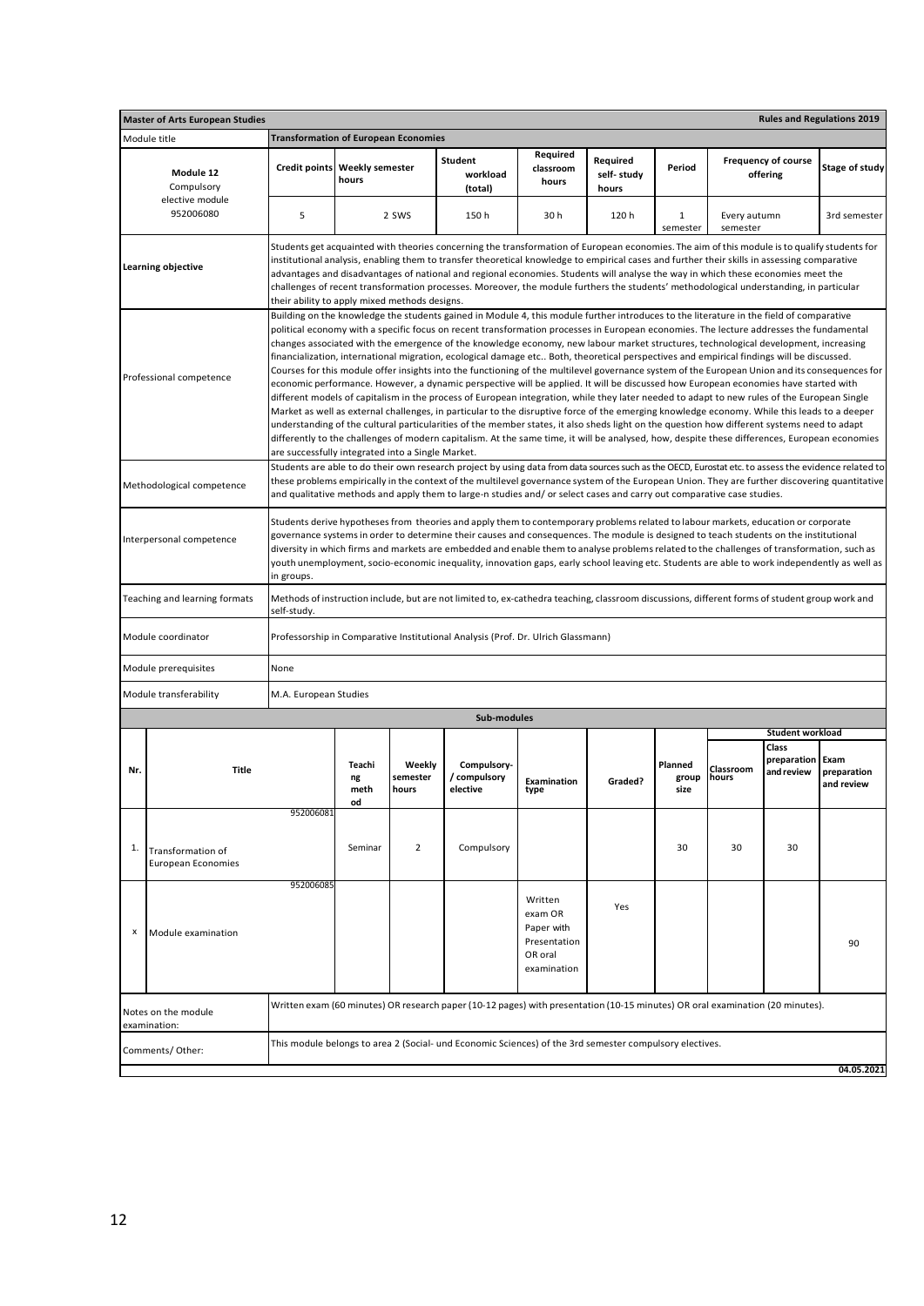|     | <b>Master of Arts European Studies</b>                                                                                                                                                                                                                                                                                                                                                                                                                                                                                                                                                                              |                                                   |                                 |                             |                                                                                                                                                                                                                                                                                                                                                                                                                                                                                                                                                                                                                                                                                                                                                                                                                                                                                                                                                                                                                                                                                                                                                                                                                                                                                                                                                                                                                                                                                                                                                                                                                        |                                                                            |                                 |                          |                          |                                        | <b>Rules and Regulations 2019</b> |
|-----|---------------------------------------------------------------------------------------------------------------------------------------------------------------------------------------------------------------------------------------------------------------------------------------------------------------------------------------------------------------------------------------------------------------------------------------------------------------------------------------------------------------------------------------------------------------------------------------------------------------------|---------------------------------------------------|---------------------------------|-----------------------------|------------------------------------------------------------------------------------------------------------------------------------------------------------------------------------------------------------------------------------------------------------------------------------------------------------------------------------------------------------------------------------------------------------------------------------------------------------------------------------------------------------------------------------------------------------------------------------------------------------------------------------------------------------------------------------------------------------------------------------------------------------------------------------------------------------------------------------------------------------------------------------------------------------------------------------------------------------------------------------------------------------------------------------------------------------------------------------------------------------------------------------------------------------------------------------------------------------------------------------------------------------------------------------------------------------------------------------------------------------------------------------------------------------------------------------------------------------------------------------------------------------------------------------------------------------------------------------------------------------------------|----------------------------------------------------------------------------|---------------------------------|--------------------------|--------------------------|----------------------------------------|-----------------------------------|
|     | Module title                                                                                                                                                                                                                                                                                                                                                                                                                                                                                                                                                                                                        | <b>Transformation of European Economies</b>       |                                 |                             |                                                                                                                                                                                                                                                                                                                                                                                                                                                                                                                                                                                                                                                                                                                                                                                                                                                                                                                                                                                                                                                                                                                                                                                                                                                                                                                                                                                                                                                                                                                                                                                                                        |                                                                            |                                 |                          |                          |                                        |                                   |
|     | Module 12<br>Compulsory                                                                                                                                                                                                                                                                                                                                                                                                                                                                                                                                                                                             | <b>Credit points</b>                              | <b>Weekly semester</b><br>hours |                             | Student<br>workload<br>(total)                                                                                                                                                                                                                                                                                                                                                                                                                                                                                                                                                                                                                                                                                                                                                                                                                                                                                                                                                                                                                                                                                                                                                                                                                                                                                                                                                                                                                                                                                                                                                                                         | Required<br>classroom<br>hours                                             | Required<br>self-study<br>hours | Period                   |                          | <b>Frequency of course</b><br>offering | <b>Stage of study</b>             |
|     | elective module<br>952006080                                                                                                                                                                                                                                                                                                                                                                                                                                                                                                                                                                                        | 5                                                 |                                 | 2 SWS                       | 150h                                                                                                                                                                                                                                                                                                                                                                                                                                                                                                                                                                                                                                                                                                                                                                                                                                                                                                                                                                                                                                                                                                                                                                                                                                                                                                                                                                                                                                                                                                                                                                                                                   | 30 h                                                                       | 120 h                           | 1<br>semester            | Every autumn<br>semester |                                        | 3rd semester                      |
|     | <b>Learning objective</b>                                                                                                                                                                                                                                                                                                                                                                                                                                                                                                                                                                                           | their ability to apply mixed methods designs.     |                                 |                             | Students get acquainted with theories concerning the transformation of European economies. The aim of this module is to qualify students for<br>institutional analysis, enabling them to transfer theoretical knowledge to empirical cases and further their skills in assessing comparative<br>advantages and disadvantages of national and regional economies. Students will analyse the way in which these economies meet the<br>challenges of recent transformation processes. Moreover, the module furthers the students' methodological understanding, in particular                                                                                                                                                                                                                                                                                                                                                                                                                                                                                                                                                                                                                                                                                                                                                                                                                                                                                                                                                                                                                                             |                                                                            |                                 |                          |                          |                                        |                                   |
|     | Professional competence                                                                                                                                                                                                                                                                                                                                                                                                                                                                                                                                                                                             | are successfully integrated into a Single Market. |                                 |                             | Building on the knowledge the students gained in Module 4, this module further introduces to the literature in the field of comparative<br>political economy with a specific focus on recent transformation processes in European economies. The lecture addresses the fundamental<br>changes associated with the emergence of the knowledge economy, new labour market structures, technological development, increasing<br>financialization, international migration, ecological damage etc Both, theoretical perspectives and empirical findings will be discussed.<br>Courses for this module offer insights into the functioning of the multilevel governance system of the European Union and its consequences for<br>economic performance. However, a dynamic perspective will be applied. It will be discussed how European economies have started with<br>different models of capitalism in the process of European integration, while they later needed to adapt to new rules of the European Single<br>Market as well as external challenges, in particular to the disruptive force of the emerging knowledge economy. While this leads to a deeper<br>understanding of the cultural particularities of the member states, it also sheds light on the question how different systems need to adapt<br>differently to the challenges of modern capitalism. At the same time, it will be analysed, how, despite these differences, European economies<br>Students are able to do their own research project by using data from data sources such as the OECD, Eurostat etc. to assess the evidence related to |                                                                            |                                 |                          |                          |                                        |                                   |
|     | Methodological competence                                                                                                                                                                                                                                                                                                                                                                                                                                                                                                                                                                                           |                                                   |                                 |                             | these problems empirically in the context of the multilevel governance system of the European Union. They are further discovering quantitative<br>and qualitative methods and apply them to large-n studies and/ or select cases and carry out comparative case studies.                                                                                                                                                                                                                                                                                                                                                                                                                                                                                                                                                                                                                                                                                                                                                                                                                                                                                                                                                                                                                                                                                                                                                                                                                                                                                                                                               |                                                                            |                                 |                          |                          |                                        |                                   |
|     | Students derive hypotheses from theories and apply them to contemporary problems related to labour markets, education or corporate<br>governance systems in order to determine their causes and consequences. The module is designed to teach students on the institutional<br>Interpersonal competence<br>diversity in which firms and markets are embedded and enable them to analyse problems related to the challenges of transformation, such as<br>youth unemployment, socio-economic inequality, innovation gaps, early school leaving etc. Students are able to work independently as well as<br>in groups. |                                                   |                                 |                             |                                                                                                                                                                                                                                                                                                                                                                                                                                                                                                                                                                                                                                                                                                                                                                                                                                                                                                                                                                                                                                                                                                                                                                                                                                                                                                                                                                                                                                                                                                                                                                                                                        |                                                                            |                                 |                          |                          |                                        |                                   |
|     | Teaching and learning formats                                                                                                                                                                                                                                                                                                                                                                                                                                                                                                                                                                                       | self-study.                                       |                                 |                             | Methods of instruction include, but are not limited to, ex-cathedra teaching, classroom discussions, different forms of student group work and                                                                                                                                                                                                                                                                                                                                                                                                                                                                                                                                                                                                                                                                                                                                                                                                                                                                                                                                                                                                                                                                                                                                                                                                                                                                                                                                                                                                                                                                         |                                                                            |                                 |                          |                          |                                        |                                   |
|     | Module coordinator                                                                                                                                                                                                                                                                                                                                                                                                                                                                                                                                                                                                  |                                                   |                                 |                             | Professorship in Comparative Institutional Analysis (Prof. Dr. Ulrich Glassmann)                                                                                                                                                                                                                                                                                                                                                                                                                                                                                                                                                                                                                                                                                                                                                                                                                                                                                                                                                                                                                                                                                                                                                                                                                                                                                                                                                                                                                                                                                                                                       |                                                                            |                                 |                          |                          |                                        |                                   |
|     | Module prerequisites<br>Module transferability                                                                                                                                                                                                                                                                                                                                                                                                                                                                                                                                                                      | None<br>M.A. European Studies                     |                                 |                             |                                                                                                                                                                                                                                                                                                                                                                                                                                                                                                                                                                                                                                                                                                                                                                                                                                                                                                                                                                                                                                                                                                                                                                                                                                                                                                                                                                                                                                                                                                                                                                                                                        |                                                                            |                                 |                          |                          |                                        |                                   |
|     |                                                                                                                                                                                                                                                                                                                                                                                                                                                                                                                                                                                                                     |                                                   |                                 |                             |                                                                                                                                                                                                                                                                                                                                                                                                                                                                                                                                                                                                                                                                                                                                                                                                                                                                                                                                                                                                                                                                                                                                                                                                                                                                                                                                                                                                                                                                                                                                                                                                                        |                                                                            |                                 |                          |                          |                                        |                                   |
|     |                                                                                                                                                                                                                                                                                                                                                                                                                                                                                                                                                                                                                     |                                                   |                                 |                             | Sub-modules                                                                                                                                                                                                                                                                                                                                                                                                                                                                                                                                                                                                                                                                                                                                                                                                                                                                                                                                                                                                                                                                                                                                                                                                                                                                                                                                                                                                                                                                                                                                                                                                            |                                                                            |                                 |                          |                          |                                        |                                   |
|     |                                                                                                                                                                                                                                                                                                                                                                                                                                                                                                                                                                                                                     |                                                   |                                 |                             |                                                                                                                                                                                                                                                                                                                                                                                                                                                                                                                                                                                                                                                                                                                                                                                                                                                                                                                                                                                                                                                                                                                                                                                                                                                                                                                                                                                                                                                                                                                                                                                                                        |                                                                            |                                 |                          |                          | <b>Student workload</b><br>Class       |                                   |
| Nr. | Title                                                                                                                                                                                                                                                                                                                                                                                                                                                                                                                                                                                                               |                                                   | Teachi<br>ng<br>meth<br>od      | Weekly<br>semester<br>hours | Compulsory-<br>/ compulsory<br>elective                                                                                                                                                                                                                                                                                                                                                                                                                                                                                                                                                                                                                                                                                                                                                                                                                                                                                                                                                                                                                                                                                                                                                                                                                                                                                                                                                                                                                                                                                                                                                                                | <b>Examination</b><br>type                                                 | Graded?                         | Planned<br>group<br>size | Classroom<br>hours       | preparation<br>and review              | Exam<br>preparation<br>and review |
| 1.  | Transformation of<br><b>European Economies</b>                                                                                                                                                                                                                                                                                                                                                                                                                                                                                                                                                                      | 952006081                                         | Seminar                         | $\overline{2}$              | Compulsory                                                                                                                                                                                                                                                                                                                                                                                                                                                                                                                                                                                                                                                                                                                                                                                                                                                                                                                                                                                                                                                                                                                                                                                                                                                                                                                                                                                                                                                                                                                                                                                                             |                                                                            |                                 | 30                       | 30                       | 30                                     |                                   |
| х   | Module examination                                                                                                                                                                                                                                                                                                                                                                                                                                                                                                                                                                                                  | 952006085                                         |                                 |                             |                                                                                                                                                                                                                                                                                                                                                                                                                                                                                                                                                                                                                                                                                                                                                                                                                                                                                                                                                                                                                                                                                                                                                                                                                                                                                                                                                                                                                                                                                                                                                                                                                        | Written<br>exam OR<br>Paper with<br>Presentation<br>OR oral<br>examination | Yes                             |                          |                          |                                        | 90                                |
|     | Notes on the module<br>examination:                                                                                                                                                                                                                                                                                                                                                                                                                                                                                                                                                                                 |                                                   |                                 |                             | Written exam (60 minutes) OR research paper (10-12 pages) with presentation (10-15 minutes) OR oral examination (20 minutes).                                                                                                                                                                                                                                                                                                                                                                                                                                                                                                                                                                                                                                                                                                                                                                                                                                                                                                                                                                                                                                                                                                                                                                                                                                                                                                                                                                                                                                                                                          |                                                                            |                                 |                          |                          |                                        |                                   |
|     | Comments/Other:                                                                                                                                                                                                                                                                                                                                                                                                                                                                                                                                                                                                     |                                                   |                                 |                             | This module belongs to area 2 (Social- und Economic Sciences) of the 3rd semester compulsory electives.                                                                                                                                                                                                                                                                                                                                                                                                                                                                                                                                                                                                                                                                                                                                                                                                                                                                                                                                                                                                                                                                                                                                                                                                                                                                                                                                                                                                                                                                                                                |                                                                            |                                 |                          |                          |                                        |                                   |
|     |                                                                                                                                                                                                                                                                                                                                                                                                                                                                                                                                                                                                                     |                                                   |                                 |                             |                                                                                                                                                                                                                                                                                                                                                                                                                                                                                                                                                                                                                                                                                                                                                                                                                                                                                                                                                                                                                                                                                                                                                                                                                                                                                                                                                                                                                                                                                                                                                                                                                        |                                                                            |                                 |                          |                          |                                        | 04.05.2021                        |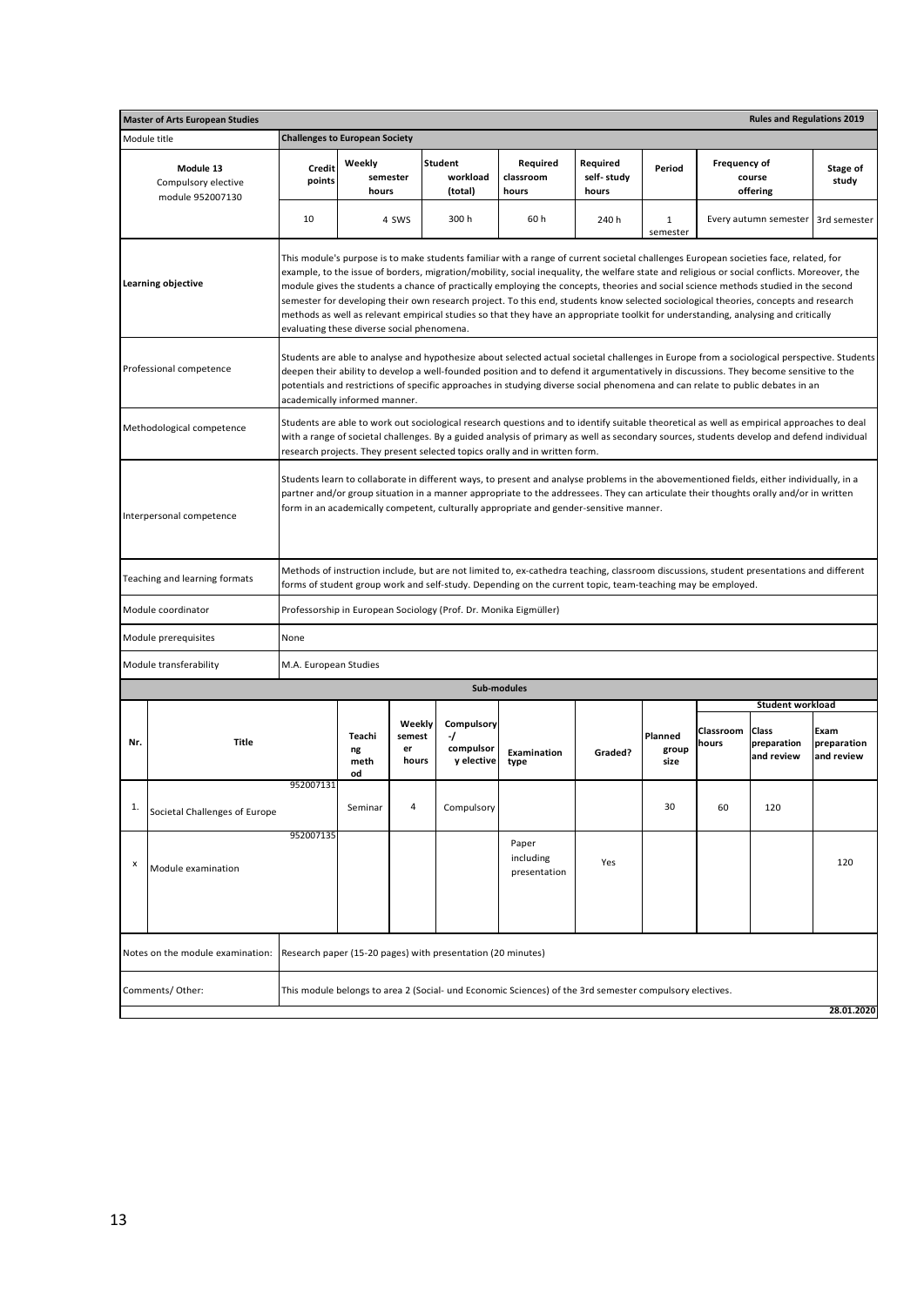|                                                                                                                                                                                                                                                                                                                                                                                                                                                                                                                                                                                                                                                                                                                                                                              | <b>Rules and Regulations 2019</b><br><b>Master of Arts European Studies</b>                  |                                                                                                                                                                                                                                                                                                                                                                                                                                                        |                             |                                 |                                             |                                                                                                         |                                 |                          |                    |                                    |                                   |  |
|------------------------------------------------------------------------------------------------------------------------------------------------------------------------------------------------------------------------------------------------------------------------------------------------------------------------------------------------------------------------------------------------------------------------------------------------------------------------------------------------------------------------------------------------------------------------------------------------------------------------------------------------------------------------------------------------------------------------------------------------------------------------------|----------------------------------------------------------------------------------------------|--------------------------------------------------------------------------------------------------------------------------------------------------------------------------------------------------------------------------------------------------------------------------------------------------------------------------------------------------------------------------------------------------------------------------------------------------------|-----------------------------|---------------------------------|---------------------------------------------|---------------------------------------------------------------------------------------------------------|---------------------------------|--------------------------|--------------------|------------------------------------|-----------------------------------|--|
|                                                                                                                                                                                                                                                                                                                                                                                                                                                                                                                                                                                                                                                                                                                                                                              | Module title                                                                                 | <b>Challenges to European Society</b>                                                                                                                                                                                                                                                                                                                                                                                                                  |                             |                                 |                                             |                                                                                                         |                                 |                          |                    |                                    |                                   |  |
| Module 13<br>Compulsory elective<br>module 952007130                                                                                                                                                                                                                                                                                                                                                                                                                                                                                                                                                                                                                                                                                                                         |                                                                                              | <b>Credit</b><br>points                                                                                                                                                                                                                                                                                                                                                                                                                                | Weekly<br>semester<br>hours |                                 | Student<br>workload<br>(total)              | Required<br>classroom<br>hours                                                                          | Required<br>self-study<br>hours | Period                   | Frequency of       | course<br>offering                 | Stage of<br>study                 |  |
|                                                                                                                                                                                                                                                                                                                                                                                                                                                                                                                                                                                                                                                                                                                                                                              |                                                                                              | 10                                                                                                                                                                                                                                                                                                                                                                                                                                                     |                             | 4 SWS                           | 300h                                        | 60h                                                                                                     | 240 h                           | $\mathbf{1}$<br>semester |                    | Every autumn semester              | 3rd semester                      |  |
| This module's purpose is to make students familiar with a range of current societal challenges European societies face, related, for<br>example, to the issue of borders, migration/mobility, social inequality, the welfare state and religious or social conflicts. Moreover, the<br>Learning objective<br>module gives the students a chance of practically employing the concepts, theories and social science methods studied in the second<br>semester for developing their own research project. To this end, students know selected sociological theories, concepts and research<br>methods as well as relevant empirical studies so that they have an appropriate toolkit for understanding, analysing and critically<br>evaluating these diverse social phenomena. |                                                                                              |                                                                                                                                                                                                                                                                                                                                                                                                                                                        |                             |                                 |                                             |                                                                                                         |                                 |                          |                    |                                    |                                   |  |
|                                                                                                                                                                                                                                                                                                                                                                                                                                                                                                                                                                                                                                                                                                                                                                              | Professional competence                                                                      | Students are able to analyse and hypothesize about selected actual societal challenges in Europe from a sociological perspective. Students<br>deepen their ability to develop a well-founded position and to defend it argumentatively in discussions. They become sensitive to the<br>potentials and restrictions of specific approaches in studying diverse social phenomena and can relate to public debates in an<br>academically informed manner. |                             |                                 |                                             |                                                                                                         |                                 |                          |                    |                                    |                                   |  |
| Students are able to work out sociological research questions and to identify suitable theoretical as well as empirical approaches to deal<br>Methodological competence<br>with a range of societal challenges. By a guided analysis of primary as well as secondary sources, students develop and defend individual<br>research projects. They present selected topics orally and in written form.                                                                                                                                                                                                                                                                                                                                                                          |                                                                                              |                                                                                                                                                                                                                                                                                                                                                                                                                                                        |                             |                                 |                                             |                                                                                                         |                                 |                          |                    |                                    |                                   |  |
|                                                                                                                                                                                                                                                                                                                                                                                                                                                                                                                                                                                                                                                                                                                                                                              | Interpersonal competence                                                                     | Students learn to collaborate in different ways, to present and analyse problems in the abovementioned fields, either individually, in a<br>partner and/or group situation in a manner appropriate to the addressees. They can articulate their thoughts orally and/or in written<br>form in an academically competent, culturally appropriate and gender-sensitive manner.                                                                            |                             |                                 |                                             |                                                                                                         |                                 |                          |                    |                                    |                                   |  |
|                                                                                                                                                                                                                                                                                                                                                                                                                                                                                                                                                                                                                                                                                                                                                                              | Teaching and learning formats                                                                | Methods of instruction include, but are not limited to, ex-cathedra teaching, classroom discussions, student presentations and different<br>forms of student group work and self-study. Depending on the current topic, team-teaching may be employed.                                                                                                                                                                                                 |                             |                                 |                                             |                                                                                                         |                                 |                          |                    |                                    |                                   |  |
|                                                                                                                                                                                                                                                                                                                                                                                                                                                                                                                                                                                                                                                                                                                                                                              | Module coordinator                                                                           | Professorship in European Sociology (Prof. Dr. Monika Eigmüller)                                                                                                                                                                                                                                                                                                                                                                                       |                             |                                 |                                             |                                                                                                         |                                 |                          |                    |                                    |                                   |  |
|                                                                                                                                                                                                                                                                                                                                                                                                                                                                                                                                                                                                                                                                                                                                                                              | Module prerequisites                                                                         | None                                                                                                                                                                                                                                                                                                                                                                                                                                                   |                             |                                 |                                             |                                                                                                         |                                 |                          |                    |                                    |                                   |  |
|                                                                                                                                                                                                                                                                                                                                                                                                                                                                                                                                                                                                                                                                                                                                                                              | Module transferability                                                                       | M.A. European Studies                                                                                                                                                                                                                                                                                                                                                                                                                                  |                             |                                 |                                             |                                                                                                         |                                 |                          |                    |                                    |                                   |  |
|                                                                                                                                                                                                                                                                                                                                                                                                                                                                                                                                                                                                                                                                                                                                                                              |                                                                                              |                                                                                                                                                                                                                                                                                                                                                                                                                                                        |                             |                                 |                                             | Sub-modules                                                                                             |                                 |                          |                    |                                    |                                   |  |
|                                                                                                                                                                                                                                                                                                                                                                                                                                                                                                                                                                                                                                                                                                                                                                              |                                                                                              |                                                                                                                                                                                                                                                                                                                                                                                                                                                        |                             |                                 |                                             |                                                                                                         |                                 |                          |                    | <b>Student workload</b>            |                                   |  |
| Nr.                                                                                                                                                                                                                                                                                                                                                                                                                                                                                                                                                                                                                                                                                                                                                                          | <b>Title</b>                                                                                 |                                                                                                                                                                                                                                                                                                                                                                                                                                                        | Teachi<br>ng<br>meth<br>od  | Weekly<br>semest<br>er<br>hours | Compulsory<br>-1<br>compulsor<br>y elective | Examination<br>type                                                                                     | Graded?                         | Planned<br>group<br>size | Classroom<br>hours | Class<br>preparation<br>and review | Exam<br>preparation<br>and review |  |
| 1.                                                                                                                                                                                                                                                                                                                                                                                                                                                                                                                                                                                                                                                                                                                                                                           | Societal Challenges of Europe                                                                | 952007131                                                                                                                                                                                                                                                                                                                                                                                                                                              | Seminar                     | 4                               | Compulsory                                  |                                                                                                         |                                 | 30                       | 60                 | 120                                |                                   |  |
| x                                                                                                                                                                                                                                                                                                                                                                                                                                                                                                                                                                                                                                                                                                                                                                            | Module examination                                                                           | 952007135                                                                                                                                                                                                                                                                                                                                                                                                                                              |                             |                                 |                                             | Paper<br>including<br>presentation                                                                      | Yes                             |                          |                    |                                    | 120                               |  |
|                                                                                                                                                                                                                                                                                                                                                                                                                                                                                                                                                                                                                                                                                                                                                                              | Notes on the module examination: Research paper (15-20 pages) with presentation (20 minutes) |                                                                                                                                                                                                                                                                                                                                                                                                                                                        |                             |                                 |                                             |                                                                                                         |                                 |                          |                    |                                    |                                   |  |
|                                                                                                                                                                                                                                                                                                                                                                                                                                                                                                                                                                                                                                                                                                                                                                              | Comments/Other:                                                                              |                                                                                                                                                                                                                                                                                                                                                                                                                                                        |                             |                                 |                                             | This module belongs to area 2 (Social- und Economic Sciences) of the 3rd semester compulsory electives. |                                 |                          |                    |                                    |                                   |  |
|                                                                                                                                                                                                                                                                                                                                                                                                                                                                                                                                                                                                                                                                                                                                                                              | 28.01.2020                                                                                   |                                                                                                                                                                                                                                                                                                                                                                                                                                                        |                             |                                 |                                             |                                                                                                         |                                 |                          |                    |                                    |                                   |  |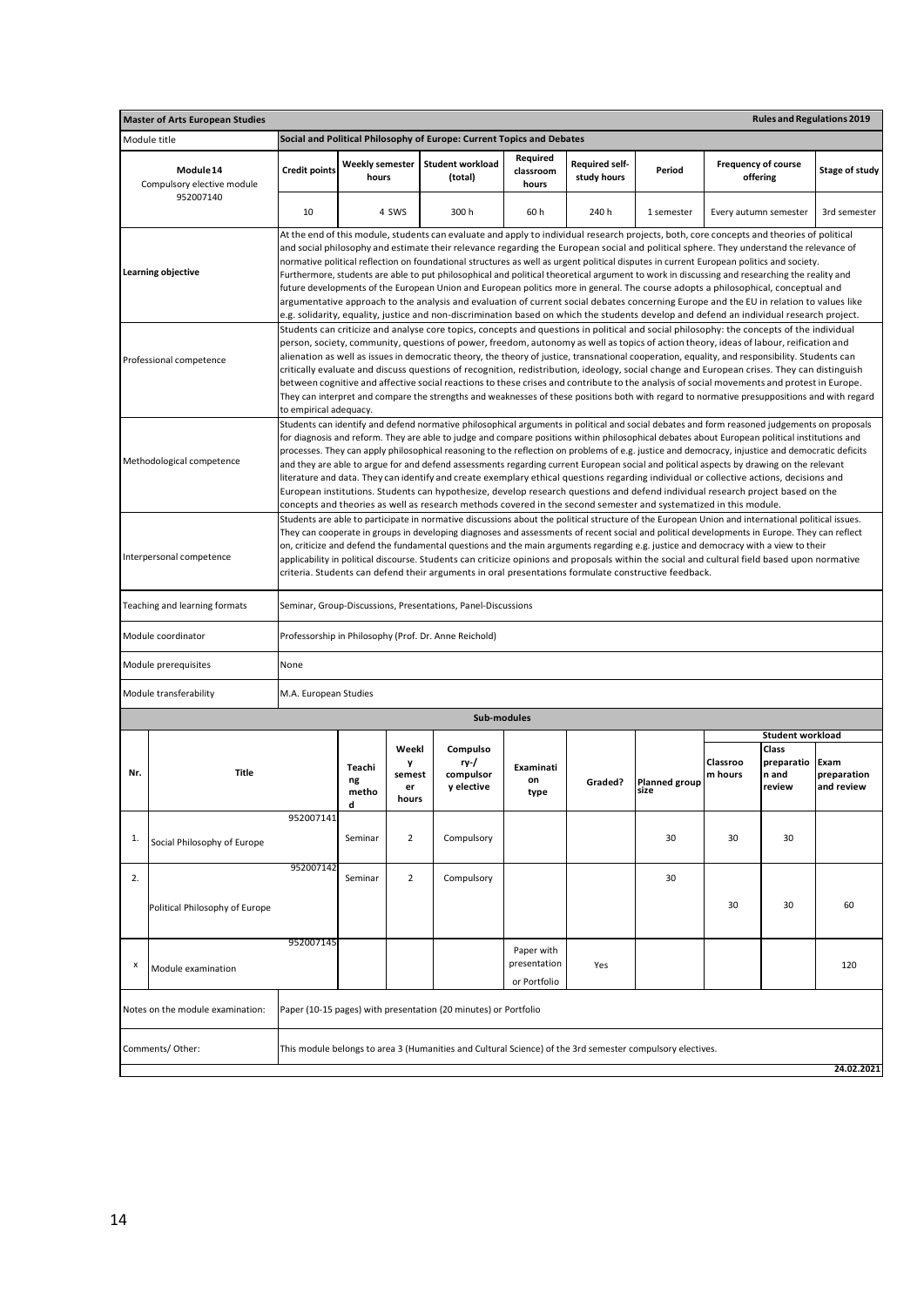|                                                                                                                                                                                                                                                                                                                                                                                                                                                                                                                                                                                                                                                                                                                                                                                                                                                                                                                                                                                                                                            | <b>Rules and Regulations 2019</b><br><b>Master of Arts European Studies</b>                                                                |                                                                                                                                                                                                                                                                                                                                                                                                                                                                                                                                                                                                                                                                                                   |                                 |                                     |                                                                       |                                |                               |                       |                                        |                                        |                                   |  |
|--------------------------------------------------------------------------------------------------------------------------------------------------------------------------------------------------------------------------------------------------------------------------------------------------------------------------------------------------------------------------------------------------------------------------------------------------------------------------------------------------------------------------------------------------------------------------------------------------------------------------------------------------------------------------------------------------------------------------------------------------------------------------------------------------------------------------------------------------------------------------------------------------------------------------------------------------------------------------------------------------------------------------------------------|--------------------------------------------------------------------------------------------------------------------------------------------|---------------------------------------------------------------------------------------------------------------------------------------------------------------------------------------------------------------------------------------------------------------------------------------------------------------------------------------------------------------------------------------------------------------------------------------------------------------------------------------------------------------------------------------------------------------------------------------------------------------------------------------------------------------------------------------------------|---------------------------------|-------------------------------------|-----------------------------------------------------------------------|--------------------------------|-------------------------------|-----------------------|----------------------------------------|----------------------------------------|-----------------------------------|--|
|                                                                                                                                                                                                                                                                                                                                                                                                                                                                                                                                                                                                                                                                                                                                                                                                                                                                                                                                                                                                                                            | Module title                                                                                                                               |                                                                                                                                                                                                                                                                                                                                                                                                                                                                                                                                                                                                                                                                                                   |                                 |                                     | Social and Political Philosophy of Europe: Current Topics and Debates |                                |                               |                       |                                        |                                        |                                   |  |
| Module 14<br>Compulsory elective module<br>952007140                                                                                                                                                                                                                                                                                                                                                                                                                                                                                                                                                                                                                                                                                                                                                                                                                                                                                                                                                                                       |                                                                                                                                            | <b>Credit points</b>                                                                                                                                                                                                                                                                                                                                                                                                                                                                                                                                                                                                                                                                              | <b>Weekly semester</b><br>hours |                                     | <b>Student workload</b><br>(total)                                    | Required<br>classroom<br>hours | Required self-<br>study hours | Period                | <b>Frequency of course</b><br>offering |                                        | Stage of study                    |  |
|                                                                                                                                                                                                                                                                                                                                                                                                                                                                                                                                                                                                                                                                                                                                                                                                                                                                                                                                                                                                                                            |                                                                                                                                            | 10                                                                                                                                                                                                                                                                                                                                                                                                                                                                                                                                                                                                                                                                                                |                                 | 4 SWS                               | 300 h                                                                 | 60 h                           | 240 h                         | 1 semester            | Every autumn semester                  |                                        | 3rd semester                      |  |
| At the end of this module, students can evaluate and apply to individual research projects, both, core concepts and theories of political<br>and social philosophy and estimate their relevance regarding the European social and political sphere. They understand the relevance of<br>normative political reflection on foundational structures as well as urgent political disputes in current European politics and society.<br><b>Learning objective</b><br>Furthermore, students are able to put philosophical and political theoretical argument to work in discussing and researching the reality and<br>future developments of the European Union and European politics more in general. The course adopts a philosophical, conceptual and<br>argumentative approach to the analysis and evaluation of current social debates concerning Europe and the EU in relation to values like<br>e.g. solidarity, equality, justice and non-discrimination based on which the students develop and defend an individual research project. |                                                                                                                                            |                                                                                                                                                                                                                                                                                                                                                                                                                                                                                                                                                                                                                                                                                                   |                                 |                                     |                                                                       |                                |                               |                       |                                        |                                        |                                   |  |
| Students can criticize and analyse core topics, concepts and questions in political and social philosophy: the concepts of the individual<br>person, society, community, questions of power, freedom, autonomy as well as topics of action theory, ideas of labour, reification and<br>alienation as well as issues in democratic theory, the theory of justice, transnational cooperation, equality, and responsibility. Students can<br>Professional competence<br>critically evaluate and discuss questions of recognition, redistribution, ideology, social change and European crises. They can distinguish<br>between cognitive and affective social reactions to these crises and contribute to the analysis of social movements and protest in Europe.<br>They can interpret and compare the strengths and weaknesses of these positions both with regard to normative presuppositions and with regard<br>to empirical adequacy.                                                                                                   |                                                                                                                                            |                                                                                                                                                                                                                                                                                                                                                                                                                                                                                                                                                                                                                                                                                                   |                                 |                                     |                                                                       |                                |                               |                       |                                        |                                        |                                   |  |
| Students can identify and defend normative philosophical arguments in political and social debates and form reasoned judgements on proposals<br>for diagnosis and reform. They are able to judge and compare positions within philosophical debates about European political institutions and<br>processes. They can apply philosophical reasoning to the reflection on problems of e.g. justice and democracy, injustice and democratic deficits<br>Methodological competence<br>and they are able to argue for and defend assessments regarding current European social and political aspects by drawing on the relevant<br>literature and data. They can identify and create exemplary ethical questions regarding individual or collective actions, decisions and<br>European institutions. Students can hypothesize, develop research questions and defend individual research project based on the<br>concepts and theories as well as research methods covered in the second semester and systematized in this module.              |                                                                                                                                            |                                                                                                                                                                                                                                                                                                                                                                                                                                                                                                                                                                                                                                                                                                   |                                 |                                     |                                                                       |                                |                               |                       |                                        |                                        |                                   |  |
|                                                                                                                                                                                                                                                                                                                                                                                                                                                                                                                                                                                                                                                                                                                                                                                                                                                                                                                                                                                                                                            | Interpersonal competence                                                                                                                   | Students are able to participate in normative discussions about the political structure of the European Union and international political issues.<br>They can cooperate in groups in developing diagnoses and assessments of recent social and political developments in Europe. They can reflect<br>on, criticize and defend the fundamental questions and the main arguments regarding e.g. justice and democracy with a view to their<br>applicability in political discourse. Students can criticize opinions and proposals within the social and cultural field based upon normative<br>criteria. Students can defend their arguments in oral presentations formulate constructive feedback. |                                 |                                     |                                                                       |                                |                               |                       |                                        |                                        |                                   |  |
|                                                                                                                                                                                                                                                                                                                                                                                                                                                                                                                                                                                                                                                                                                                                                                                                                                                                                                                                                                                                                                            | Teaching and learning formats                                                                                                              | Seminar, Group-Discussions, Presentations, Panel-Discussions                                                                                                                                                                                                                                                                                                                                                                                                                                                                                                                                                                                                                                      |                                 |                                     |                                                                       |                                |                               |                       |                                        |                                        |                                   |  |
|                                                                                                                                                                                                                                                                                                                                                                                                                                                                                                                                                                                                                                                                                                                                                                                                                                                                                                                                                                                                                                            | Module coordinator                                                                                                                         | Professorship in Philosophy (Prof. Dr. Anne Reichold)                                                                                                                                                                                                                                                                                                                                                                                                                                                                                                                                                                                                                                             |                                 |                                     |                                                                       |                                |                               |                       |                                        |                                        |                                   |  |
|                                                                                                                                                                                                                                                                                                                                                                                                                                                                                                                                                                                                                                                                                                                                                                                                                                                                                                                                                                                                                                            | Module prerequisites<br>Module transferability                                                                                             | None<br>M.A. European Studies                                                                                                                                                                                                                                                                                                                                                                                                                                                                                                                                                                                                                                                                     |                                 |                                     |                                                                       |                                |                               |                       |                                        |                                        |                                   |  |
|                                                                                                                                                                                                                                                                                                                                                                                                                                                                                                                                                                                                                                                                                                                                                                                                                                                                                                                                                                                                                                            |                                                                                                                                            |                                                                                                                                                                                                                                                                                                                                                                                                                                                                                                                                                                                                                                                                                                   |                                 |                                     | Sub-modules                                                           |                                |                               |                       |                                        |                                        |                                   |  |
|                                                                                                                                                                                                                                                                                                                                                                                                                                                                                                                                                                                                                                                                                                                                                                                                                                                                                                                                                                                                                                            |                                                                                                                                            |                                                                                                                                                                                                                                                                                                                                                                                                                                                                                                                                                                                                                                                                                                   |                                 |                                     |                                                                       |                                |                               |                       |                                        | Student workload                       |                                   |  |
| Nr.                                                                                                                                                                                                                                                                                                                                                                                                                                                                                                                                                                                                                                                                                                                                                                                                                                                                                                                                                                                                                                        | <b>Title</b>                                                                                                                               |                                                                                                                                                                                                                                                                                                                                                                                                                                                                                                                                                                                                                                                                                                   | Teachi<br>ng<br>metho<br>a      | Weekl<br>y<br>semest<br>er<br>hours | Compulso<br>ry-/<br>compulsor<br>y elective                           | Examinati<br>on<br>type        | Graded?                       | Planned group<br>size | Classroo<br>m hours                    | Class<br>preparatio<br>n and<br>review | Exam<br>preparation<br>and review |  |
| 1.                                                                                                                                                                                                                                                                                                                                                                                                                                                                                                                                                                                                                                                                                                                                                                                                                                                                                                                                                                                                                                         | Social Philosophy of Europe                                                                                                                | 952007141                                                                                                                                                                                                                                                                                                                                                                                                                                                                                                                                                                                                                                                                                         | Seminar                         | $\overline{2}$                      | Compulsory                                                            |                                |                               | 30                    | 30                                     | 30                                     |                                   |  |
| 2.                                                                                                                                                                                                                                                                                                                                                                                                                                                                                                                                                                                                                                                                                                                                                                                                                                                                                                                                                                                                                                         | Political Philosophy of Europe                                                                                                             | 952007142                                                                                                                                                                                                                                                                                                                                                                                                                                                                                                                                                                                                                                                                                         | Seminar                         | $\overline{2}$                      | Compulsory                                                            |                                |                               | 30                    | 30                                     | 30                                     | 60                                |  |
| х                                                                                                                                                                                                                                                                                                                                                                                                                                                                                                                                                                                                                                                                                                                                                                                                                                                                                                                                                                                                                                          | Module examination                                                                                                                         | 952007145<br>Paper with<br>presentation<br>Yes<br>120<br>or Portfolio                                                                                                                                                                                                                                                                                                                                                                                                                                                                                                                                                                                                                             |                                 |                                     |                                                                       |                                |                               |                       |                                        |                                        |                                   |  |
|                                                                                                                                                                                                                                                                                                                                                                                                                                                                                                                                                                                                                                                                                                                                                                                                                                                                                                                                                                                                                                            | Notes on the module examination:                                                                                                           |                                                                                                                                                                                                                                                                                                                                                                                                                                                                                                                                                                                                                                                                                                   |                                 |                                     | Paper (10-15 pages) with presentation (20 minutes) or Portfolio       |                                |                               |                       |                                        |                                        |                                   |  |
|                                                                                                                                                                                                                                                                                                                                                                                                                                                                                                                                                                                                                                                                                                                                                                                                                                                                                                                                                                                                                                            | Comments/Other:<br>This module belongs to area 3 (Humanities and Cultural Science) of the 3rd semester compulsory electives.<br>24.02.2021 |                                                                                                                                                                                                                                                                                                                                                                                                                                                                                                                                                                                                                                                                                                   |                                 |                                     |                                                                       |                                |                               |                       |                                        |                                        |                                   |  |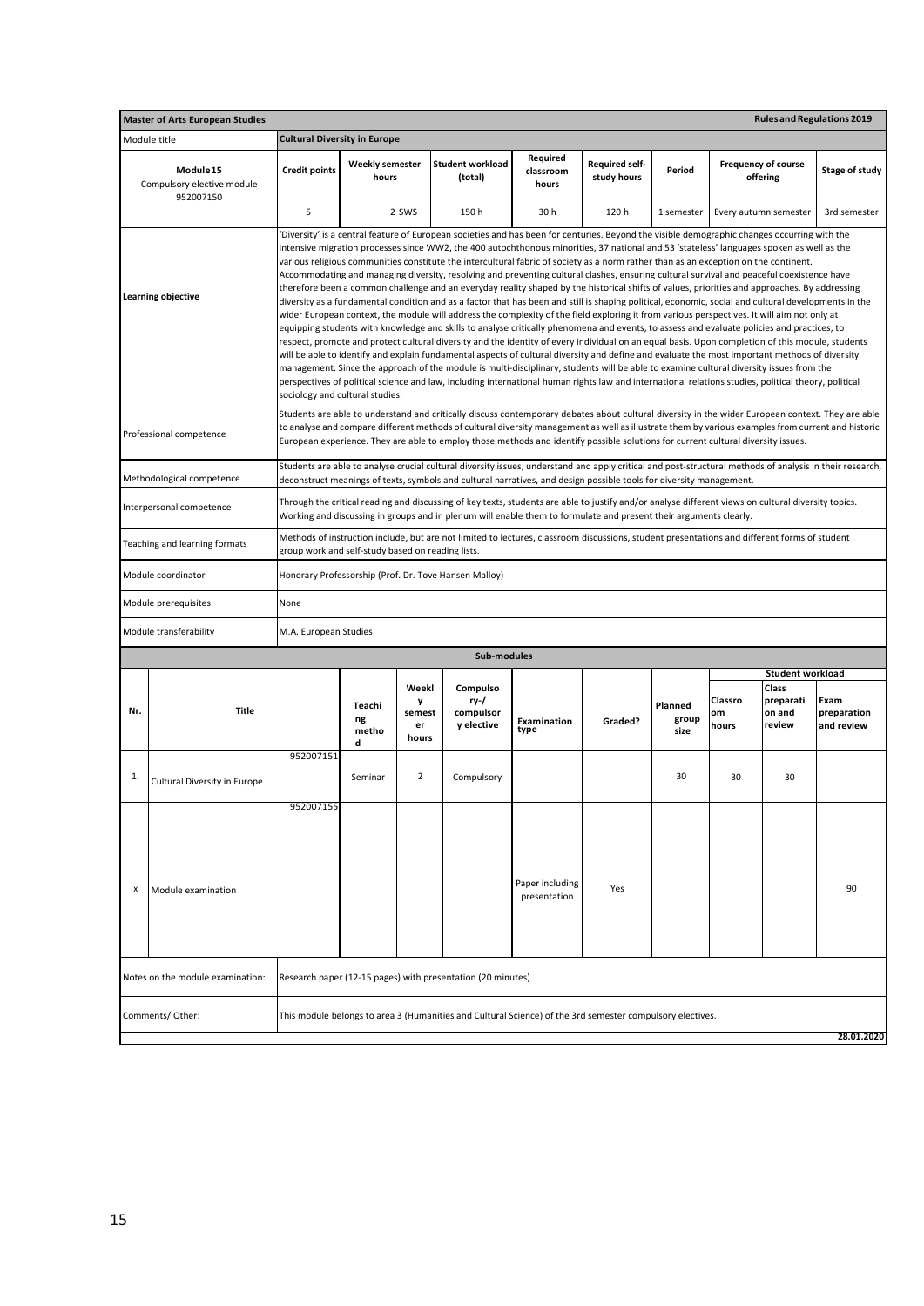| <b>Master of Arts European Studies</b><br><b>Rules and Regulations 2019</b> |                                  |                                                                                                                                                                                                                                                                                                                                                                                                                                                                                                                                                                                                                                                                                                                                                                                                                                                                                                                                                                                                                                                                                                                                                                                                                                                                                                                                                                                                                                                                                                                                                                                                                                                                                                                                                                                                                                  |                            |                                     |                                                                                                           |                                 |                                      |                          |                        |                                        |                                   |  |  |
|-----------------------------------------------------------------------------|----------------------------------|----------------------------------------------------------------------------------------------------------------------------------------------------------------------------------------------------------------------------------------------------------------------------------------------------------------------------------------------------------------------------------------------------------------------------------------------------------------------------------------------------------------------------------------------------------------------------------------------------------------------------------------------------------------------------------------------------------------------------------------------------------------------------------------------------------------------------------------------------------------------------------------------------------------------------------------------------------------------------------------------------------------------------------------------------------------------------------------------------------------------------------------------------------------------------------------------------------------------------------------------------------------------------------------------------------------------------------------------------------------------------------------------------------------------------------------------------------------------------------------------------------------------------------------------------------------------------------------------------------------------------------------------------------------------------------------------------------------------------------------------------------------------------------------------------------------------------------|----------------------------|-------------------------------------|-----------------------------------------------------------------------------------------------------------|---------------------------------|--------------------------------------|--------------------------|------------------------|----------------------------------------|-----------------------------------|--|--|
|                                                                             | Module title                     | <b>Cultural Diversity in Europe</b>                                                                                                                                                                                                                                                                                                                                                                                                                                                                                                                                                                                                                                                                                                                                                                                                                                                                                                                                                                                                                                                                                                                                                                                                                                                                                                                                                                                                                                                                                                                                                                                                                                                                                                                                                                                              |                            |                                     |                                                                                                           |                                 |                                      |                          |                        |                                        |                                   |  |  |
| Module 15<br>Compulsory elective module<br>952007150                        |                                  | <b>Credit points</b>                                                                                                                                                                                                                                                                                                                                                                                                                                                                                                                                                                                                                                                                                                                                                                                                                                                                                                                                                                                                                                                                                                                                                                                                                                                                                                                                                                                                                                                                                                                                                                                                                                                                                                                                                                                                             | Weekly semester<br>hours   |                                     | <b>Student workload</b><br>(total)                                                                        | Required<br>classroom<br>hours  | <b>Required self-</b><br>study hours | Period                   |                        | <b>Frequency of course</b><br>offering | Stage of study                    |  |  |
|                                                                             |                                  | 5                                                                                                                                                                                                                                                                                                                                                                                                                                                                                                                                                                                                                                                                                                                                                                                                                                                                                                                                                                                                                                                                                                                                                                                                                                                                                                                                                                                                                                                                                                                                                                                                                                                                                                                                                                                                                                |                            | 2 SWS                               | 150 h                                                                                                     | 30h                             | 120h                                 | 1 semester               | Every autumn semester  |                                        | 3rd semester                      |  |  |
| Learning objective                                                          |                                  | 'Diversity' is a central feature of European societies and has been for centuries. Beyond the visible demographic changes occurring with the<br>intensive migration processes since WW2, the 400 autochthonous minorities, 37 national and 53 'stateless' languages spoken as well as the<br>various religious communities constitute the intercultural fabric of society as a norm rather than as an exception on the continent.<br>Accommodating and managing diversity, resolving and preventing cultural clashes, ensuring cultural survival and peaceful coexistence have<br>therefore been a common challenge and an everyday reality shaped by the historical shifts of values, priorities and approaches. By addressing<br>diversity as a fundamental condition and as a factor that has been and still is shaping political, economic, social and cultural developments in the<br>wider European context, the module will address the complexity of the field exploring it from various perspectives. It will aim not only at<br>equipping students with knowledge and skills to analyse critically phenomena and events, to assess and evaluate policies and practices, to<br>respect, promote and protect cultural diversity and the identity of every individual on an equal basis. Upon completion of this module, students<br>will be able to identify and explain fundamental aspects of cultural diversity and define and evaluate the most important methods of diversity<br>management. Since the approach of the module is multi-disciplinary, students will be able to examine cultural diversity issues from the<br>perspectives of political science and law, including international human rights law and international relations studies, political theory, political<br>sociology and cultural studies. |                            |                                     |                                                                                                           |                                 |                                      |                          |                        |                                        |                                   |  |  |
|                                                                             | Professional competence          | Students are able to understand and critically discuss contemporary debates about cultural diversity in the wider European context. They are able<br>to analyse and compare different methods of cultural diversity management as well as illustrate them by various examples from current and historic<br>European experience. They are able to employ those methods and identify possible solutions for current cultural diversity issues.                                                                                                                                                                                                                                                                                                                                                                                                                                                                                                                                                                                                                                                                                                                                                                                                                                                                                                                                                                                                                                                                                                                                                                                                                                                                                                                                                                                     |                            |                                     |                                                                                                           |                                 |                                      |                          |                        |                                        |                                   |  |  |
|                                                                             | Methodological competence        | Students are able to analyse crucial cultural diversity issues, understand and apply critical and post-structural methods of analysis in their research,<br>deconstruct meanings of texts, symbols and cultural narratives, and design possible tools for diversity management.                                                                                                                                                                                                                                                                                                                                                                                                                                                                                                                                                                                                                                                                                                                                                                                                                                                                                                                                                                                                                                                                                                                                                                                                                                                                                                                                                                                                                                                                                                                                                  |                            |                                     |                                                                                                           |                                 |                                      |                          |                        |                                        |                                   |  |  |
|                                                                             | Interpersonal competence         | Through the critical reading and discussing of key texts, students are able to justify and/or analyse different views on cultural diversity topics.<br>Working and discussing in groups and in plenum will enable them to formulate and present their arguments clearly.                                                                                                                                                                                                                                                                                                                                                                                                                                                                                                                                                                                                                                                                                                                                                                                                                                                                                                                                                                                                                                                                                                                                                                                                                                                                                                                                                                                                                                                                                                                                                         |                            |                                     |                                                                                                           |                                 |                                      |                          |                        |                                        |                                   |  |  |
|                                                                             | Teaching and learning formats    | Methods of instruction include, but are not limited to lectures, classroom discussions, student presentations and different forms of student<br>group work and self-study based on reading lists.                                                                                                                                                                                                                                                                                                                                                                                                                                                                                                                                                                                                                                                                                                                                                                                                                                                                                                                                                                                                                                                                                                                                                                                                                                                                                                                                                                                                                                                                                                                                                                                                                                |                            |                                     |                                                                                                           |                                 |                                      |                          |                        |                                        |                                   |  |  |
|                                                                             | Module coordinator               | Honorary Professorship (Prof. Dr. Tove Hansen Malloy)                                                                                                                                                                                                                                                                                                                                                                                                                                                                                                                                                                                                                                                                                                                                                                                                                                                                                                                                                                                                                                                                                                                                                                                                                                                                                                                                                                                                                                                                                                                                                                                                                                                                                                                                                                            |                            |                                     |                                                                                                           |                                 |                                      |                          |                        |                                        |                                   |  |  |
|                                                                             | Module prerequisites             | None                                                                                                                                                                                                                                                                                                                                                                                                                                                                                                                                                                                                                                                                                                                                                                                                                                                                                                                                                                                                                                                                                                                                                                                                                                                                                                                                                                                                                                                                                                                                                                                                                                                                                                                                                                                                                             |                            |                                     |                                                                                                           |                                 |                                      |                          |                        |                                        |                                   |  |  |
|                                                                             | Module transferability           | M.A. European Studies                                                                                                                                                                                                                                                                                                                                                                                                                                                                                                                                                                                                                                                                                                                                                                                                                                                                                                                                                                                                                                                                                                                                                                                                                                                                                                                                                                                                                                                                                                                                                                                                                                                                                                                                                                                                            |                            |                                     |                                                                                                           |                                 |                                      |                          |                        |                                        |                                   |  |  |
|                                                                             |                                  |                                                                                                                                                                                                                                                                                                                                                                                                                                                                                                                                                                                                                                                                                                                                                                                                                                                                                                                                                                                                                                                                                                                                                                                                                                                                                                                                                                                                                                                                                                                                                                                                                                                                                                                                                                                                                                  |                            |                                     | Sub-modules                                                                                               |                                 |                                      |                          |                        | <b>Student workload</b>                |                                   |  |  |
| Nr.                                                                         | <b>Title</b>                     |                                                                                                                                                                                                                                                                                                                                                                                                                                                                                                                                                                                                                                                                                                                                                                                                                                                                                                                                                                                                                                                                                                                                                                                                                                                                                                                                                                                                                                                                                                                                                                                                                                                                                                                                                                                                                                  | Teachi<br>ng<br>metho<br>d | Weekl<br>y<br>semest<br>er<br>hours | Compulso<br>ry-/<br>compulsor<br>y elective                                                               | Examination<br>type             | Graded?                              | Planned<br>group<br>size | Classro<br>om<br>hours | Class<br>preparati<br>on and<br>review | Exam<br>preparation<br>and review |  |  |
| 1.                                                                          | Cultural Diversity in Europe     | 952007151                                                                                                                                                                                                                                                                                                                                                                                                                                                                                                                                                                                                                                                                                                                                                                                                                                                                                                                                                                                                                                                                                                                                                                                                                                                                                                                                                                                                                                                                                                                                                                                                                                                                                                                                                                                                                        | Seminar                    | 2                                   | Compulsory                                                                                                |                                 |                                      | 30                       | 30                     | 30                                     |                                   |  |  |
| х                                                                           | Module examination               | 952007155                                                                                                                                                                                                                                                                                                                                                                                                                                                                                                                                                                                                                                                                                                                                                                                                                                                                                                                                                                                                                                                                                                                                                                                                                                                                                                                                                                                                                                                                                                                                                                                                                                                                                                                                                                                                                        |                            |                                     |                                                                                                           | Paper including<br>presentation | Yes                                  |                          |                        |                                        | 90                                |  |  |
|                                                                             | Notes on the module examination: |                                                                                                                                                                                                                                                                                                                                                                                                                                                                                                                                                                                                                                                                                                                                                                                                                                                                                                                                                                                                                                                                                                                                                                                                                                                                                                                                                                                                                                                                                                                                                                                                                                                                                                                                                                                                                                  |                            |                                     | Research paper (12-15 pages) with presentation (20 minutes)                                               |                                 |                                      |                          |                        |                                        |                                   |  |  |
|                                                                             | Comments/Other:                  |                                                                                                                                                                                                                                                                                                                                                                                                                                                                                                                                                                                                                                                                                                                                                                                                                                                                                                                                                                                                                                                                                                                                                                                                                                                                                                                                                                                                                                                                                                                                                                                                                                                                                                                                                                                                                                  |                            |                                     | This module belongs to area 3 (Humanities and Cultural Science) of the 3rd semester compulsory electives. |                                 |                                      |                          |                        |                                        | 28.01.2020                        |  |  |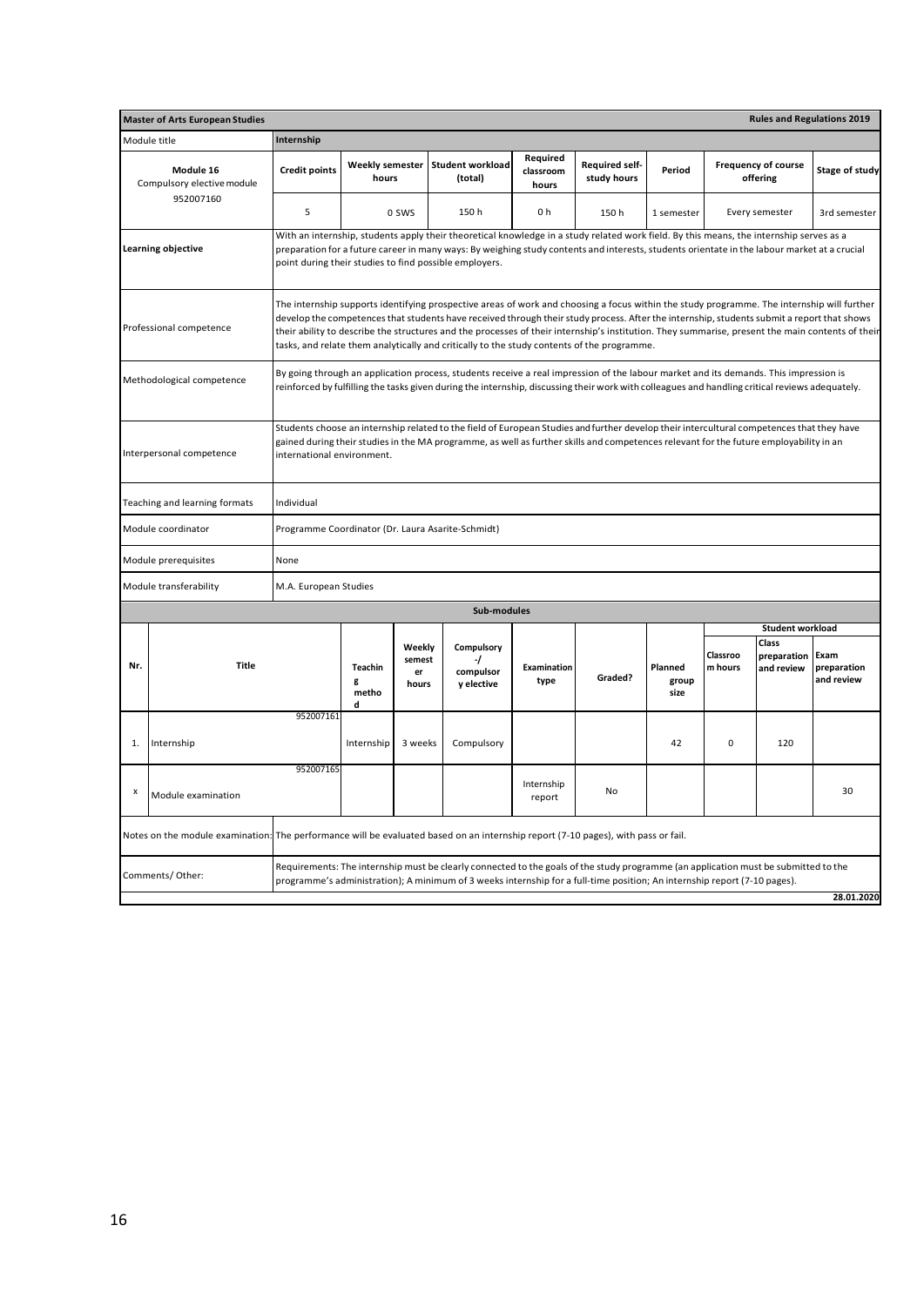|                                                      | <b>Rules and Regulations 2019</b><br><b>Master of Arts European Studies</b>                                                       |                                                                                                                                                                                                                                                                                                                                                                                                                                                                                                                                            |                                 |                                 |                                                                                                                                                                                                                                                                                                                                                   |                                |                               |                          |                     |                                                               |                                   |  |
|------------------------------------------------------|-----------------------------------------------------------------------------------------------------------------------------------|--------------------------------------------------------------------------------------------------------------------------------------------------------------------------------------------------------------------------------------------------------------------------------------------------------------------------------------------------------------------------------------------------------------------------------------------------------------------------------------------------------------------------------------------|---------------------------------|---------------------------------|---------------------------------------------------------------------------------------------------------------------------------------------------------------------------------------------------------------------------------------------------------------------------------------------------------------------------------------------------|--------------------------------|-------------------------------|--------------------------|---------------------|---------------------------------------------------------------|-----------------------------------|--|
|                                                      | Module title                                                                                                                      | Internship                                                                                                                                                                                                                                                                                                                                                                                                                                                                                                                                 |                                 |                                 |                                                                                                                                                                                                                                                                                                                                                   |                                |                               |                          |                     |                                                               |                                   |  |
| Module 16<br>Compulsory elective module<br>952007160 |                                                                                                                                   | <b>Credit points</b>                                                                                                                                                                                                                                                                                                                                                                                                                                                                                                                       | <b>Weekly semester</b><br>hours |                                 | <b>Student workload</b><br>(total)                                                                                                                                                                                                                                                                                                                | Required<br>classroom<br>hours | Required self-<br>study hours | Period                   |                     | <b>Frequency of course</b><br>offering                        | Stage of study                    |  |
|                                                      |                                                                                                                                   | 5                                                                                                                                                                                                                                                                                                                                                                                                                                                                                                                                          |                                 | 0 SWS                           | 150 h                                                                                                                                                                                                                                                                                                                                             | 0 h                            | 150h                          | 1 semester               |                     | Every semester                                                | 3rd semester                      |  |
|                                                      | Learning objective                                                                                                                |                                                                                                                                                                                                                                                                                                                                                                                                                                                                                                                                            |                                 |                                 | With an internship, students apply their theoretical knowledge in a study related work field. By this means, the internship serves as a<br>preparation for a future career in many ways: By weighing study contents and interests, students orientate in the labour market at a crucial<br>point during their studies to find possible employers. |                                |                               |                          |                     |                                                               |                                   |  |
|                                                      | Professional competence                                                                                                           | The internship supports identifying prospective areas of work and choosing a focus within the study programme. The internship will further<br>develop the competences that students have received through their study process. After the internship, students submit a report that shows<br>their ability to describe the structures and the processes of their internship's institution. They summarise, present the main contents of their<br>tasks, and relate them analytically and critically to the study contents of the programme. |                                 |                                 |                                                                                                                                                                                                                                                                                                                                                   |                                |                               |                          |                     |                                                               |                                   |  |
|                                                      | Methodological competence                                                                                                         | By going through an application process, students receive a real impression of the labour market and its demands. This impression is<br>reinforced by fulfilling the tasks given during the internship, discussing their work with colleagues and handling critical reviews adequately.                                                                                                                                                                                                                                                    |                                 |                                 |                                                                                                                                                                                                                                                                                                                                                   |                                |                               |                          |                     |                                                               |                                   |  |
|                                                      | Interpersonal competence                                                                                                          | Students choose an internship related to the field of European Studies and further develop their intercultural competences that they have<br>gained during their studies in the MA programme, as well as further skills and competences relevant for the future employability in an<br>international environment.                                                                                                                                                                                                                          |                                 |                                 |                                                                                                                                                                                                                                                                                                                                                   |                                |                               |                          |                     |                                                               |                                   |  |
|                                                      | Teaching and learning formats                                                                                                     | Individual                                                                                                                                                                                                                                                                                                                                                                                                                                                                                                                                 |                                 |                                 |                                                                                                                                                                                                                                                                                                                                                   |                                |                               |                          |                     |                                                               |                                   |  |
|                                                      | Module coordinator                                                                                                                | Programme Coordinator (Dr. Laura Asarite-Schmidt)                                                                                                                                                                                                                                                                                                                                                                                                                                                                                          |                                 |                                 |                                                                                                                                                                                                                                                                                                                                                   |                                |                               |                          |                     |                                                               |                                   |  |
|                                                      | Module prerequisites                                                                                                              | None                                                                                                                                                                                                                                                                                                                                                                                                                                                                                                                                       |                                 |                                 |                                                                                                                                                                                                                                                                                                                                                   |                                |                               |                          |                     |                                                               |                                   |  |
|                                                      | Module transferability                                                                                                            | M.A. European Studies                                                                                                                                                                                                                                                                                                                                                                                                                                                                                                                      |                                 |                                 |                                                                                                                                                                                                                                                                                                                                                   |                                |                               |                          |                     |                                                               |                                   |  |
|                                                      |                                                                                                                                   |                                                                                                                                                                                                                                                                                                                                                                                                                                                                                                                                            |                                 |                                 | Sub-modules                                                                                                                                                                                                                                                                                                                                       |                                |                               |                          |                     |                                                               |                                   |  |
| <b>Title</b><br>Nr.                                  |                                                                                                                                   |                                                                                                                                                                                                                                                                                                                                                                                                                                                                                                                                            | Teachin<br>g<br>metho<br>d      | Weekly<br>semest<br>er<br>hours | Compulsory<br>-1<br>compulsor<br>y elective                                                                                                                                                                                                                                                                                                       | Examination<br>type            | Graded?                       | Planned<br>group<br>size | Classroo<br>m hours | <b>Student workload</b><br>Class<br>preparation<br>and review | Exam<br>preparation<br>and review |  |
| 1.                                                   | 952007161<br>Internship                                                                                                           |                                                                                                                                                                                                                                                                                                                                                                                                                                                                                                                                            | Internship                      | 3 weeks                         | Compulsory                                                                                                                                                                                                                                                                                                                                        |                                |                               | 42                       | 0                   | 120                                                           |                                   |  |
| x                                                    | 952007165<br>Module examination                                                                                                   |                                                                                                                                                                                                                                                                                                                                                                                                                                                                                                                                            |                                 |                                 |                                                                                                                                                                                                                                                                                                                                                   | Internship<br>report           | No                            |                          |                     |                                                               | 30                                |  |
|                                                      | Notes on the module examination: The performance will be evaluated based on an internship report (7-10 pages), with pass or fail. |                                                                                                                                                                                                                                                                                                                                                                                                                                                                                                                                            |                                 |                                 |                                                                                                                                                                                                                                                                                                                                                   |                                |                               |                          |                     |                                                               |                                   |  |
|                                                      | Comments/ Other:                                                                                                                  |                                                                                                                                                                                                                                                                                                                                                                                                                                                                                                                                            |                                 |                                 | Requirements: The internship must be clearly connected to the goals of the study programme (an application must be submitted to the<br>programme's administration); A minimum of 3 weeks internship for a full-time position; An internship report (7-10 pages).                                                                                  |                                |                               |                          |                     |                                                               |                                   |  |
|                                                      | 28.01.2020                                                                                                                        |                                                                                                                                                                                                                                                                                                                                                                                                                                                                                                                                            |                                 |                                 |                                                                                                                                                                                                                                                                                                                                                   |                                |                               |                          |                     |                                                               |                                   |  |